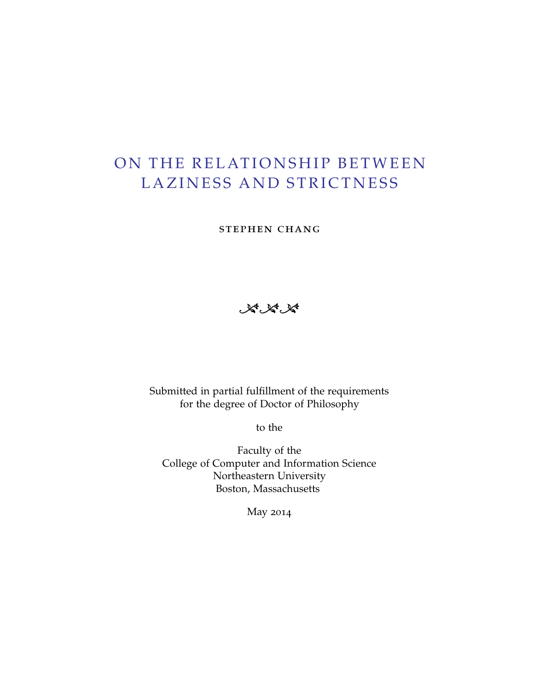# ON THE RELATIONSHIP BETWEEN LAZINESS AND STRICTNESS

stephen chang

## $K_{\mathcal{A}}$

Submitted in partial fulfillment of the requirements for the degree of Doctor of Philosophy

to the

Faculty of the College of Computer and Information Science Northeastern University Boston, Massachusetts

May 2014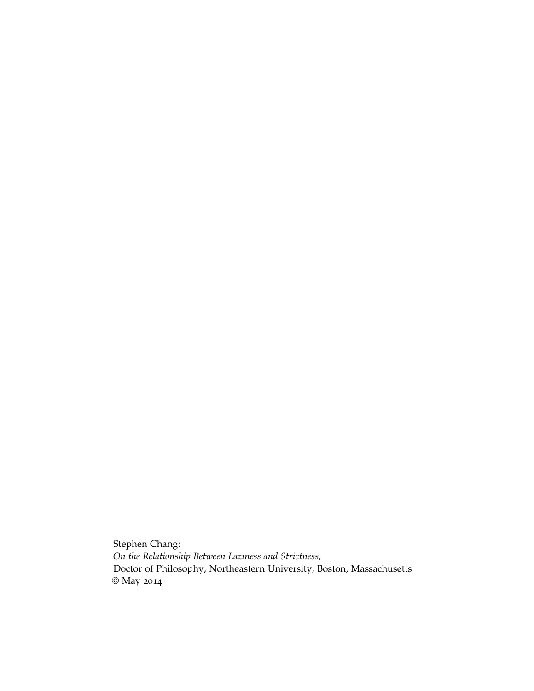Stephen Chang: *On the Relationship Between Laziness and Strictness,* Doctor of Philosophy, Northeastern University, Boston, Massachusetts © May 2014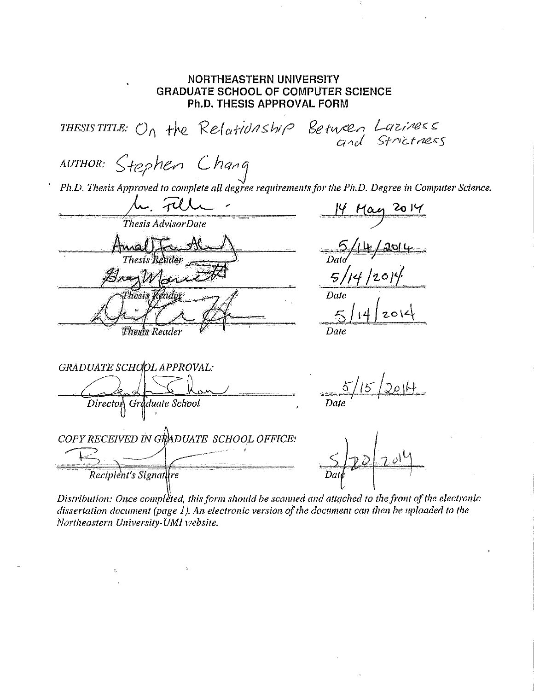# **NORTHEASTERN UNIVERSITY GRADUATE SCHOOL OF COMPUTER SCIENCE Ph.D. THESIS APPROVAL FORM** THESISTITLE:  $O_n$  the Relationship Between Laziness Stephen Chang AUTHOR: Ph.D. Thesis Approved to complete all degree requirements for the Ph.D. Degree in Computer Science. Thesis AdvisorDate Thesis Reader hesis Keade Date. Thesis Reader Date GRADUATE SCHOOL APPROVAL: Director Graduate School Date COPY RECEIVED IN GRADUATE SCHOOL OFFICE: Recipient's Signature

Distribution: Once completed, this form should be scanned and attached to the front of the electronic dissertation document (page 1). An electronic version of the document can then be uploaded to the Northeastern University-UMI website.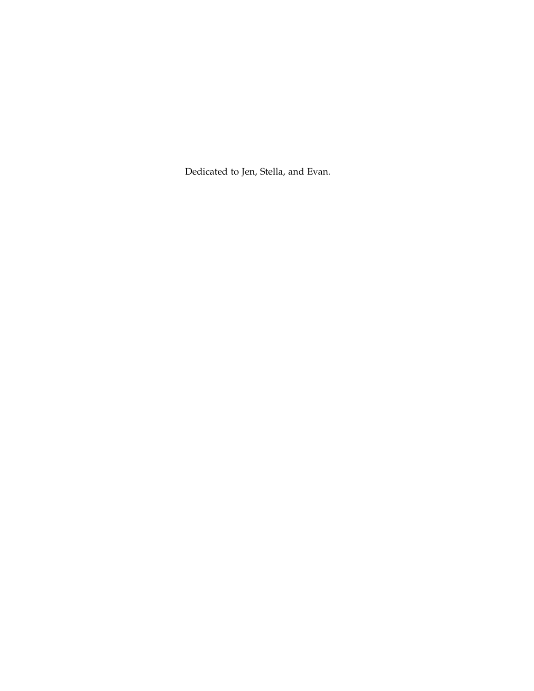Dedicated to Jen, Stella, and Evan.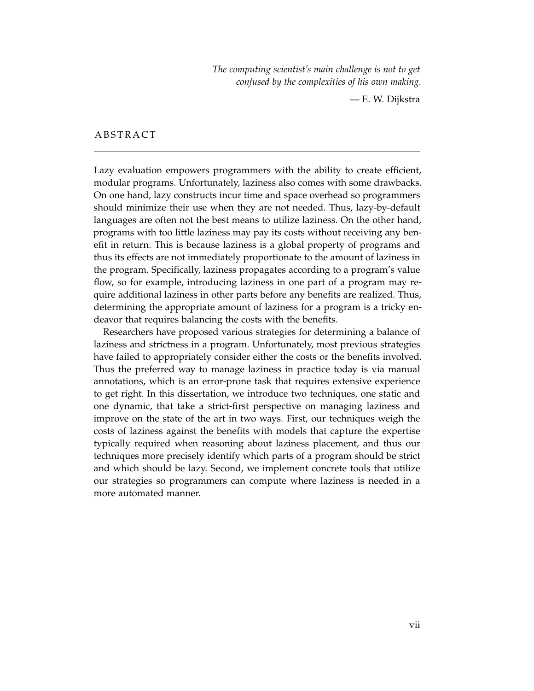*The computing scientist's main challenge is not to get confused by the complexities of his own making.*

— E. W. Dijkstra

#### **ABSTRACT**

Lazy evaluation empowers programmers with the ability to create efficient, modular programs. Unfortunately, laziness also comes with some drawbacks. On one hand, lazy constructs incur time and space overhead so programmers should minimize their use when they are not needed. Thus, lazy-by-default languages are often not the best means to utilize laziness. On the other hand, programs with too little laziness may pay its costs without receiving any benefit in return. This is because laziness is a global property of programs and thus its effects are not immediately proportionate to the amount of laziness in the program. Specifically, laziness propagates according to a program's value flow, so for example, introducing laziness in one part of a program may require additional laziness in other parts before any benefits are realized. Thus, determining the appropriate amount of laziness for a program is a tricky endeavor that requires balancing the costs with the benefits.

Researchers have proposed various strategies for determining a balance of laziness and strictness in a program. Unfortunately, most previous strategies have failed to appropriately consider either the costs or the benefits involved. Thus the preferred way to manage laziness in practice today is via manual annotations, which is an error-prone task that requires extensive experience to get right. In this dissertation, we introduce two techniques, one static and one dynamic, that take a strict-first perspective on managing laziness and improve on the state of the art in two ways. First, our techniques weigh the costs of laziness against the benefits with models that capture the expertise typically required when reasoning about laziness placement, and thus our techniques more precisely identify which parts of a program should be strict and which should be lazy. Second, we implement concrete tools that utilize our strategies so programmers can compute where laziness is needed in a more automated manner.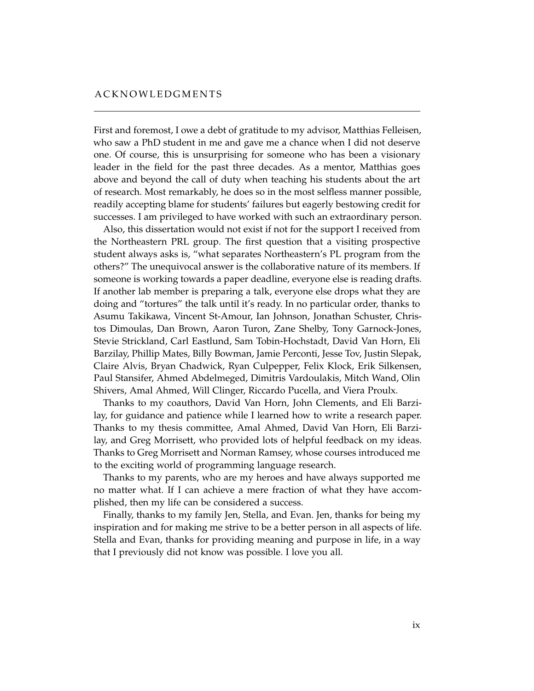First and foremost, I owe a debt of gratitude to my advisor, Matthias Felleisen, who saw a PhD student in me and gave me a chance when I did not deserve one. Of course, this is unsurprising for someone who has been a visionary leader in the field for the past three decades. As a mentor, Matthias goes above and beyond the call of duty when teaching his students about the art of research. Most remarkably, he does so in the most selfless manner possible, readily accepting blame for students' failures but eagerly bestowing credit for successes. I am privileged to have worked with such an extraordinary person.

Also, this dissertation would not exist if not for the support I received from the Northeastern PRL group. The first question that a visiting prospective student always asks is, "what separates Northeastern's PL program from the others?" The unequivocal answer is the collaborative nature of its members. If someone is working towards a paper deadline, everyone else is reading drafts. If another lab member is preparing a talk, everyone else drops what they are doing and "tortures" the talk until it's ready. In no particular order, thanks to Asumu Takikawa, Vincent St-Amour, Ian Johnson, Jonathan Schuster, Christos Dimoulas, Dan Brown, Aaron Turon, Zane Shelby, Tony Garnock-Jones, Stevie Strickland, Carl Eastlund, Sam Tobin-Hochstadt, David Van Horn, Eli Barzilay, Phillip Mates, Billy Bowman, Jamie Perconti, Jesse Tov, Justin Slepak, Claire Alvis, Bryan Chadwick, Ryan Culpepper, Felix Klock, Erik Silkensen, Paul Stansifer, Ahmed Abdelmeged, Dimitris Vardoulakis, Mitch Wand, Olin Shivers, Amal Ahmed, Will Clinger, Riccardo Pucella, and Viera Proulx.

Thanks to my coauthors, David Van Horn, John Clements, and Eli Barzilay, for guidance and patience while I learned how to write a research paper. Thanks to my thesis committee, Amal Ahmed, David Van Horn, Eli Barzilay, and Greg Morrisett, who provided lots of helpful feedback on my ideas. Thanks to Greg Morrisett and Norman Ramsey, whose courses introduced me to the exciting world of programming language research.

Thanks to my parents, who are my heroes and have always supported me no matter what. If I can achieve a mere fraction of what they have accomplished, then my life can be considered a success.

Finally, thanks to my family Jen, Stella, and Evan. Jen, thanks for being my inspiration and for making me strive to be a better person in all aspects of life. Stella and Evan, thanks for providing meaning and purpose in life, in a way that I previously did not know was possible. I love you all.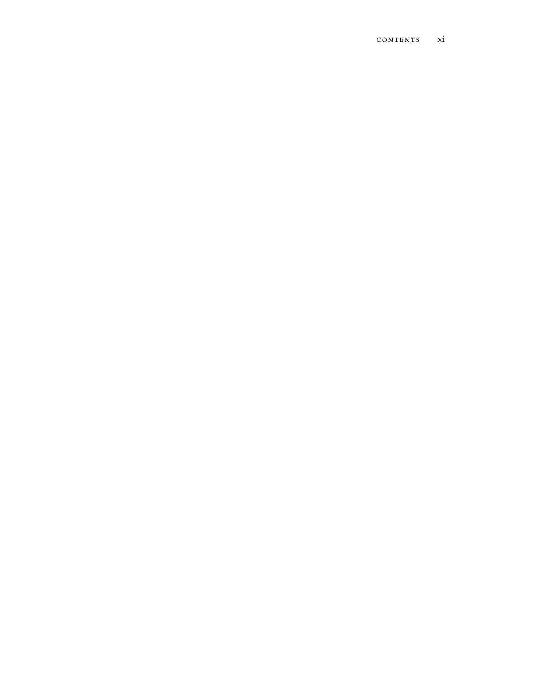#### CONTENTS xi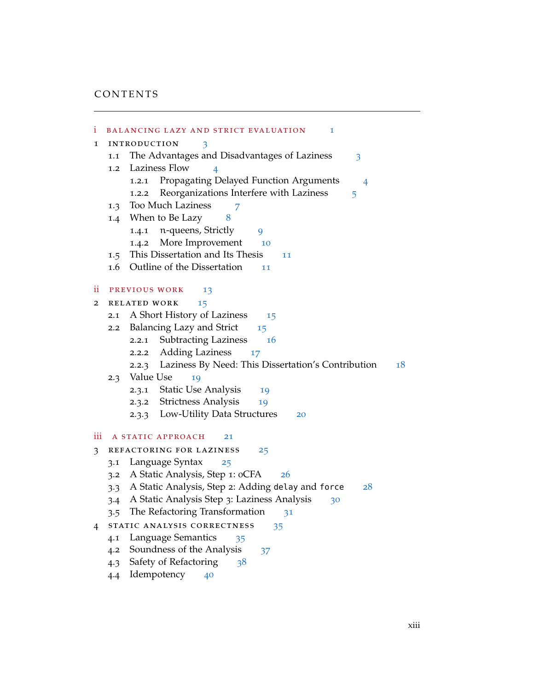| i  |                                | <b>BALANCING LAZY AND STRICT EVALUATION</b><br>1                  |  |  |  |
|----|--------------------------------|-------------------------------------------------------------------|--|--|--|
| 1  |                                | INTRODUCTION<br>3                                                 |  |  |  |
|    | 1.1                            | The Advantages and Disadvantages of Laziness<br>3                 |  |  |  |
|    | 1.2                            | Laziness Flow<br>$\overline{4}$                                   |  |  |  |
|    |                                | Propagating Delayed Function Arguments<br>1.2.1<br>$\overline{4}$ |  |  |  |
|    |                                | Reorganizations Interfere with Laziness<br>1.2.2<br>5             |  |  |  |
|    | 1.3                            | Too Much Laziness<br>7                                            |  |  |  |
|    |                                | 1.4 When to Be Lazy<br>8                                          |  |  |  |
|    |                                | n-queens, Strictly<br>1.4.1<br>9                                  |  |  |  |
|    |                                | 1.4.2 More Improvement<br>10                                      |  |  |  |
|    | 1.5                            | This Dissertation and Its Thesis<br>11                            |  |  |  |
|    | 1.6                            | Outline of the Dissertation<br>11                                 |  |  |  |
| ii |                                |                                                                   |  |  |  |
|    | PREVIOUS WORK<br>13            |                                                                   |  |  |  |
| 2  | 2.1                            | RELATED WORK<br>15<br>A Short History of Laziness                 |  |  |  |
|    | 2.2                            | 15<br><b>Balancing Lazy and Strict</b>                            |  |  |  |
|    |                                | 15<br><b>Subtracting Laziness</b><br>2.2.1<br>16                  |  |  |  |
|    |                                | <b>Adding Laziness</b><br>2.2.2<br>17                             |  |  |  |
|    |                                | 2.2.3 Laziness By Need: This Dissertation's Contribution<br>18    |  |  |  |
|    | 2.3                            | Value Use<br>19                                                   |  |  |  |
|    |                                | 2.3.1 Static Use Analysis<br>19                                   |  |  |  |
|    |                                | 2.3.2 Strictness Analysis<br>19                                   |  |  |  |
|    |                                | 2.3.3 Low-Utility Data Structures<br>20                           |  |  |  |
|    |                                |                                                                   |  |  |  |
|    | iii<br>A STATIC APPROACH<br>21 |                                                                   |  |  |  |
| 3  |                                | REFACTORING FOR LAZINESS<br>25                                    |  |  |  |
|    | 3.1                            | Language Syntax<br>25                                             |  |  |  |
|    | 3.2                            | A Static Analysis, Step 1: oCFA<br>26                             |  |  |  |
|    | 3.3                            | A Static Analysis, Step 2: Adding delay and force<br>28           |  |  |  |
|    | 3.4                            | A Static Analysis Step 3: Laziness Analysis<br>30                 |  |  |  |
|    | 3.5                            | The Refactoring Transformation<br>31                              |  |  |  |
| 4  |                                | STATIC ANALYSIS CORRECTNESS<br>35                                 |  |  |  |
|    | 4.1                            | Language Semantics<br>35                                          |  |  |  |
|    | 4.2                            | Soundness of the Analysis<br>37                                   |  |  |  |
|    | 4.3                            | Safety of Refactoring<br>38                                       |  |  |  |
|    | 4.4                            | Idempotency<br>40                                                 |  |  |  |
|    |                                |                                                                   |  |  |  |
|    |                                |                                                                   |  |  |  |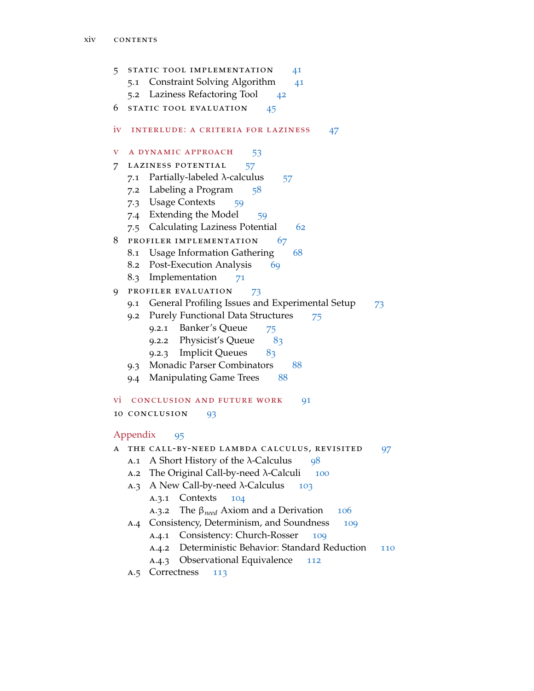5 STATIC TOOL IMPLEMENTATION [41](#page-58-0) 5.1 Constraint Solving Algorithm [41](#page-58-1) 5.2 Laziness Refactoring Tool [42](#page-59-0) 6 STATIC TOOL EVALUATION [45](#page-62-0) iv interlude: a criteria for laziness [47](#page-64-0) v a dynamic approach [53](#page-70-0) 7 LAZINESS POTENTIAL [57](#page-74-0) 7.1 Partially-labeled  $λ$ -calculus [57](#page-74-1) 7.2 Labeling a Program [58](#page-75-0) 7.3 Usage Contexts [59](#page-76-0) 7.4 Extending the Model [59](#page-76-1) 7.5 Calculating Laziness Potential [62](#page-79-0) 8 PROFILER IMPLEMENTATION [67](#page-84-0) 8.1 Usage Information Gathering [68](#page-84-1) 8.2 Post-Execution Analysis [69](#page-85-0) 8.3 Implementation [71](#page-88-0) 9 PROFILER EVALUATION [73](#page-90-0) 9.1 General Profiling Issues and Experimental Setup [73](#page-90-1) 9.2 Purely Functional Data Structures [75](#page-90-2) 9.2.1 Banker's Queue [75](#page-92-0) 9.2.2 Physicist's Queue [83](#page-99-0) 9.2.3 Implicit Queues [83](#page-100-0) 9.3 Monadic Parser Combinators [88](#page-104-0) 9.4 Manipulating Game Trees [88](#page-105-0) vi CONCLUSION AND FUTURE WORK [91](#page-107-0) 10 CONCLUSION [93](#page-110-0) Appendix [95](#page-110-0) A THE CALL-BY-NEED LAMBDA CALCULUS, REVISITED [97](#page-114-0) A.1 A Short History of the  $λ$ -Calculus [98](#page-115-0) A.2 The Original Call-by-need  $\lambda$ -Calculi [100](#page-117-0) A.3 A New Call-by-need  $\lambda$ -Calculus [103](#page-120-0) a.3.1 Contexts [104](#page-120-1) A.3.2 The β<sub>need</sub> Axiom and a Derivation [106](#page-123-0) A.4 Consistency, Determinism, and Soundness [109](#page-126-0) A.4.1 Consistency: Church-Rosser [109](#page-126-1)

A.4.2 Deterministic Behavior: Standard Reduction [110](#page-127-0)

a.4.3 Observational Equivalence [112](#page-128-0)

a.5 Correctness [113](#page-130-0)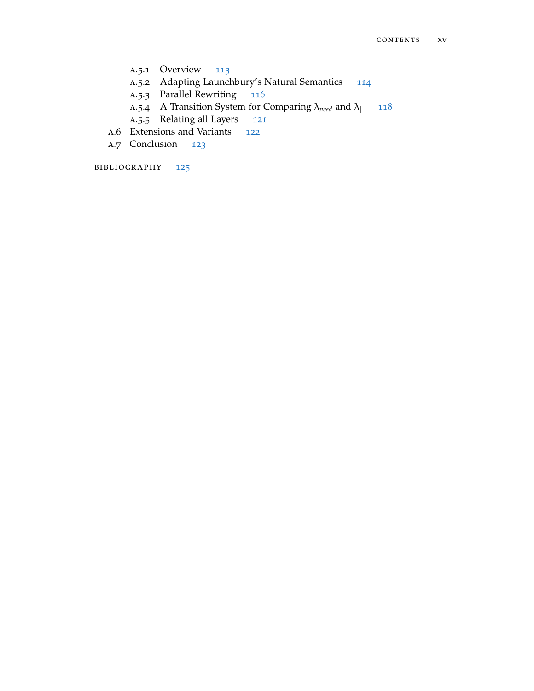- a.5.1 Overview [113](#page-130-1)
- a.5.2 Adapting Launchbury's Natural Semantics [114](#page-131-0)
- a.5.3 Parallel Rewriting [116](#page-133-0)
- A.5.4 A Transition System for Comparing  $\lambda_{need}$  and  $\lambda_{\parallel}$  [118](#page-135-0)
- a.5.5 Relating all Layers [121](#page-138-0)
- a.6 Extensions and Variants [122](#page-139-0)
- a.7 Conclusion [123](#page-140-0)

bibliography [125](#page-142-0)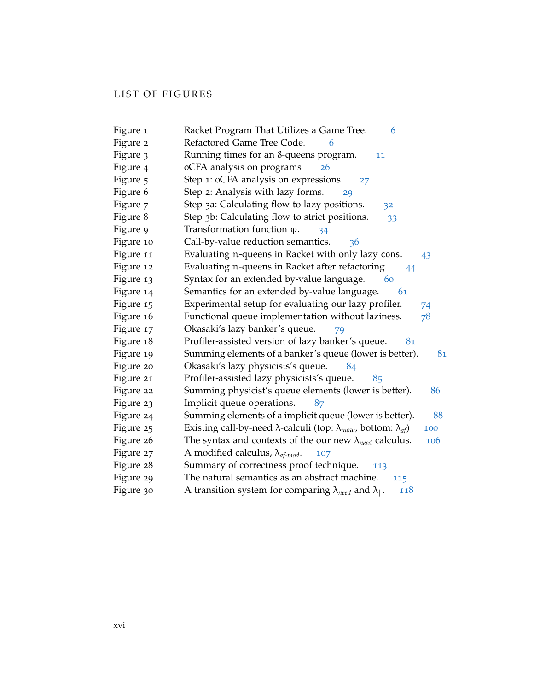| Figure 1  | Racket Program That Utilizes a Game Tree.<br>6                                                   |
|-----------|--------------------------------------------------------------------------------------------------|
| Figure 2  | Refactored Game Tree Code.<br>6                                                                  |
| Figure 3  | Running times for an 8-queens program.<br>11                                                     |
| Figure 4  | oCFA analysis on programs<br><b>26</b>                                                           |
| Figure 5  | Step 1: oCFA analysis on expressions<br>27                                                       |
| Figure 6  | Step 2: Analysis with lazy forms.<br>29                                                          |
| Figure 7  | Step 3a: Calculating flow to lazy positions.<br>32                                               |
| Figure 8  | Step 3b: Calculating flow to strict positions.<br>33                                             |
| Figure 9  | Transformation function $\varphi$ .<br>34                                                        |
| Figure 10 | Call-by-value reduction semantics.<br>36                                                         |
| Figure 11 | Evaluating n-queens in Racket with only lazy cons.<br>43                                         |
| Figure 12 | Evaluating n-queens in Racket after refactoring.<br>44                                           |
| Figure 13 | Syntax for an extended by-value language.<br>60                                                  |
| Figure 14 | Semantics for an extended by-value language.<br>61                                               |
| Figure 15 | Experimental setup for evaluating our lazy profiler.<br>74                                       |
| Figure 16 | Functional queue implementation without laziness.<br>78                                          |
| Figure 17 | Okasaki's lazy banker's queue.<br>79                                                             |
| Figure 18 | Profiler-assisted version of lazy banker's queue.<br>81                                          |
| Figure 19 | Summing elements of a banker's queue (lower is better).<br>81                                    |
| Figure 20 | Okasaki's lazy physicists's queue.<br>84                                                         |
| Figure 21 | Profiler-assisted lazy physicists's queue.<br>85                                                 |
| Figure 22 | Summing physicist's queue elements (lower is better).<br>86                                      |
| Figure 23 | Implicit queue operations.<br>87                                                                 |
| Figure 24 | Summing elements of a implicit queue (lower is better).<br>88                                    |
| Figure 25 | Existing call-by-need $\lambda$ -calculi (top: $\lambda_{mov}$ , bottom: $\lambda_{af}$ )<br>100 |
| Figure 26 | The syntax and contexts of the our new $\lambda_{need}$ calculus.<br>106                         |
| Figure 27 | A modified calculus, $\lambda_{af-mod}$ .<br>107                                                 |
| Figure 28 | Summary of correctness proof technique.<br>113                                                   |
| Figure 29 | The natural semantics as an abstract machine.<br>115                                             |
| Figure 30 | A transition system for comparing $\lambda_{need}$ and $\lambda_{\parallel}$ .<br>118            |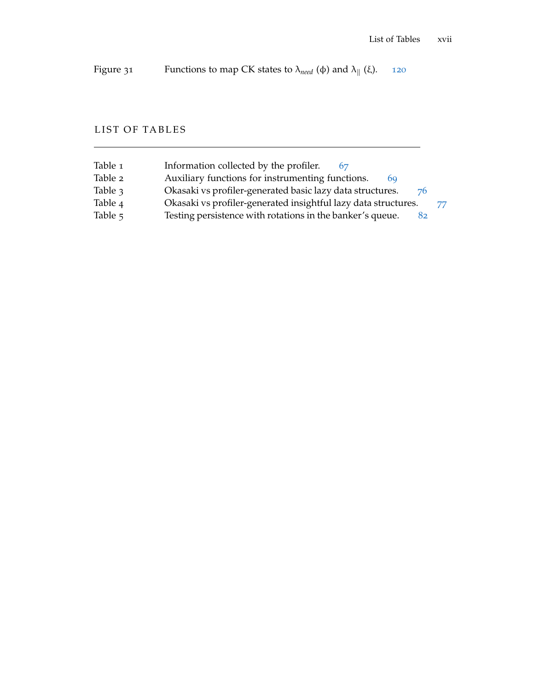Figure 31 Functions to map CK states to  $\lambda_{need}$  (φ) and  $\lambda_{\parallel}$  (ξ). [120](#page-137-0)

### LIST OF TABLES

| Table 1 | Information collected by the profiler.                               |
|---------|----------------------------------------------------------------------|
| Table 2 | Auxiliary functions for instrumenting functions.<br>6Q               |
| Table 3 | Okasaki vs profiler-generated basic lazy data structures.<br>76      |
| Table 4 | Okasaki vs profiler-generated insightful lazy data structures.<br>77 |
| Table 5 | Testing persistence with rotations in the banker's queue.<br>82      |
|         |                                                                      |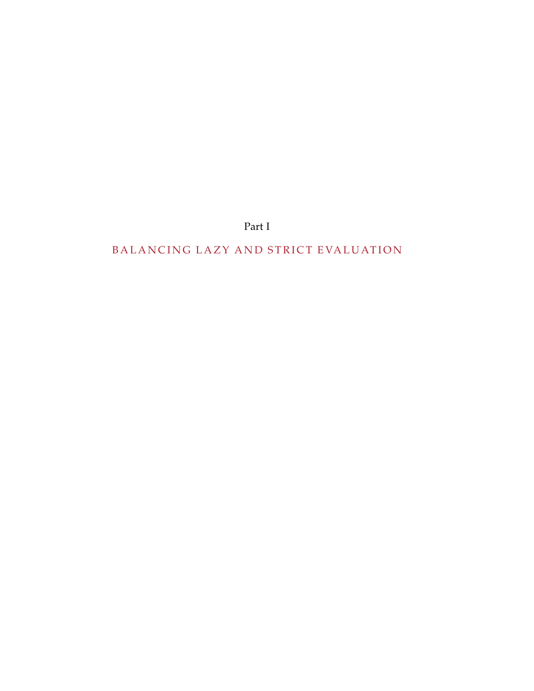Part I

# <span id="page-18-0"></span>BALANCING LAZY AND STRICT EVALUATION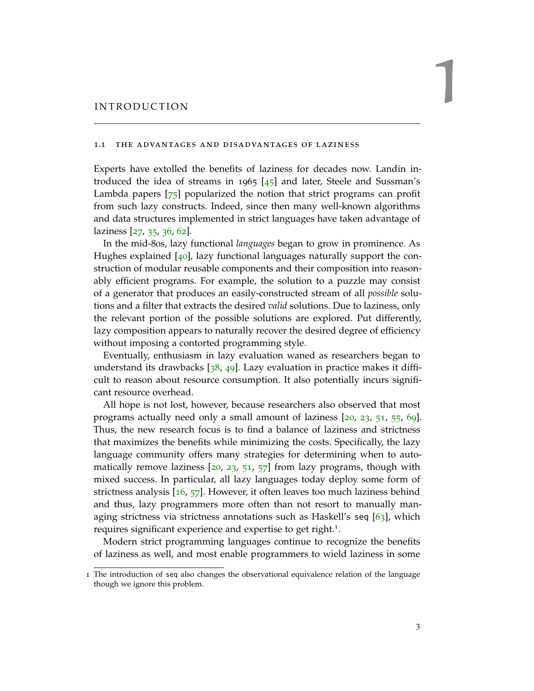#### <span id="page-20-1"></span><span id="page-20-0"></span>1.1 the advantages and disadvantages of laziness

Experts have extolled the benefits of laziness for decades now. Landin introduced the idea of streams in 1965 [[45](#page-145-0)] and later, Steele and Sussman's Lambda papers  $[75]$  $[75]$  $[75]$  popularized the notion that strict programs can profit from such lazy constructs. Indeed, since then many well-known algorithms and data structures implemented in strict languages have taken advantage of laziness [[27](#page-144-0), [35](#page-144-1), [36](#page-144-2), [62](#page-146-0)].

In the mid-80s, lazy functional *languages* began to grow in prominence. As Hughes explained  $[40]$  $[40]$  $[40]$ , lazy functional languages naturally support the construction of modular reusable components and their composition into reasonably efficient programs. For example, the solution to a puzzle may consist of a generator that produces an easily-constructed stream of all *possible* solutions and a filter that extracts the desired *valid* solutions. Due to laziness, only the relevant portion of the possible solutions are explored. Put differently, lazy composition appears to naturally recover the desired degree of efficiency without imposing a contorted programming style.

Eventually, enthusiasm in lazy evaluation waned as researchers began to understand its drawbacks  $[38, 49]$  $[38, 49]$  $[38, 49]$  $[38, 49]$  $[38, 49]$ . Lazy evaluation in practice makes it difficult to reason about resource consumption. It also potentially incurs significant resource overhead.

All hope is not lost, however, because researchers also observed that most programs actually need only a small amount of laziness [[20](#page-143-0), [23](#page-143-1), [51](#page-146-1), [55](#page-146-2), [69](#page-147-1)]. Thus, the new research focus is to find a balance of laziness and strictness that maximizes the benefits while minimizing the costs. Specifically, the lazy language community offers many strategies for determining when to automatically remove laziness  $[20, 23, 51, 57]$  $[20, 23, 51, 57]$  $[20, 23, 51, 57]$  $[20, 23, 51, 57]$  $[20, 23, 51, 57]$  $[20, 23, 51, 57]$  $[20, 23, 51, 57]$  $[20, 23, 51, 57]$  $[20, 23, 51, 57]$  from lazy programs, though with mixed success. In particular, all lazy languages today deploy some form of strictness analysis [[16](#page-143-2), [57](#page-146-3)]. However, it often leaves too much laziness behind and thus, lazy programmers more often than not resort to manually managing strictness via strictness annotations such as Haskell's seq [[63](#page-146-4)], which requires significant experience and expertise to get right.<sup>1</sup>.

Modern strict programming languages continue to recognize the benefits of laziness as well, and most enable programmers to wield laziness in some

<sup>1</sup> The introduction of seq also changes the observational equivalence relation of the language though we ignore this problem.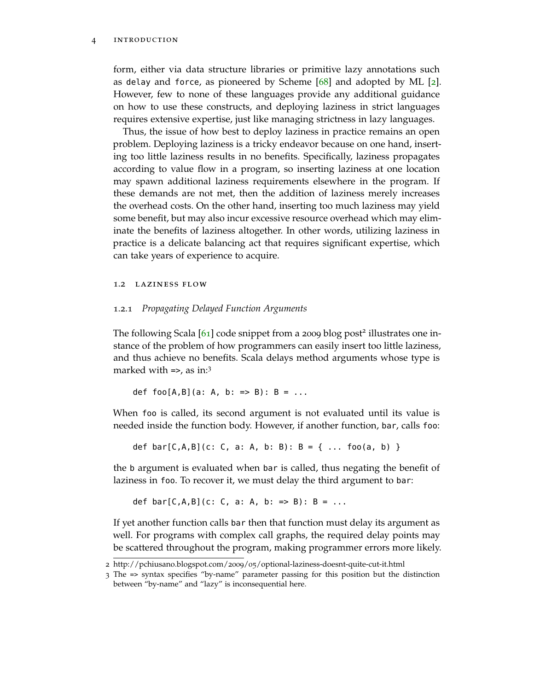#### 4 introduction

form, either via data structure libraries or primitive lazy annotations such as delay and force, as pioneered by Scheme [[68](#page-147-2)] and adopted by ML [[2](#page-142-1)]. However, few to none of these languages provide any additional guidance on how to use these constructs, and deploying laziness in strict languages requires extensive expertise, just like managing strictness in lazy languages.

Thus, the issue of how best to deploy laziness in practice remains an open problem. Deploying laziness is a tricky endeavor because on one hand, inserting too little laziness results in no benefits. Specifically, laziness propagates according to value flow in a program, so inserting laziness at one location may spawn additional laziness requirements elsewhere in the program. If these demands are not met, then the addition of laziness merely increases the overhead costs. On the other hand, inserting too much laziness may yield some benefit, but may also incur excessive resource overhead which may eliminate the benefits of laziness altogether. In other words, utilizing laziness in practice is a delicate balancing act that requires significant expertise, which can take years of experience to acquire.

#### <span id="page-21-0"></span>1.2 laziness flow

#### <span id="page-21-1"></span>1.2.1 *Propagating Delayed Function Arguments*

The following Scala [[61](#page-146-5)] code snippet from a 2009 blog post<sup>2</sup> illustrates one instance of the problem of how programmers can easily insert too little laziness, and thus achieve no benefits. Scala delays method arguments whose type is marked with  $\approx$ , as in:<sup>3</sup>

def foo[A,B](a: A, b: => B):  $B = ...$ 

When foo is called, its second argument is not evaluated until its value is needed inside the function body. However, if another function, bar, calls foo:

def bar[C,A,B](c: C, a: A, b: B):  $B = \{ ...$  foo(a, b) }

the b argument is evaluated when bar is called, thus negating the benefit of laziness in foo. To recover it, we must delay the third argument to bar:

def bar[C,A,B](c: C, a: A, b: => B): B = ...

If yet another function calls bar then that function must delay its argument as well. For programs with complex call graphs, the required delay points may be scattered throughout the program, making programmer errors more likely.

<span id="page-21-2"></span><sup>2</sup> http://pchiusano.blogspot.com/2009/05/optional-laziness-doesnt-quite-cut-it.html

<sup>3</sup> The => syntax specifies "by-name" parameter passing for this position but the distinction between "by-name" and "lazy" is inconsequential here.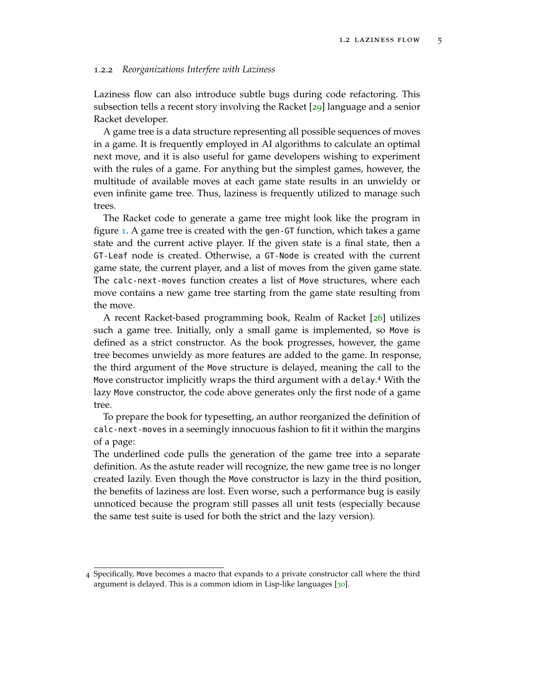#### 1.2.2 *Reorganizations Interfere with Laziness*

Laziness flow can also introduce subtle bugs during code refactoring. This subsection tells a recent story involving the Racket [[29](#page-144-3)] language and a senior Racket developer.

A game tree is a data structure representing all possible sequences of moves in a game. It is frequently employed in AI algorithms to calculate an optimal next move, and it is also useful for game developers wishing to experiment with the rules of a game. For anything but the simplest games, however, the multitude of available moves at each game state results in an unwieldy or even infinite game tree. Thus, laziness is frequently utilized to manage such trees.

The Racket code to generate a game tree might look like the program in figure [1](#page-23-0). A game tree is created with the gen-GT function, which takes a game state and the current active player. If the given state is a final state, then a GT-Leaf node is created. Otherwise, a GT-Node is created with the current game state, the current player, and a list of moves from the given game state. The calc-next-moves function creates a list of Move structures, where each move contains a new game tree starting from the game state resulting from the move.

A recent Racket-based programming book, Realm of Racket [[26](#page-144-4)] utilizes such a game tree. Initially, only a small game is implemented, so Move is defined as a strict constructor. As the book progresses, however, the game tree becomes unwieldy as more features are added to the game. In response, the third argument of the Move structure is delayed, meaning the call to the Move constructor implicitly wraps the third argument with a delay. <sup>4</sup> With the lazy Move constructor, the code above generates only the first node of a game tree.

To prepare the book for typesetting, an author reorganized the definition of calc-next-moves in a seemingly innocuous fashion to fit it within the margins of a page:

The underlined code pulls the generation of the game tree into a separate definition. As the astute reader will recognize, the new game tree is no longer created lazily. Even though the Move constructor is lazy in the third position, the benefits of laziness are lost. Even worse, such a performance bug is easily unnoticed because the program still passes all unit tests (especially because the same test suite is used for both the strict and the lazy version).

<span id="page-22-0"></span><sup>4</sup> Specifically, Move becomes a macro that expands to a private constructor call where the third argument is delayed. This is a common idiom in Lisp-like languages [[30](#page-144-5)].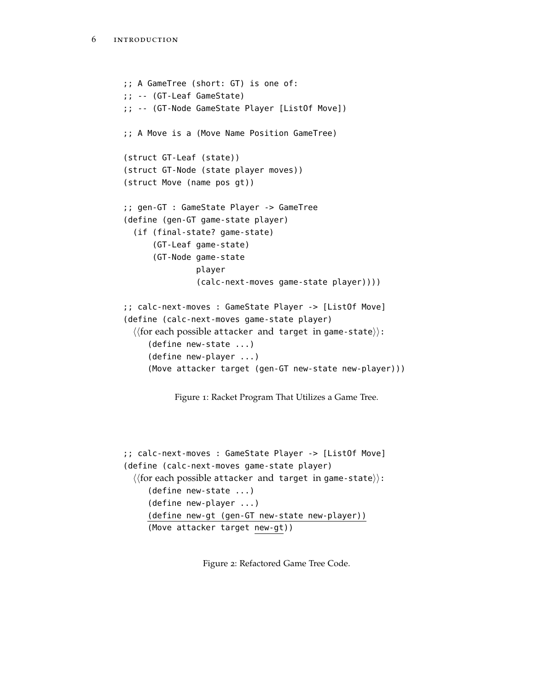```
;; A GameTree (short: GT) is one of:
;; -- (GT-Leaf GameState)
;; -- (GT-Node GameState Player [ListOf Move])
;; A Move is a (Move Name Position GameTree)
(struct GT-Leaf (state))
(struct GT-Node (state player moves))
(struct Move (name pos gt))
;; gen-GT : GameState Player -> GameTree
(define (gen-GT game-state player)
  (if (final-state? game-state)
      (GT-Leaf game-state)
      (GT-Node game-state
               player
               (calc-next-moves game-state player))))
;; calc-next-moves : GameState Player -> [ListOf Move]
(define (calc-next-moves game-state player)
  \langle (for each possible attacker and target in game-state)):
     (define new-state ...)
     (define new-player ...)
     (Move attacker target (gen-GT new-state new-player)))
```
Figure 1: Racket Program That Utilizes a Game Tree.

```
;; calc-next-moves : GameState Player -> [ListOf Move]
(define (calc-next-moves game-state player)
  \langle (for each possible attacker and target in game-state)):
     (define new-state ...)
     (define new-player ...)
     (define new-gt (gen-GT new-state new-player))
     (Move attacker target new-gt))
```
Figure 2: Refactored Game Tree Code.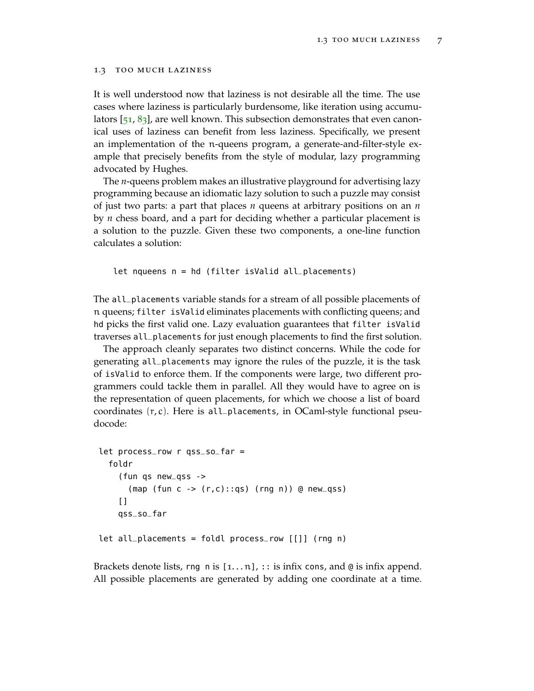#### 1.3 too much laziness

It is well understood now that laziness is not desirable all the time. The use cases where laziness is particularly burdensome, like iteration using accumulators [[51](#page-146-1), [83](#page-148-0)], are well known. This subsection demonstrates that even canonical uses of laziness can benefit from less laziness. Specifically, we present an implementation of the n-queens program, a generate-and-filter-style example that precisely benefits from the style of modular, lazy programming advocated by Hughes.

The *n*-queens problem makes an illustrative playground for advertising lazy programming because an idiomatic lazy solution to such a puzzle may consist of just two parts: a part that places *n* queens at arbitrary positions on an *n* by *n* chess board, and a part for deciding whether a particular placement is a solution to the puzzle. Given these two components, a one-line function calculates a solution:

let nqueens n = hd (filter isValid all\_placements)

The all\_placements variable stands for a stream of all possible placements of n queens; filter isValid eliminates placements with conflicting queens; and hd picks the first valid one. Lazy evaluation guarantees that filter isValid traverses all\_placements for just enough placements to find the first solution.

The approach cleanly separates two distinct concerns. While the code for generating all\_placements may ignore the rules of the puzzle, it is the task of isValid to enforce them. If the components were large, two different programmers could tackle them in parallel. All they would have to agree on is the representation of queen placements, for which we choose a list of board coordinates  $(r, c)$ . Here is all\_placements, in OCaml-style functional pseudocode:

```
let process_row r qss_so_far =
  foldr
    (fun qs new_qss ->
      (map (fun c -> (r,c)::qs) (rng n)) @ new_qss)
    []
    qss_so_far
let all_placements = foldl process_row [[]] (rng n)
```
Brackets denote lists, rng n is  $[1...n]$ , :: is infix cons, and @ is infix append. All possible placements are generated by adding one coordinate at a time.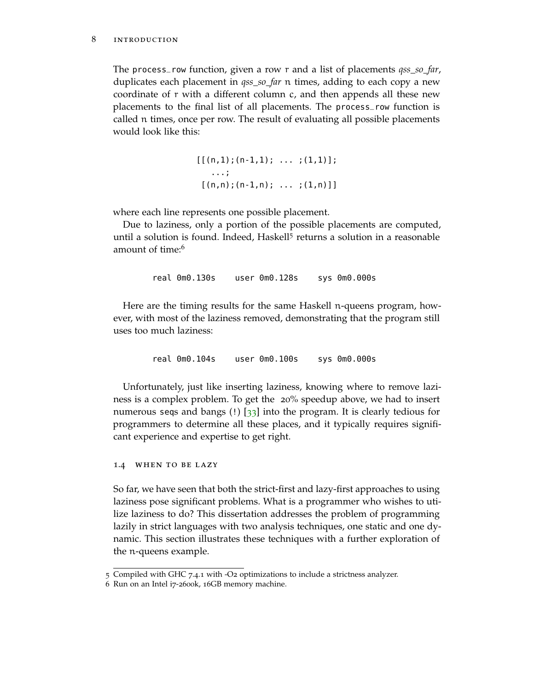#### 8 introduction

The process\_row function, given a row r and a list of placements *qss\_so\_far*, duplicates each placement in *qss\_so\_far* n times, adding to each copy a new coordinate of r with a different column c, and then appends all these new placements to the final list of all placements. The process\_row function is called n times, once per row. The result of evaluating all possible placements would look like this:

$$
[[(n,1);(n-1,1); \ldots ; (1,1)];
$$
  
...;  

$$
[(n,n);(n-1,n); \ldots ; (1,n)]]
$$

where each line represents one possible placement.

Due to laziness, only a portion of the possible placements are computed, until a solution is found. Indeed, Haskell<sup>5</sup> returns a solution in a reasonable amount of time:<sup>6</sup>

real 0m0.130s user 0m0.128s sys 0m0.000s

Here are the timing results for the same Haskell n-queens program, however, with most of the laziness removed, demonstrating that the program still uses too much laziness:

real 0m0.104s user 0m0.100s sys 0m0.000s

Unfortunately, just like inserting laziness, knowing where to remove laziness is a complex problem. To get the 20% speedup above, we had to insert numerous seqs and bangs  $(!)$  [[33](#page-144-6)] into the program. It is clearly tedious for programmers to determine all these places, and it typically requires significant experience and expertise to get right.

<span id="page-25-0"></span>1.4 when to be lazy

So far, we have seen that both the strict-first and lazy-first approaches to using laziness pose significant problems. What is a programmer who wishes to utilize laziness to do? This dissertation addresses the problem of programming lazily in strict languages with two analysis techniques, one static and one dynamic. This section illustrates these techniques with a further exploration of the n-queens example.

<span id="page-25-1"></span><sup>5</sup> Compiled with GHC 7.4.1 with -O2 optimizations to include a strictness analyzer.

<sup>6</sup> Run on an Intel i7-2600k, 16GB memory machine.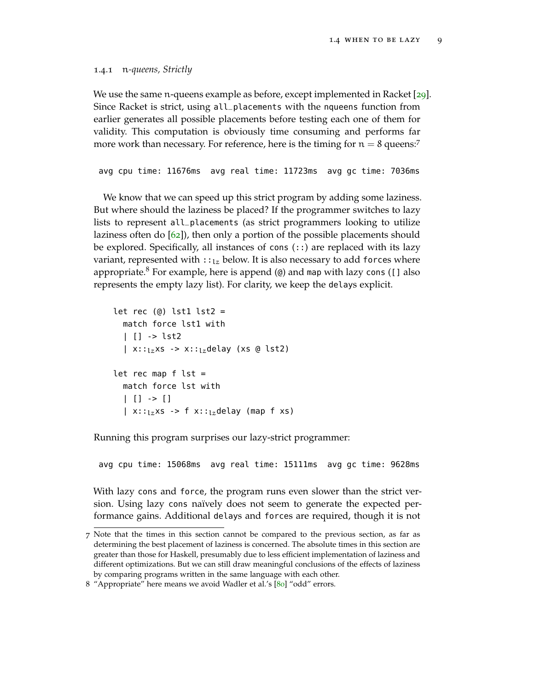#### 1.4.1 n*-queens, Strictly*

We use the same n-queens example as before, except implemented in Racket [[29](#page-144-3)]. Since Racket is strict, using all\_placements with the nqueens function from earlier generates all possible placements before testing each one of them for validity. This computation is obviously time consuming and performs far more work than necessary. For reference, here is the timing for  $n = 8$  queens:<sup>7</sup>

avg cpu time: 11676ms avg real time: 11723ms avg gc time: 7036ms

We know that we can speed up this strict program by adding some laziness. But where should the laziness be placed? If the programmer switches to lazy lists to represent all\_placements (as strict programmers looking to utilize laziness often do [[62](#page-146-0)]), then only a portion of the possible placements should be explored. Specifically, all instances of cons (::) are replaced with its lazy variant, represented with  $\cdots$ <sub>1z</sub> below. It is also necessary to add forces where appropriate. $8$  For example, here is append ( $@$ ) and map with lazy cons ([] also represents the empty lazy list). For clarity, we keep the delays explicit.

```
let rec (\emptyset) lst1 lst2 =
  match force lst1 with
  | [] -> lst2
  | x:z_1zxs -> x:z_1zdelay (xs @ lst2)
let rec map f lst =
  match force lst with
  | | | | \rightarrow || x:z_2 \times s \rightarrow f x:z_2 \times delay (map f xs)
```
Running this program surprises our lazy-strict programmer:

avg cpu time: 15068ms avg real time: 15111ms avg gc time: 9628ms

With lazy cons and force, the program runs even slower than the strict version. Using lazy cons naïvely does not seem to generate the expected performance gains. Additional delays and forces are required, though it is not

<sup>7</sup> Note that the times in this section cannot be compared to the previous section, as far as determining the best placement of laziness is concerned. The absolute times in this section are greater than those for Haskell, presumably due to less efficient implementation of laziness and different optimizations. But we can still draw meaningful conclusions of the effects of laziness by comparing programs written in the same language with each other.

<sup>8</sup> "Appropriate" here means we avoid Wadler et al.'s [[80](#page-148-1)] "odd" errors.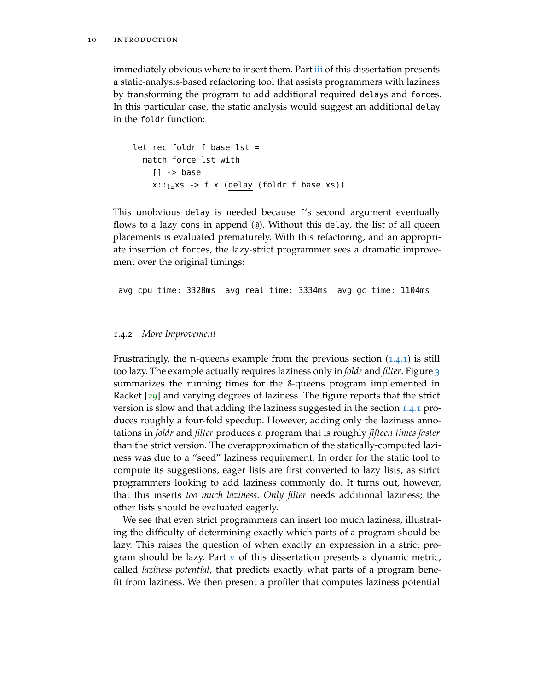immediately obvious where to insert them. Part [iii](#page-38-0) of this dissertation presents a static-analysis-based refactoring tool that assists programmers with laziness by transforming the program to add additional required delays and forces. In this particular case, the static analysis would suggest an additional delay in the foldr function:

```
let rec foldr f base lst =
  match force lst with
  | [] -> base
  | x:z_1z_2xs -> f x (delay (foldr f base xs))
```
This unobvious delay is needed because f's second argument eventually flows to a lazy cons in append (@). Without this delay, the list of all queen placements is evaluated prematurely. With this refactoring, and an appropriate insertion of forces, the lazy-strict programmer sees a dramatic improvement over the original timings:

avg cpu time: 3328ms avg real time: 3334ms avg gc time: 1104ms

#### <span id="page-27-0"></span>1.4.2 *More Improvement*

Frustratingly, the *n*-queens example from the previous section  $(1.4.1)$  $(1.4.1)$  $(1.4.1)$  is still too lazy. The example actually requires laziness only in *foldr* and *filter*. Figure [3](#page-28-2) summarizes the running times for the 8-queens program implemented in Racket [[29](#page-144-3)] and varying degrees of laziness. The figure reports that the strict version is slow and that adding the laziness suggested in the section [1](#page-25-1).4.1 produces roughly a four-fold speedup. However, adding only the laziness annotations in *foldr* and *filter* produces a program that is roughly *fifteen times faster* than the strict version. The overapproximation of the statically-computed laziness was due to a "seed" laziness requirement. In order for the static tool to compute its suggestions, eager lists are first converted to lazy lists, as strict programmers looking to add laziness commonly do. It turns out, however, that this inserts *too much laziness*. *Only filter* needs additional laziness; the other lists should be evaluated eagerly.

We see that even strict programmers can insert too much laziness, illustrating the difficulty of determining exactly which parts of a program should be lazy. This raises the question of when exactly an expression in a strict program should be lazy. Part  $v$  of this dissertation presents a dynamic metric, called *laziness potential*, that predicts exactly what parts of a program benefit from laziness. We then present a profiler that computes laziness potential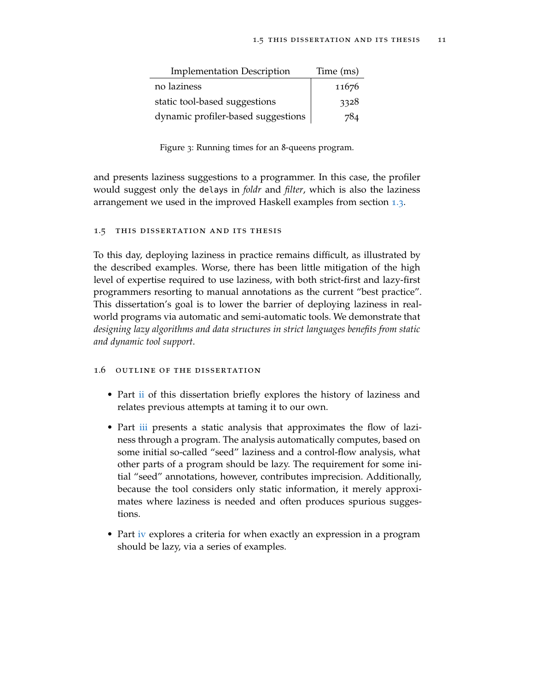<span id="page-28-2"></span>

| <b>Implementation Description</b>  | Time (ms) |
|------------------------------------|-----------|
| no laziness                        | 11676     |
| static tool-based suggestions      | 3328      |
| dynamic profiler-based suggestions | 784       |

Figure 3: Running times for an 8-queens program.

and presents laziness suggestions to a programmer. In this case, the profiler would suggest only the delays in *foldr* and *filter*, which is also the laziness arrangement we used in the improved Haskell examples from section [1](#page-22-0).3.

#### <span id="page-28-0"></span>1.5 this dissertation and its thesis

To this day, deploying laziness in practice remains difficult, as illustrated by the described examples. Worse, there has been little mitigation of the high level of expertise required to use laziness, with both strict-first and lazy-first programmers resorting to manual annotations as the current "best practice". This dissertation's goal is to lower the barrier of deploying laziness in realworld programs via automatic and semi-automatic tools. We demonstrate that *designing lazy algorithms and data structures in strict languages benefits from static and dynamic tool support*.

#### <span id="page-28-1"></span>1.6 outline of the dissertation

- Part [ii](#page-30-0) of this dissertation briefly explores the history of laziness and relates previous attempts at taming it to our own.
- Part [iii](#page-38-0) presents a static analysis that approximates the flow of laziness through a program. The analysis automatically computes, based on some initial so-called "seed" laziness and a control-flow analysis, what other parts of a program should be lazy. The requirement for some initial "seed" annotations, however, contributes imprecision. Additionally, because the tool considers only static information, it merely approximates where laziness is needed and often produces spurious suggestions.
- Part [iv](#page-64-0) explores a criteria for when exactly an expression in a program should be lazy, via a series of examples.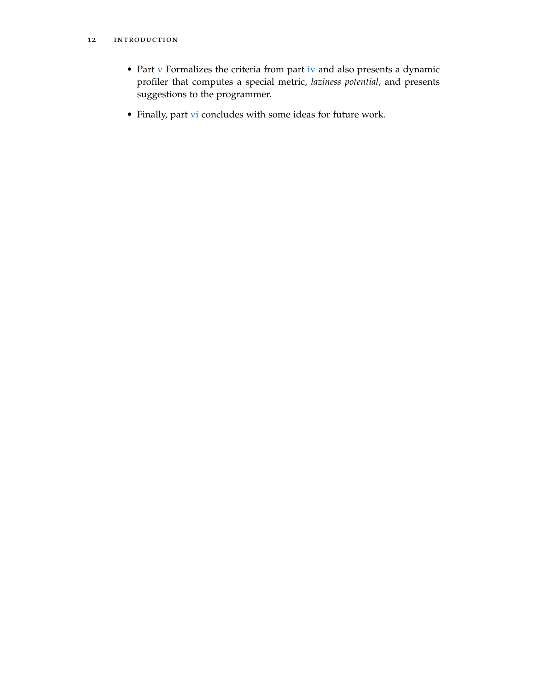#### 12 introduction

- Part [v](#page-70-0) Formalizes the criteria from part [iv](#page-64-0) and also presents a dynamic profiler that computes a special metric, *laziness potential*, and presents suggestions to the programmer.
- Finally, part [vi](#page-107-0) concludes with some ideas for future work.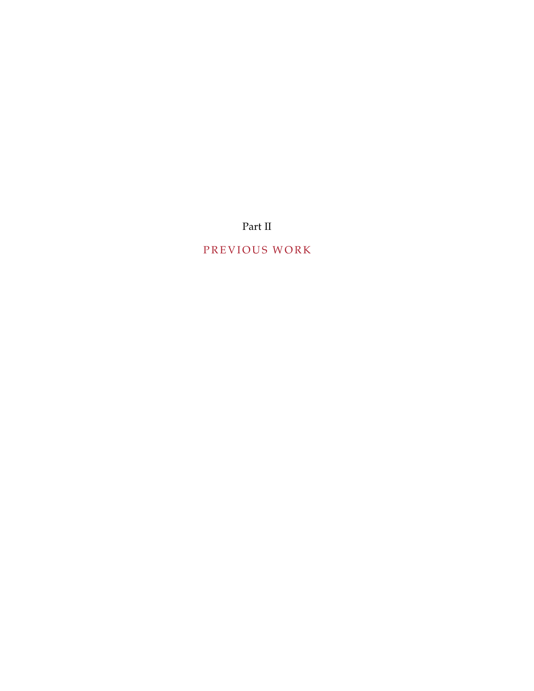Part II

## <span id="page-30-0"></span>PREVIOUS WORK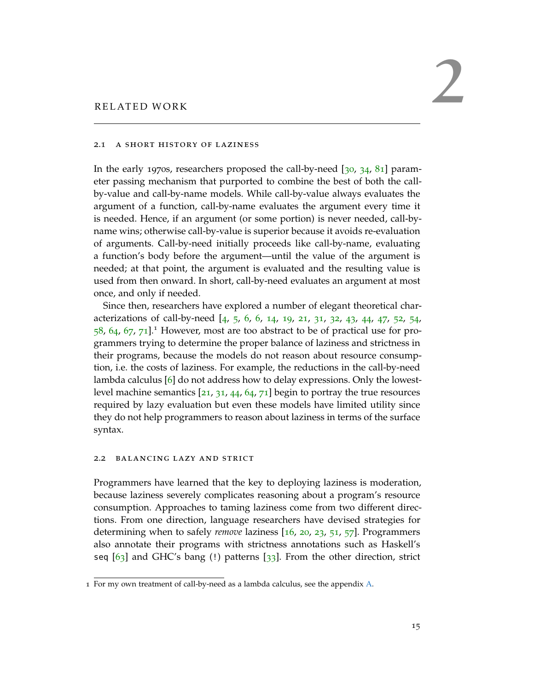#### <span id="page-32-1"></span><span id="page-32-0"></span>2.1 a short history of laziness

In the early 1970s, researchers proposed the call-by-need [[30](#page-144-5), [34](#page-144-7), [81](#page-148-2)] parameter passing mechanism that purported to combine the best of both the callby-value and call-by-name models. While call-by-value always evaluates the argument of a function, call-by-name evaluates the argument every time it is needed. Hence, if an argument (or some portion) is never needed, call-byname wins; otherwise call-by-value is superior because it avoids re-evaluation of arguments. Call-by-need initially proceeds like call-by-name, evaluating a function's body before the argument—until the value of the argument is needed; at that point, the argument is evaluated and the resulting value is used from then onward. In short, call-by-need evaluates an argument at most once, and only if needed.

Since then, researchers have explored a number of elegant theoretical characterizations of call-by-need [[4](#page-142-2), [5](#page-142-3), [6](#page-142-4), [6](#page-142-4), [14](#page-143-3), [19](#page-143-4), [21](#page-143-5), [31](#page-144-8), [32](#page-144-9), [43](#page-145-4), [44](#page-145-5), [47](#page-145-6), [52](#page-146-6), [54](#page-146-7),  $58, 64, 67, 71$  $58, 64, 67, 71$  $58, 64, 67, 71$  $58, 64, 67, 71$  $58, 64, 67, 71$  $58, 64, 67, 71$  $58, 64, 67, 71$ .<sup>1</sup> However, most are too abstract to be of practical use for programmers trying to determine the proper balance of laziness and strictness in their programs, because the models do not reason about resource consumption, i.e. the costs of laziness. For example, the reductions in the call-by-need lambda calculus [[6](#page-142-4)] do not address how to delay expressions. Only the lowestlevel machine semantics [[21](#page-143-5), [31](#page-144-8), [44](#page-145-5), [64](#page-146-9), [71](#page-147-4)] begin to portray the true resources required by lazy evaluation but even these models have limited utility since they do not help programmers to reason about laziness in terms of the surface syntax.

#### <span id="page-32-2"></span>2.2 balancing lazy and strict

Programmers have learned that the key to deploying laziness is moderation, because laziness severely complicates reasoning about a program's resource consumption. Approaches to taming laziness come from two different directions. From one direction, language researchers have devised strategies for determining when to safely *remove* laziness [[16](#page-143-2), [20](#page-143-0), [23](#page-143-1), [51](#page-146-1), [57](#page-146-3)]. Programmers also annotate their programs with strictness annotations such as Haskell's seq  $[63]$  $[63]$  $[63]$  and GHC's bang (!) patterns  $[33]$  $[33]$  $[33]$ . From the other direction, strict

<sup>1</sup> For my own treatment of call-by-need as a lambda calculus, see the appendix [A.](#page-114-0)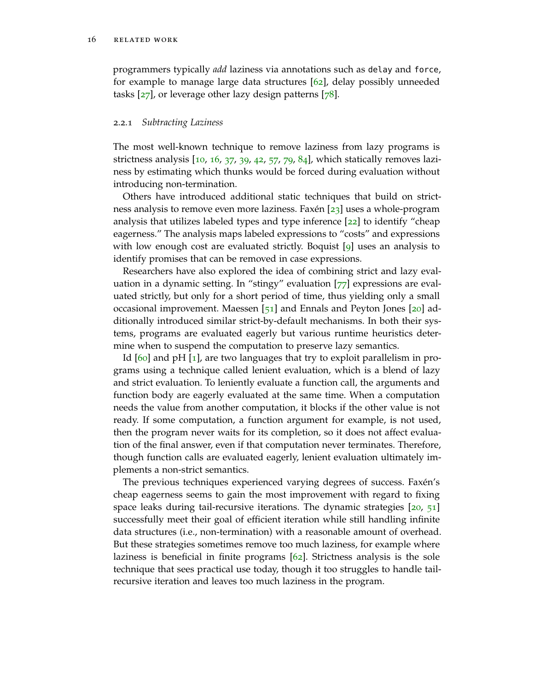programmers typically *add* laziness via annotations such as delay and force, for example to manage large data structures [[62](#page-146-0)], delay possibly unneeded tasks  $[27]$  $[27]$  $[27]$ , or leverage other lazy design patterns  $[78]$  $[78]$  $[78]$ .

#### <span id="page-33-0"></span>2.2.1 *Subtracting Laziness*

The most well-known technique to remove laziness from lazy programs is strictness analysis  $[10, 16, 37, 39, 42, 57, 79, 84]$  $[10, 16, 37, 39, 42, 57, 79, 84]$  $[10, 16, 37, 39, 42, 57, 79, 84]$  $[10, 16, 37, 39, 42, 57, 79, 84]$  $[10, 16, 37, 39, 42, 57, 79, 84]$  $[10, 16, 37, 39, 42, 57, 79, 84]$  $[10, 16, 37, 39, 42, 57, 79, 84]$  $[10, 16, 37, 39, 42, 57, 79, 84]$  $[10, 16, 37, 39, 42, 57, 79, 84]$  $[10, 16, 37, 39, 42, 57, 79, 84]$  $[10, 16, 37, 39, 42, 57, 79, 84]$  $[10, 16, 37, 39, 42, 57, 79, 84]$  $[10, 16, 37, 39, 42, 57, 79, 84]$  $[10, 16, 37, 39, 42, 57, 79, 84]$  $[10, 16, 37, 39, 42, 57, 79, 84]$  $[10, 16, 37, 39, 42, 57, 79, 84]$  $[10, 16, 37, 39, 42, 57, 79, 84]$ , which statically removes laziness by estimating which thunks would be forced during evaluation without introducing non-termination.

Others have introduced additional static techniques that build on strictness analysis to remove even more laziness. Faxén [[23](#page-143-1)] uses a whole-program analysis that utilizes labeled types and type inference [[22](#page-143-6)] to identify "cheap eagerness." The analysis maps labeled expressions to "costs" and expressions with low enough cost are evaluated strictly. Boquist [[9](#page-142-6)] uses an analysis to identify promises that can be removed in case expressions.

Researchers have also explored the idea of combining strict and lazy evaluation in a dynamic setting. In "stingy" evaluation [[77](#page-147-5)] expressions are evaluated strictly, but only for a short period of time, thus yielding only a small occasional improvement. Maessen [[51](#page-146-1)] and Ennals and Peyton Jones [[20](#page-143-0)] additionally introduced similar strict-by-default mechanisms. In both their systems, programs are evaluated eagerly but various runtime heuristics determine when to suspend the computation to preserve lazy semantics.

Id [[60](#page-146-10)] and pH [[1](#page-142-7)], are two languages that try to exploit parallelism in programs using a technique called lenient evaluation, which is a blend of lazy and strict evaluation. To leniently evaluate a function call, the arguments and function body are eagerly evaluated at the same time. When a computation needs the value from another computation, it blocks if the other value is not ready. If some computation, a function argument for example, is not used, then the program never waits for its completion, so it does not affect evaluation of the final answer, even if that computation never terminates. Therefore, though function calls are evaluated eagerly, lenient evaluation ultimately implements a non-strict semantics.

The previous techniques experienced varying degrees of success. Faxén's cheap eagerness seems to gain the most improvement with regard to fixing space leaks during tail-recursive iterations. The dynamic strategies [[20](#page-143-0), [51](#page-146-1)] successfully meet their goal of efficient iteration while still handling infinite data structures (i.e., non-termination) with a reasonable amount of overhead. But these strategies sometimes remove too much laziness, for example where laziness is beneficial in finite programs  $[62]$  $[62]$  $[62]$ . Strictness analysis is the sole technique that sees practical use today, though it too struggles to handle tailrecursive iteration and leaves too much laziness in the program.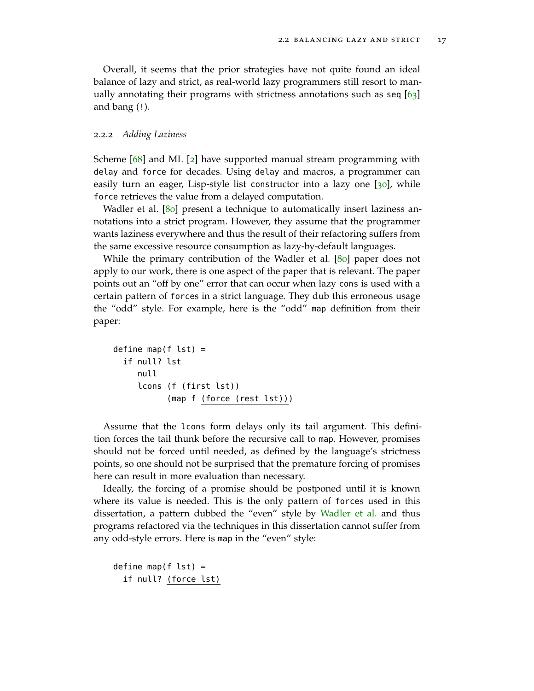Overall, it seems that the prior strategies have not quite found an ideal balance of lazy and strict, as real-world lazy programmers still resort to manually annotating their programs with strictness annotations such as seq [[63](#page-146-4)] and bang (!).

#### <span id="page-34-0"></span>2.2.2 *Adding Laziness*

Scheme [[68](#page-147-2)] and ML [[2](#page-142-1)] have supported manual stream programming with delay and force for decades. Using delay and macros, a programmer can easily turn an eager, Lisp-style list constructor into a lazy one [[30](#page-144-5)], while force retrieves the value from a delayed computation.

Wadler et al. [[80](#page-148-1)] present a technique to automatically insert laziness annotations into a strict program. However, they assume that the programmer wants laziness everywhere and thus the result of their refactoring suffers from the same excessive resource consumption as lazy-by-default languages.

While the primary contribution of the Wadler et al. [[80](#page-148-1)] paper does not apply to our work, there is one aspect of the paper that is relevant. The paper points out an "off by one" error that can occur when lazy cons is used with a certain pattern of forces in a strict language. They dub this erroneous usage the "odd" style. For example, here is the "odd" map definition from their paper:

```
define map(f lst) =
  if null? lst
     null
     lcons (f (first lst))
           (map f (force (rest lst)))
```
Assume that the lcons form delays only its tail argument. This definition forces the tail thunk before the recursive call to map. However, promises should not be forced until needed, as defined by the language's strictness points, so one should not be surprised that the premature forcing of promises here can result in more evaluation than necessary.

Ideally, the forcing of a promise should be postponed until it is known where its value is needed. This is the only pattern of forces used in this dissertation, a pattern dubbed the "even" style by [Wadler et al.](#page-148-1) and thus programs refactored via the techniques in this dissertation cannot suffer from any odd-style errors. Here is map in the "even" style:

```
define map(f lst) =
  if null? (force lst)
```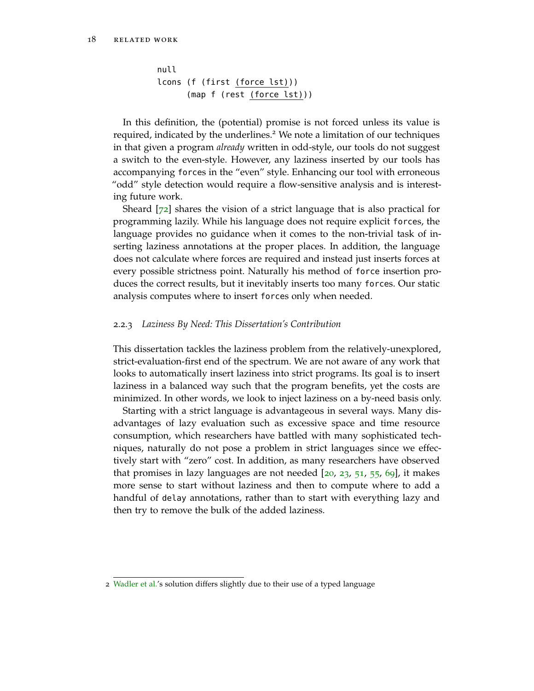```
null
lcons (f (first (force lst)))
      (map f (rest (force lst)))
```
In this definition, the (potential) promise is not forced unless its value is required, indicated by the underlines.<sup>2</sup> We note a limitation of our techniques in that given a program *already* written in odd-style, our tools do not suggest a switch to the even-style. However, any laziness inserted by our tools has accompanying forces in the "even" style. Enhancing our tool with erroneous "odd" style detection would require a flow-sensitive analysis and is interesting future work.

Sheard  $[72]$  $[72]$  $[72]$  shares the vision of a strict language that is also practical for programming lazily. While his language does not require explicit forces, the language provides no guidance when it comes to the non-trivial task of inserting laziness annotations at the proper places. In addition, the language does not calculate where forces are required and instead just inserts forces at every possible strictness point. Naturally his method of force insertion produces the correct results, but it inevitably inserts too many forces. Our static analysis computes where to insert forces only when needed.

#### <span id="page-35-0"></span>2.2.3 *Laziness By Need: This Dissertation's Contribution*

This dissertation tackles the laziness problem from the relatively-unexplored, strict-evaluation-first end of the spectrum. We are not aware of any work that looks to automatically insert laziness into strict programs. Its goal is to insert laziness in a balanced way such that the program benefits, yet the costs are minimized. In other words, we look to inject laziness on a by-need basis only.

Starting with a strict language is advantageous in several ways. Many disadvantages of lazy evaluation such as excessive space and time resource consumption, which researchers have battled with many sophisticated techniques, naturally do not pose a problem in strict languages since we effectively start with "zero" cost. In addition, as many researchers have observed that promises in lazy languages are not needed  $[20, 23, 51, 55, 69]$  $[20, 23, 51, 55, 69]$  $[20, 23, 51, 55, 69]$  $[20, 23, 51, 55, 69]$  $[20, 23, 51, 55, 69]$  $[20, 23, 51, 55, 69]$  $[20, 23, 51, 55, 69]$  $[20, 23, 51, 55, 69]$  $[20, 23, 51, 55, 69]$  $[20, 23, 51, 55, 69]$  $[20, 23, 51, 55, 69]$ , it makes more sense to start without laziness and then to compute where to add a handful of delay annotations, rather than to start with everything lazy and then try to remove the bulk of the added laziness.

<span id="page-35-1"></span><sup>2</sup> [Wadler et al.'](#page-148-1)s solution differs slightly due to their use of a typed language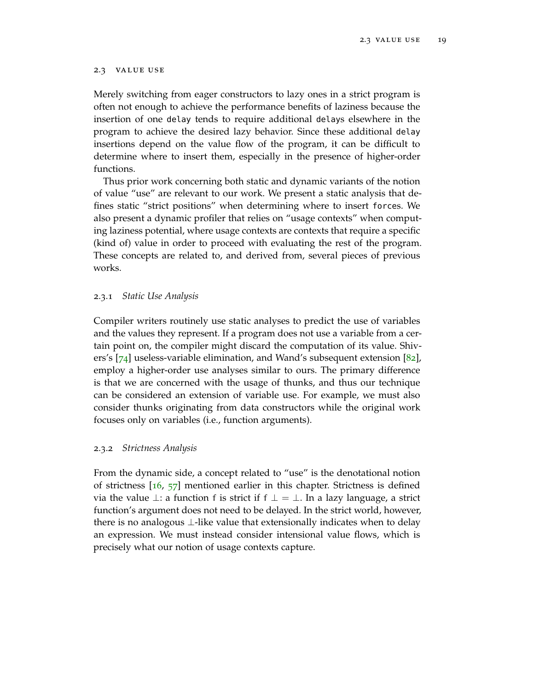### 2.3 value use

Merely switching from eager constructors to lazy ones in a strict program is often not enough to achieve the performance benefits of laziness because the insertion of one delay tends to require additional delays elsewhere in the program to achieve the desired lazy behavior. Since these additional delay insertions depend on the value flow of the program, it can be difficult to determine where to insert them, especially in the presence of higher-order functions.

Thus prior work concerning both static and dynamic variants of the notion of value "use" are relevant to our work. We present a static analysis that defines static "strict positions" when determining where to insert forces. We also present a dynamic profiler that relies on "usage contexts" when computing laziness potential, where usage contexts are contexts that require a specific (kind of) value in order to proceed with evaluating the rest of the program. These concepts are related to, and derived from, several pieces of previous works.

### 2.3.1 *Static Use Analysis*

Compiler writers routinely use static analyses to predict the use of variables and the values they represent. If a program does not use a variable from a certain point on, the compiler might discard the computation of its value. Shivers's  $[74]$  $[74]$  $[74]$  useless-variable elimination, and Wand's subsequent extension  $[82]$  $[82]$  $[82]$ , employ a higher-order use analyses similar to ours. The primary difference is that we are concerned with the usage of thunks, and thus our technique can be considered an extension of variable use. For example, we must also consider thunks originating from data constructors while the original work focuses only on variables (i.e., function arguments).

### 2.3.2 *Strictness Analysis*

From the dynamic side, a concept related to "use" is the denotational notion of strictness [[16](#page-143-0), [57](#page-146-0)] mentioned earlier in this chapter. Strictness is defined via the value  $\perp$ : a function f is strict if f  $\perp = \perp$ . In a lazy language, a strict function's argument does not need to be delayed. In the strict world, however, there is no analogous ⊥-like value that extensionally indicates when to delay an expression. We must instead consider intensional value flows, which is precisely what our notion of usage contexts capture.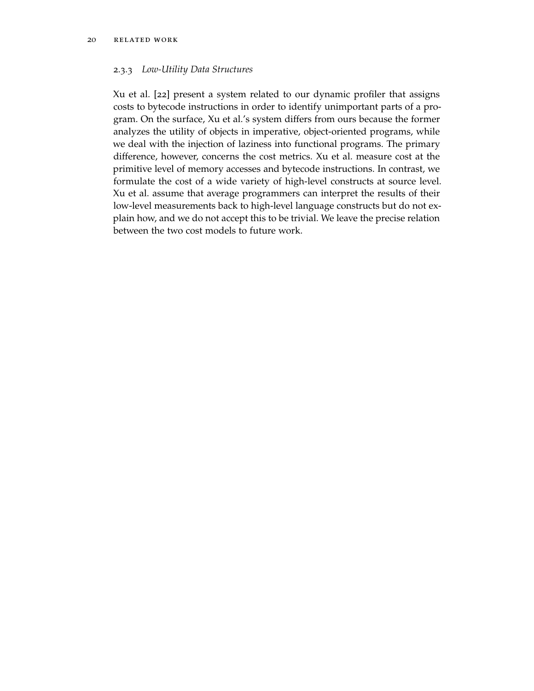### 2.3.3 *Low-Utility Data Structures*

Xu et al. [22] present a system related to our dynamic profiler that assigns costs to bytecode instructions in order to identify unimportant parts of a program. On the surface, Xu et al.'s system differs from ours because the former analyzes the utility of objects in imperative, object-oriented programs, while we deal with the injection of laziness into functional programs. The primary difference, however, concerns the cost metrics. Xu et al. measure cost at the primitive level of memory accesses and bytecode instructions. In contrast, we formulate the cost of a wide variety of high-level constructs at source level. Xu et al. assume that average programmers can interpret the results of their low-level measurements back to high-level language constructs but do not explain how, and we do not accept this to be trivial. We leave the precise relation between the two cost models to future work.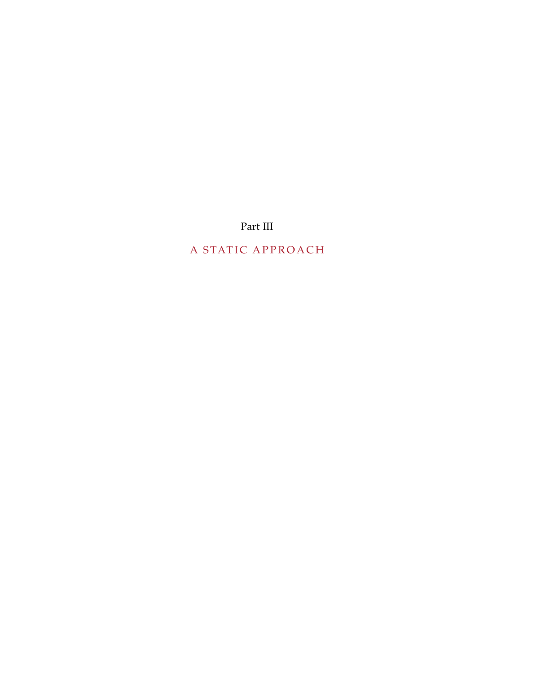Part III

## <span id="page-38-0"></span>A STATIC APPROACH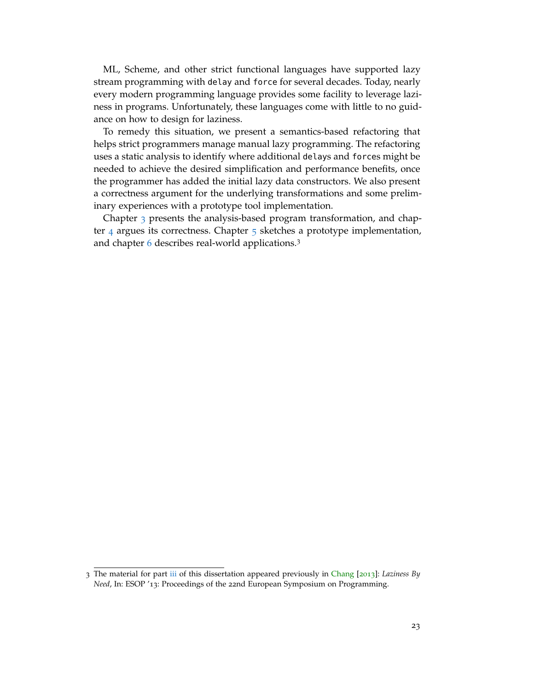ML, Scheme, and other strict functional languages have supported lazy stream programming with delay and force for several decades. Today, nearly every modern programming language provides some facility to leverage laziness in programs. Unfortunately, these languages come with little to no guidance on how to design for laziness.

To remedy this situation, we present a semantics-based refactoring that helps strict programmers manage manual lazy programming. The refactoring uses a static analysis to identify where additional delays and forces might be needed to achieve the desired simplification and performance benefits, once the programmer has added the initial lazy data constructors. We also present a correctness argument for the underlying transformations and some preliminary experiences with a prototype tool implementation.

Chapter [3](#page-42-0) presents the analysis-based program transformation, and chap-ter [4](#page-52-0) argues its correctness. Chapter [5](#page-58-0) sketches a prototype implementation, and chapter [6](#page-62-0) describes real-world applications.<sup>3</sup>

<sup>3</sup> The material for part [iii](#page-38-0) of this dissertation appeared previously in [Chang](#page-142-0) [[2013](#page-142-0)]: *Laziness By Need*, In: ESOP '13: Proceedings of the 22nd European Symposium on Programming.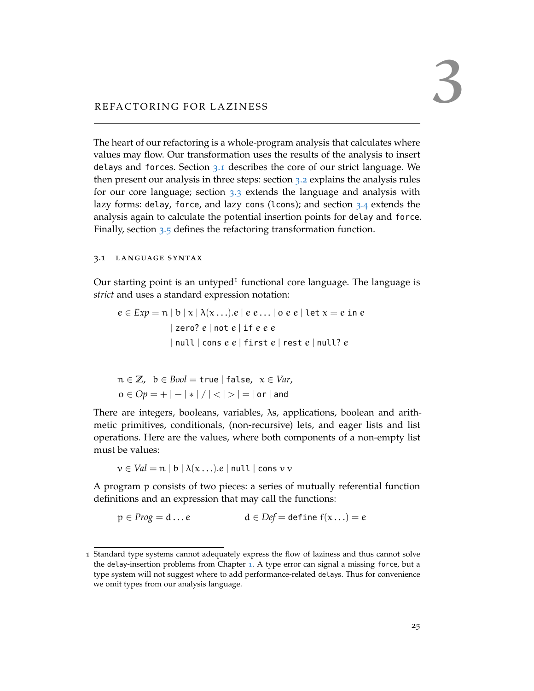<span id="page-42-0"></span>The heart of our refactoring is a whole-program analysis that calculates where values may flow. Our transformation uses the results of the analysis to insert delays and forces. Section 3.[1](#page-42-1) describes the core of our strict language. We then present our analysis in three steps: section [3](#page-42-2).2 explains the analysis rules for our core language; section [3](#page-45-0).3 extends the language and analysis with lazy forms: delay, force, and lazy cons (lcons); and section [3](#page-47-0).4 extends the analysis again to calculate the potential insertion points for delay and force. Finally, section [3](#page-48-0).5 defines the refactoring transformation function.

### <span id="page-42-1"></span>3.1 language syntax

Our starting point is an untyped<sup>1</sup> functional core language. The language is *strict* and uses a standard expression notation:

 $e \in Exp = n | b | x | \lambda(x...) \in | e e ... | o e e |$  let  $x = e$  in e | zero? e | not e | if e e e | null  $|$  cons  $e e$  | first  $e$  | rest  $e$  | null?  $e$ 

$$
n \in \mathbb{Z}
$$
,  $b \in Bool = true | false$ ,  $x \in Var$ ,  
 $o \in Op = +|-|*|/|<|>|=|or|$  and

There are integers, booleans, variables, λs, applications, boolean and arithmetic primitives, conditionals, (non-recursive) lets, and eager lists and list operations. Here are the values, where both components of a non-empty list must be values:

$$
\nu \in Val = \mathfrak{n} \mid b \mid \lambda(x \dots).e \mid \mathsf{null} \mid \mathsf{cons} \vee \nu
$$

A program p consists of two pieces: a series of mutually referential function definitions and an expression that may call the functions:

$$
p \in Prog = d \dots e \qquad d \in Def = \text{define } f(x \dots) = e
$$

<span id="page-42-2"></span><sup>1</sup> Standard type systems cannot adequately express the flow of laziness and thus cannot solve the delay-insertion problems from Chapter [1](#page-20-0). A type error can signal a missing force, but a type system will not suggest where to add performance-related delays. Thus for convenience we omit types from our analysis language.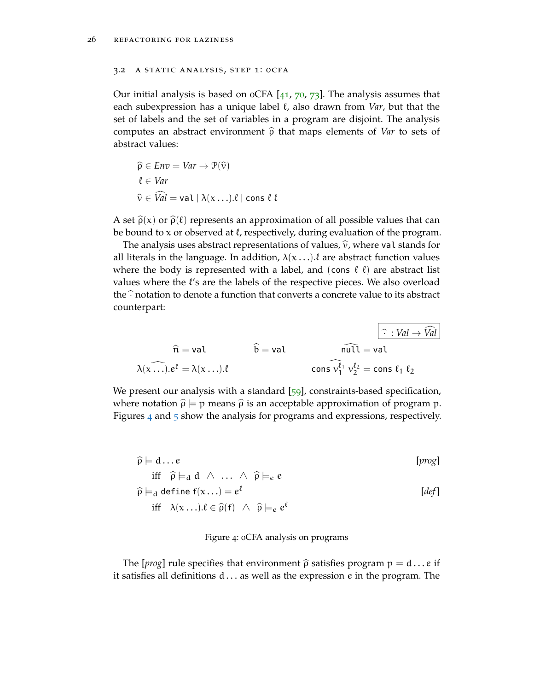### 3.2 a static analysis, step 1: 0cfa

Our initial analysis is based on oCFA  $[41, 70, 73]$  $[41, 70, 73]$  $[41, 70, 73]$  $[41, 70, 73]$  $[41, 70, 73]$  $[41, 70, 73]$  $[41, 70, 73]$ . The analysis assumes that each subexpression has a unique label  $\ell$ , also drawn from *Var*, but that the set of labels and the set of variables in a program are disjoint. The analysis computes an abstract environment  $\hat{\rho}$  that maps elements of *Var* to sets of abstract values:

$$
\widehat{\rho} \in Env = Var \rightarrow \mathcal{P}(\widehat{v})
$$
  
\n
$$
\ell \in Var
$$
  
\n
$$
\widehat{v} \in \widehat{Val} = val \mid \lambda(x \ldots) . \ell \mid cons \ell \ell
$$

A set  $\hat{\rho}(x)$  or  $\hat{\rho}(\ell)$  represents an approximation of all possible values that can be bound to x or observed at  $\ell$ , respectively, during evaluation of the program.

The analysis uses abstract representations of values,  $\hat{v}$ , where val stands for all literals in the language. In addition,  $\lambda(x \dots)\ell$  are abstract function values where the body is represented with a label, and (cons  $\ell \ell$ ) are abstract list values where the  $\ell'$ s are the labels of the respective pieces. We also overload the  $\hat{\cdot}$  notation to denote a function that converts a concrete value to its abstract counterpart:

$$
\widehat{n} = \text{val} \qquad \qquad \widehat{b} = \text{val} \qquad \qquad \widehat{\text{null}} = \text{val}
$$
\n
$$
\lambda(\widehat{x \dots}) \cdot e^{\ell} = \lambda(x \dots) \cdot \ell \qquad \qquad \widehat{b} = \text{val} \qquad \qquad \widehat{\text{null}} = \text{val}
$$

We present our analysis with a standard  $[59]$  $[59]$  $[59]$ , constraints-based specification, where notation  $\hat{\rho} \models p$  means  $\hat{\rho}$  is an acceptable approximation of program p. Figures [4](#page-43-0) and [5](#page-44-0) show the analysis for programs and expressions, respectively.

<span id="page-43-0"></span>
$$
\widehat{\rho} \models d...e
$$
  
iff 
$$
\widehat{\rho} \models_d d \land ... \land \widehat{\rho} \models_e e
$$
 [prog]

$$
\hat{\rho} \models_{d} \text{define } f(x...) = e^{\ell} \qquad [def]
$$
  
iff  $\lambda(x...).\ell \in \hat{\rho}(f) \land \hat{\rho} \models_{e} e^{\ell}$ 

### Figure 4: 0CFA analysis on programs

The [*prog*] rule specifies that environment  $\hat{\rho}$  satisfies program  $p = d \dots e$  if it satisfies all definitions d . . . as well as the expression e in the program. The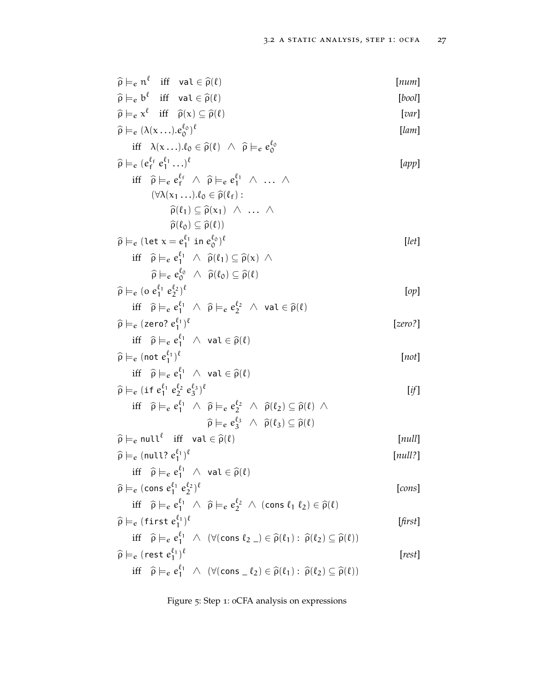<span id="page-44-0"></span>
$$
\hat{\rho} \models e^{i\theta} \text{ iff } \text{val} \in \hat{\rho}(\ell) \text{ [num]}
$$
\n
$$
\hat{\rho} \models e^{i\theta} \text{ iff } \hat{\rho}(x) \subseteq \hat{\rho}(\ell) \text{ [form]}
$$
\n
$$
\hat{\rho} \models e \left( \lambda(x, \ldots), e_0^{\ell_0} \right)^{\ell} \text{ [form]}
$$
\n
$$
\hat{\rho} \models e (\hat{\rho}^{\ell_1}, \ldots), \hat{\rho} \in \hat{\rho}(\ell) \text{ [form]}
$$
\n
$$
\hat{\rho} \models e e_1^{\ell_1} \wedge \ldots, \hat{\rho} \in e_1^{\ell_1} \text{ [form]}
$$
\n
$$
\hat{\rho} \models e e_1^{\ell_1} \wedge \hat{\rho} \models e e_1^{\ell_1} \wedge \ldots \wedge \text{ [app]}
$$
\n
$$
\hat{\rho} \models e_1^{\ell_1} \land \hat{\rho} \in \hat{\rho}(\ell_1) \text{ [form]}
$$
\n
$$
\hat{\rho} \models e_1^{\ell_1} \land \hat{\rho} \in \hat{\rho}(\ell_1) \text{ [form]}
$$
\n
$$
\hat{\rho} \models e_2^{\ell_1} \land \hat{\rho} \in \hat{\rho}(\ell_1) \text{ [app]}
$$
\n
$$
\hat{\rho} \models e e_2^{\ell_1} \land \hat{\rho} \in \hat{\rho} \text{ [line } \hat{\rho}(\ell_1) \text{ [line]} \text{ [line]}
$$
\n
$$
\hat{\rho} \models e e_2^{\ell_1} \land \hat{\rho} \in \hat{\rho} \text{ [line } \hat{\rho}(\ell_1) \text{ [line]} \text{ [line]}
$$
\n
$$
\hat{\rho} \models e (e_1^{\ell_1} \cdot \hat{\rho} \cdot \hat{\rho} \in e_2^{\ell_2} \text{ [line]} \text{ [line]}
$$
\n
$$
\hat{\rho} \models e (e_1^{\ell_1} \cdot \hat{\rho} \cdot \hat{\rho} \in e_2^{\ell_2} \text{ [line]} \text{ [line]}
$$
\n
$$
\hat{\rho} \models e (e_1^{\ell_1} \cdot \hat{\rho} \cdot \hat{\rho} \in e_2^{\ell_2}
$$

Figure 5: Step 1: 0CFA analysis on expressions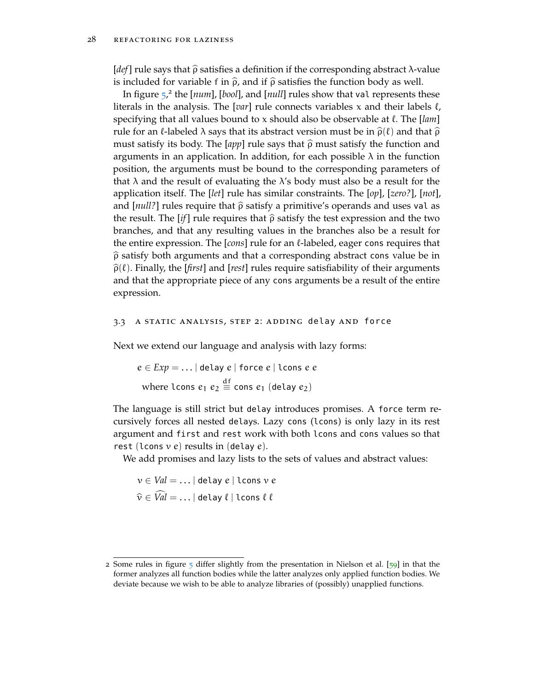[*def*] rule says that  $\hat{\rho}$  satisfies a definition if the corresponding abstract λ-value is included for variable f in  $\hat{\rho}$ , and if  $\hat{\rho}$  satisfies the function body as well.

In figure [5](#page-44-0), 2 the [*num*], [*bool*], and [*null*] rules show that val represents these literals in the analysis. The  $[var]$  rule connects variables x and their labels  $\ell$ , specifying that all values bound to x should also be observable at  $\ell$ . The [*lam*] rule for an  $\ell$ -labeled  $\lambda$  says that its abstract version must be in  $\hat{\rho}(\ell)$  and that  $\hat{\rho}$ must satisfy its body. The *[app]* rule says that  $\hat{\rho}$  must satisfy the function and arguments in an application. In addition, for each possible  $\lambda$  in the function position, the arguments must be bound to the corresponding parameters of that  $\lambda$  and the result of evaluating the  $\lambda$ 's body must also be a result for the application itself. The [*let*] rule has similar constraints. The [*op*], [*zero?*], [*not*], and [ $null$ ?] rules require that  $\hat{\rho}$  satisfy a primitive's operands and uses val as the result. The [*if*] rule requires that  $\hat{\rho}$  satisfy the test expression and the two branches, and that any resulting values in the branches also be a result for the entire expression. The [*cons*] rule for an l-labeled, eager cons requires that  $\widehat{\rho}$  satisfy both arguments and that a corresponding abstract cons value be in  $\hat{\rho}(\ell)$ . Finally, the [*first*] and [*rest*] rules require satisfiability of their arguments and that the appropriate piece of any cons arguments be a result of the entire expression.

### <span id="page-45-0"></span>3.3 a static analysis, step 2: adding delay and force

Next we extend our language and analysis with lazy forms:

 $e \in Exp = \ldots |$  delay  $e |$  force  $e |$  lcons  $e e$ where lcons  $e_1$   $e_2 \stackrel{\text{df}}{=}$  cons  $e_1$  (delay  $e_2$ )

The language is still strict but delay introduces promises. A force term recursively forces all nested delays. Lazy cons (lcons) is only lazy in its rest argument and first and rest work with both lcons and cons values so that rest (lcons  $v e$ ) results in (delay  $e$ ).

We add promises and lazy lists to the sets of values and abstract values:

v ∈ *Val* = . . . | delay e | lcons v e  $\widehat{v} \in \widehat{Val} = \ldots |\right.$  delay  $\ell |$  lcons  $\ell \ell$ 

<sup>2</sup> Some rules in figure [5](#page-44-0) differ slightly from the presentation in Nielson et al. [[59](#page-146-1)] in that the former analyzes all function bodies while the latter analyzes only applied function bodies. We deviate because we wish to be able to analyze libraries of (possibly) unapplied functions.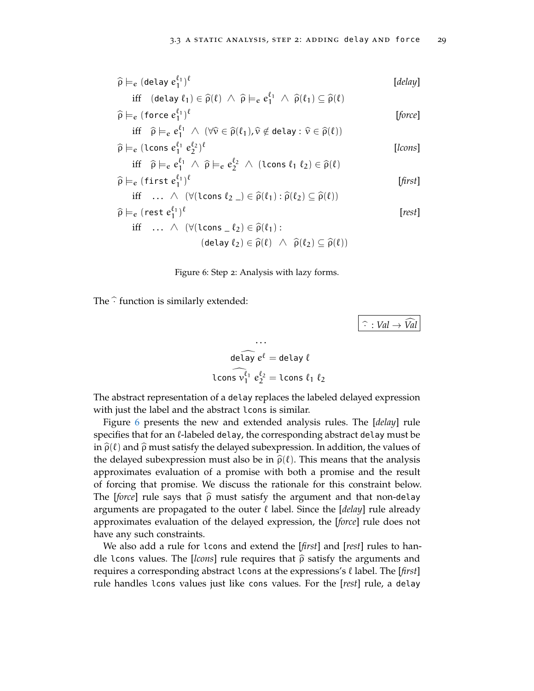<span id="page-46-0"></span>
$$
\hat{\rho} \models_{e} (\text{delay } e_{1}^{\ell_{1}})^{\ell} \qquad [delay] \n\text{iff} (\text{delay } \ell_{1}) \in \hat{\rho}(\ell) \land \hat{\rho} \models_{e} e_{1}^{\ell_{1}} \land \hat{\rho}(\ell_{1}) \subseteq \hat{\rho}(\ell) \qquad [force] \n\hat{\rho} \models_{e} (\text{force } e_{1}^{\ell_{1}})^{\ell} \qquad [force] \n\text{iff} \hat{\rho} \models_{e} e_{1}^{\ell_{1}} \land (\forall \hat{v} \in \hat{\rho}(\ell_{1}), \hat{v} \notin \text{delay : } \hat{v} \in \hat{\rho}(\ell)) \n\hat{\rho} \models_{e} (\text{Lcons } e_{1}^{\ell_{1}} e_{2}^{\ell_{2}})^{\ell} \qquad [lcons] \n\hat{\rho} \models_{e} e_{1}^{\ell_{1}} \land \hat{\rho} \models_{e} e_{2}^{\ell_{2}} \land (\text{Lcons } \ell_{1} \ell_{2}) \in \hat{\rho}(\ell) \n\hat{\rho} \models_{e} (\text{first } e_{1}^{\ell_{1}})^{\ell} \qquad [first] \n\text{iff} \qquad \dots \land (\forall (\text{Lcons } \ell_{2} \cup \hat{\rho}(\ell_{1}) : \hat{\rho}(\ell_{2}) \subseteq \hat{\rho}(\ell)) \n\hat{\rho} \models_{e} (\text{rest } e_{1}^{\ell_{1}})^{\ell} \qquad [rest] \n\text{iff} \qquad \dots \land (\forall (\text{Lcons } \ell_{2}) \in \hat{\rho}(\ell_{1}) : \qquad (\text{delay } \ell_{2}) \in \hat{\rho}(\ell) \land \hat{\rho}(\ell_{2}) \subseteq \hat{\rho}(\ell))
$$

Figure 6: Step 2: Analysis with lazy forms.

The  $\widehat{\cdot}$  function is similarly extended:

 $\hat{\cdot}$  : *Val*  $\rightarrow$  *Val* 

$$
\widehat{\text{delay } e^{\ell}} = \text{delay } \ell
$$
  
lcons  $\widehat{v_1^{\ell_1} e_2^{\ell_2}} = \text{lcons } \ell_1 \ell_2$ 

. . .

The abstract representation of a delay replaces the labeled delayed expression with just the label and the abstract lcons is similar.

Figure [6](#page-46-0) presents the new and extended analysis rules. The [*delay*] rule specifies that for an  $\ell$ -labeled delay, the corresponding abstract delay must be in  $\widehat{\rho}(\ell)$  and  $\widehat{\rho}$  must satisfy the delayed subexpression. In addition, the values of the delayed subexpression must also be in  $\hat{\rho}(\ell)$ . This means that the analysis approximates evaluation of a promise with both a promise and the result of forcing that promise. We discuss the rationale for this constraint below. The [*force*] rule says that  $\hat{\rho}$  must satisfy the argument and that non-delay arguments are propagated to the outer  $\ell$  label. Since the *[delay*] rule already approximates evaluation of the delayed expression, the [*force*] rule does not have any such constraints.

We also add a rule for lcons and extend the [*first*] and [*rest*] rules to handle lcons values. The [*lcons*] rule requires that  $\hat{\rho}$  satisfy the arguments and requires a corresponding abstract lcons at the expressions's  $\ell$  label. The [*first*] rule handles lcons values just like cons values. For the [*rest*] rule, a delay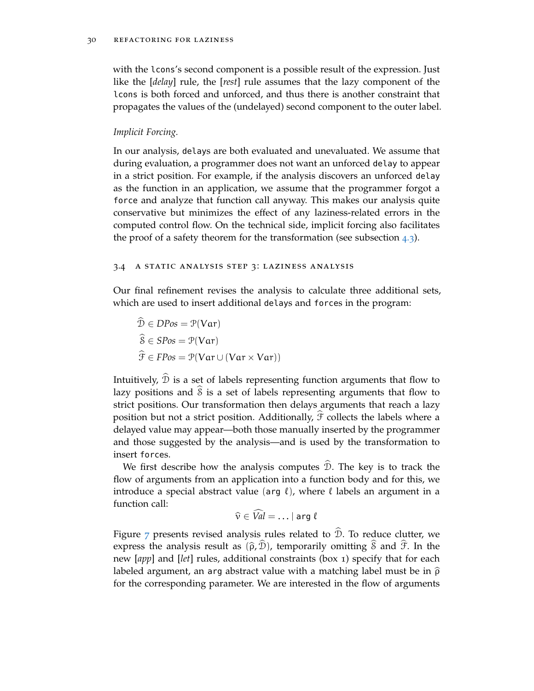with the lcons's second component is a possible result of the expression. Just like the [*delay*] rule, the [*rest*] rule assumes that the lazy component of the lcons is both forced and unforced, and thus there is another constraint that propagates the values of the (undelayed) second component to the outer label.

### *Implicit Forcing.*

In our analysis, delays are both evaluated and unevaluated. We assume that during evaluation, a programmer does not want an unforced delay to appear in a strict position. For example, if the analysis discovers an unforced delay as the function in an application, we assume that the programmer forgot a force and analyze that function call anyway. This makes our analysis quite conservative but minimizes the effect of any laziness-related errors in the computed control flow. On the technical side, implicit forcing also facilitates the proof of a safety theorem for the transformation (see subsection [4](#page-55-0).3).

### <span id="page-47-0"></span>3.4 a static analysis step 3: laziness analysis

Our final refinement revises the analysis to calculate three additional sets, which are used to insert additional delays and forces in the program:

$$
\begin{aligned} \widehat{\mathcal{D}} \in DPos &= \mathcal{P}(\mathbf{Var}) \\ \widehat{\mathcal{S}} \in SPos &= \mathcal{P}(\mathbf{Var}) \\ \widehat{\mathcal{T}} \in FPos &= \mathcal{P}(\mathbf{Var} \cup (\mathbf{Var} \times \mathbf{Var})) \end{aligned}
$$

Intuitively,  $\hat{\mathcal{D}}$  is a set of labels representing function arguments that flow to lazy positions and  $S$  is a set of labels representing arguments that flow to strict positions. Our transformation then delays arguments that reach a lazy position but not a strict position. Additionally,  $\tilde{\mathcal{F}}$  collects the labels where a delayed value may appear—both those manually inserted by the programmer and those suggested by the analysis—and is used by the transformation to insert forces.

We first describe how the analysis computes  $D$ . The key is to track the flow of arguments from an application into a function body and for this, we introduce a special abstract value (arg  $\ell$ ), where  $\ell$  labels an argument in a function call:

$$
\widehat{v} \in Val = \ldots | \text{ arg } \ell
$$

Figure  $\overline{z}$  presents revised analysis rules related to  $\overline{D}$ . To reduce clutter, we express the analysis result as  $(\hat{\rho}, \hat{\mathcal{D}})$ , temporarily omitting  $\hat{\mathcal{S}}$  and  $\hat{\mathcal{F}}$ . In the new [*app*] and [*let*] rules, additional constraints (box 1) specify that for each labeled argument, an arg abstract value with a matching label must be in  $\hat{\rho}$ for the corresponding parameter. We are interested in the flow of arguments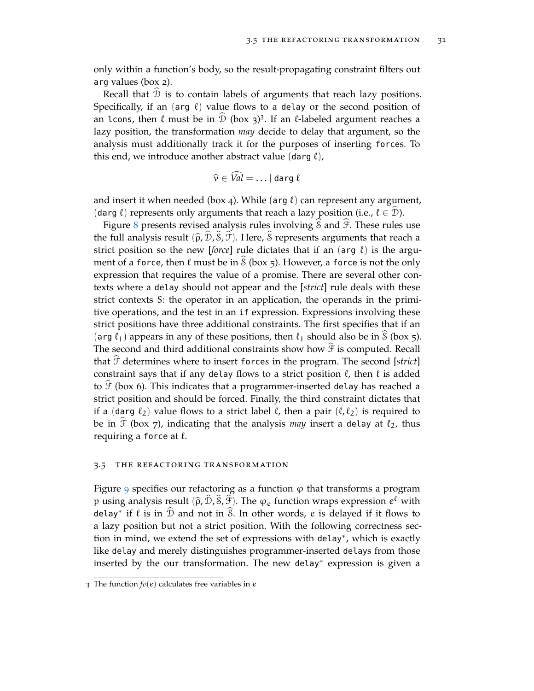only within a function's body, so the result-propagating constraint filters out arg values (box 2).

Recall that  $D$  is to contain labels of arguments that reach lazy positions. Specifically, if an (arg  $\ell$ ) value flows to a delay or the second position of an lcons, then  $\ell$  must be in  $\widehat{\mathcal{D}}$  (box 3)<sup>3</sup>. If an  $\ell$ -labeled argument reaches a lazy position, the transformation *may* decide to delay that argument, so the analysis must additionally track it for the purposes of inserting forces. To this end, we introduce another abstract value (darg  $\ell$ ),

$$
\widehat{\nu} \in Val = \ldots | \text{ darg } \ell
$$

and insert it when needed (box 4). While (arg  $\ell$ ) can represent any argument, (darg  $\ell$ ) represents only arguments that reach a lazy position (i.e.,  $\ell \in \mathcal{D}$ ).

Figure [8](#page-50-0) presents revised analysis rules involving  $\hat{S}$  and  $\hat{\mathcal{F}}$ . These rules use the full analysis result  $(\hat{\rho}, \hat{\mathcal{D}}, \hat{\mathcal{S}}, \hat{\mathcal{F}})$ . Here,  $\hat{\mathcal{S}}$  represents arguments that reach a strict position so the new [*force*] rule dictates that if an ( $\arg \ell$ ) is the argument of a force, then  $\ell$  must be in  $\delta$  (box 5). However, a force is not the only expression that requires the value of a promise. There are several other contexts where a delay should not appear and the [*strict*] rule deals with these strict contexts S: the operator in an application, the operands in the primitive operations, and the test in an if expression. Expressions involving these strict positions have three additional constraints. The first specifies that if an (arg  $\ell_1$ ) appears in any of these positions, then  $\ell_1$  should also be in S (box 5). The second and third additional constraints show how  $\mathcal F$  is computed. Recall that  $\mathcal F$  determines where to insert forces in the program. The second [ $strict$ ] constraint says that if any delay flows to a strict position  $\ell$ , then  $\ell$  is added to  $\mathcal F$  (box 6). This indicates that a programmer-inserted delay has reached a strict position and should be forced. Finally, the third constraint dictates that if a (darg  $\ell_2$ ) value flows to a strict label  $\ell$ , then a pair  $(\ell,\ell_2)$  is required to be in  $\mathcal{F}$  (box 7), indicating that the analysis *may* insert a delay at  $\ell_2$ , thus requiring a force at  $\ell$ .

### <span id="page-48-0"></span>3.5 the refactoring transformation

Figure  $9$  specifies our refactoring as a function  $\varphi$  that transforms a program p using analysis result  $(\hat{\rho}, \hat{\mathcal{D}}, \hat{\mathcal{S}}, \hat{\mathcal{F}})$ . The  $\varphi_e$  function wraps expression  $e^{\ell}$  with delay<sup>\*</sup> if  $\ell$  is in  $\widehat{\mathcal{D}}$  and not in  $\widehat{\mathcal{S}}$ . In other words, e is delayed if it flows to a lazy position but not a strict position. With the following correctness section in mind, we extend the set of expressions with delay<sup>\*</sup>, which is exactly like delay and merely distinguishes programmer-inserted delays from those inserted by the our transformation. The new delay<sup>∗</sup> expression is given a

<sup>3</sup> The function  $fv(e)$  calculates free variables in  $e$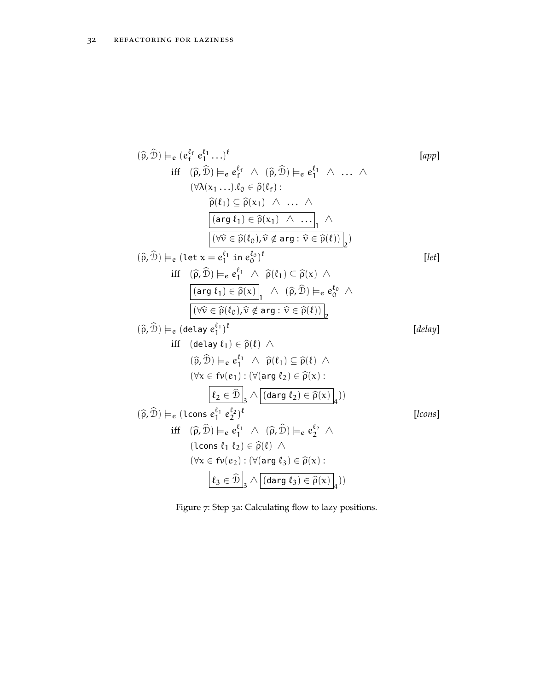<span id="page-49-0"></span>
$$
(\hat{\rho}, \hat{\mathcal{D}}) \models_{e} (e_{f}^{\ell_{f}} e_{1}^{\ell_{1}} ...)^{\ell}
$$
\n
$$
\text{if } (\hat{\rho}, \hat{\mathcal{D}}) \models_{e} e_{f}^{\ell_{f}} \land (\hat{\rho}, \hat{\mathcal{D}}) \models_{e} e_{1}^{\ell_{1}} \land ... \land
$$
\n
$$
(\forall \lambda(x_{1}...).\ell_{0} \in \hat{\rho}(\ell_{f}) : \hat{\rho}(\ell_{1}) \subseteq \hat{\rho}(x_{1}) \land ... \land
$$
\n
$$
\frac{(\arg \ell_{1}) \in \hat{\rho}(x_{1}) \land ... \land}{(\arg \ell_{1}) \in \hat{\rho}(x_{1}) \land ... \land \dots} \land
$$
\n
$$
\frac{(\forall \hat{v} \in \hat{\rho}(\ell_{0}), \hat{v} \notin arg : \hat{v} \in \hat{\rho}(\ell))}{(\forall \hat{v} \in \hat{\rho}(\ell_{0}), \hat{v} \notin arg : \hat{v} \in \hat{\rho}(\ell))} \text{[let]}
$$
\n
$$
\text{if } (\hat{\rho}, \hat{\mathcal{D}}) \models_{e} e_{1}^{\ell_{1}} \land \hat{\rho}(\ell_{1}) \subseteq \hat{\rho}(x) \land
$$
\n
$$
\frac{(\arg \ell_{1}) \in \hat{\rho}(x)}{(\forall \hat{v} \in \hat{\rho}(\ell_{0}), \hat{v} \notin arg : \hat{v} \in \hat{\rho}(\ell))} \text{[let]}
$$
\n
$$
(\hat{\rho}, \hat{\mathcal{D}}) \models_{e} (\text{delay } \ell_{1})^{\ell} \text{[for } \hat{\rho}(\ell_{1}) \subseteq \hat{\rho}(\ell_{1}) \land ... \text{[if } (\text{delay } \ell_{1}) \in \hat{\rho}(\ell_{1}) \land ... \text{[if } (\text{delay } \ell_{1}) \in \hat{\rho}(\ell_{1}) \land ... \text{[if } (\text{delay } \ell_{1}) \in \hat{\rho}(\ell_{1}) \land ... \text{[if } (\text{delay } \ell_{1}) \in \hat{\rho}(\ell_{1}) \land ... \text{[if } (\text{delay } \ell_{1}) \in \hat{\rho}(\ell_{1}) \land ... \text{[if } (\text{days } \ell_{1}) \in \hat{\rho}(\ell_{1}) \land ...
$$

Figure 7: Step 3a: Calculating flow to lazy positions.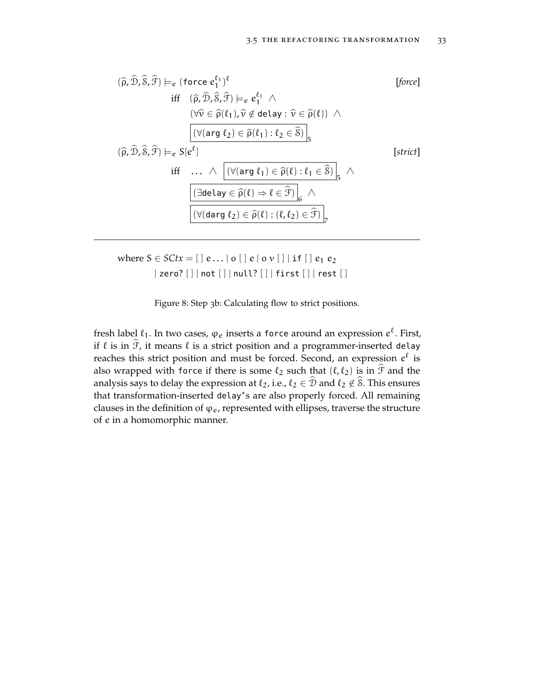<span id="page-50-0"></span>
$$
(\hat{\rho}, \hat{\mathcal{D}}, \hat{\mathcal{S}}, \hat{\mathcal{F}}) \models_{e} \text{ (force } e_{1}^{\ell_{1}})^{\ell} \qquad \text{[force]}
$$
\n
$$
\text{iff} \quad (\hat{\rho}, \hat{\mathcal{D}}, \hat{\mathcal{S}}, \hat{\mathcal{F}}) \models_{e} e_{1}^{\ell_{1}} \wedge \qquad \qquad \text{[force]}
$$
\n
$$
(\forall \hat{v} \in \hat{\rho}(\ell_{1}), \hat{v} \notin \text{delay} : \hat{v} \in \hat{\rho}(\ell) \wedge \qquad \qquad \text{[%}(\hat{\rho}, \hat{\mathcal{D}}, \hat{\mathcal{S}}, \hat{\mathcal{F}}) \models_{e} S[e^{\ell}] \qquad \qquad \text{[strict]}
$$
\n
$$
\text{iff} \quad \dots \wedge \qquad \qquad \qquad \text{[%}(\text{arg } \ell_{1}) \in \hat{\rho}(\ell) : \ell_{1} \in \hat{\mathcal{S}}) \bigg|_{S} \wedge \qquad \qquad \text{[strict]}
$$
\n
$$
\text{[H} \quad \dots \wedge \qquad \qquad \qquad \text{[%}(\text{arg } \ell_{1}) \in \hat{\rho}(\ell) : \ell_{1} \in \hat{\mathcal{S}}) \bigg|_{S} \wedge \qquad \qquad \qquad \text{[strict]}
$$
\n
$$
\text{[H} \quad \dots \wedge \qquad \qquad \text{[%}(\text{arg } \ell_{1}) \in \hat{\rho}(\ell) : \ell_{1} \in \hat{\mathcal{S}}) \bigg|_{S} \wedge \qquad \qquad \qquad \text{[[%}(\text{diag } \ell_{2}) \in \hat{\rho}(\ell) : (\ell_{2}) \in \hat{\mathcal{F}}) \bigg|_{S}
$$

where  $S \in SCtx = [ ] e ... | o [ ] e | o v [ ] | if [ ] e_1 e_2$ | zero? [ ] | not [ ] | null? [ ] | first [ ] | rest [ ]

Figure 8: Step 3b: Calculating flow to strict positions.

fresh label  $\ell_1.$  In two cases,  $\varphi_e$  inserts a force around an expression  $e^\ell.$  First, if  $\ell$  is in  $\widehat{\mathcal{F}}$ , it means  $\ell$  is a strict position and a programmer-inserted delay reaches this strict position and must be forced. Second, an expression  $e^{\ell}$  is also wrapped with force if there is some  $\ell_2$  such that  $(\ell, \ell_2)$  is in  $\hat{\mathcal{F}}$  and the analysis says to delay the expression at  $\ell_2$ , i.e.,  $\ell_2 \in \widehat{\mathcal{D}}$  and  $\ell_2 \notin \widehat{\mathcal{S}}$ . This ensures that transformation-inserted delay<sup>∗</sup> s are also properly forced. All remaining clauses in the definition of  $\varphi_e$ , represented with ellipses, traverse the structure of e in a homomorphic manner.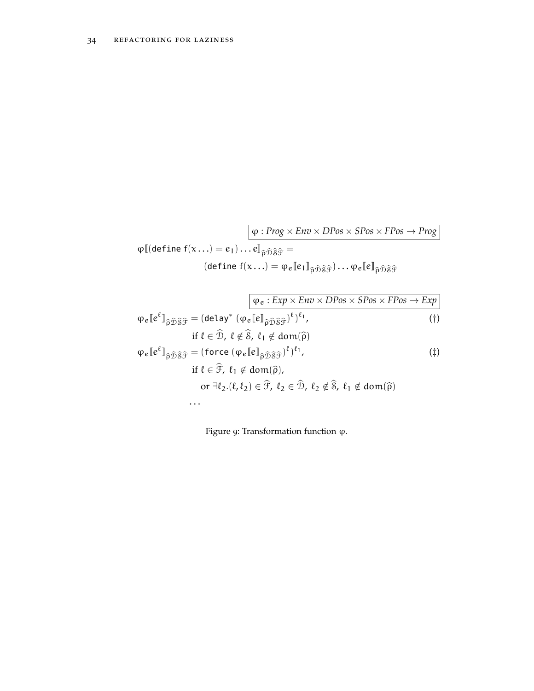<span id="page-51-0"></span>
$$
\varphi \left[ (\text{define } f(x...)=e_1) \dots e \right]_{\widehat{\rho} \widehat{\mathcal{D}} \widehat{S} \widehat{\mathcal{F}}} =
$$

$$
(\text{define } f(x...)=\varphi_e \left[ e_1 \right]_{\widehat{\rho} \widehat{\mathcal{D}} \widehat{S} \widehat{\mathcal{F}}} ). . . \varphi_e \left[ e \right]_{\widehat{\rho} \widehat{\mathcal{D}} \widehat{S} \widehat{\mathcal{F}}}
$$

$$
\varphi_e: Exp \times Env \times DPos \times SPos \times FPos \rightarrow Exp
$$
\n
$$
\varphi_e[e^{\ell}]_{\hat{\rho}\hat{\mathfrak{D}}\hat{\mathfrak{S}}\hat{\mathfrak{F}}} = (\text{delay}^* \left( \varphi_e[e]_{\hat{\rho}\hat{\mathfrak{D}}\hat{\mathfrak{S}}\hat{\mathfrak{F}}} \right)^{\ell})^{\ell_1}, \qquad (\dagger)
$$
\n
$$
\text{if } \ell \in \hat{\mathfrak{D}}, \ell \notin \hat{\mathfrak{S}}, \ell_1 \notin \text{dom}(\hat{\rho})
$$
\n
$$
\varphi_e[e^{\ell}]_{\hat{\rho}\hat{\mathfrak{D}}\hat{\mathfrak{S}}\hat{\mathfrak{F}}} = (\text{force } (\varphi_e[e]_{\hat{\rho}\hat{\mathfrak{D}}\hat{\mathfrak{S}}\hat{\mathfrak{F}}})^{\ell})^{\ell_1}, \qquad (\dagger)
$$
\n
$$
\text{if } \ell \in \hat{\mathfrak{F}}, \ell_1 \notin \text{dom}(\hat{\rho}), \qquad \text{or } \exists \ell_2.(\ell, \ell_2) \in \hat{\mathfrak{F}}, \ell_2 \in \hat{\mathfrak{D}}, \ell_2 \notin \hat{\mathfrak{S}}, \ell_1 \notin \text{dom}(\hat{\rho})
$$
\n
$$
\dots
$$

Figure 9: Transformation function  $\varphi.$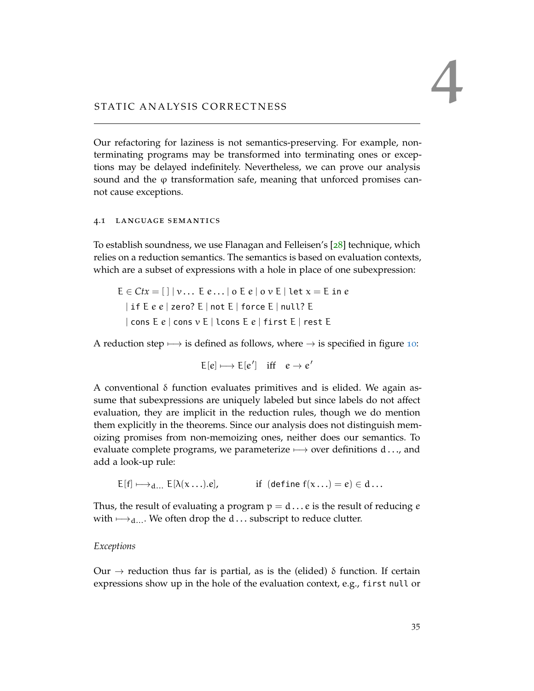# <span id="page-52-0"></span>STATIC ANALYSIS CORRECTNESS

Our refactoring for laziness is not semantics-preserving. For example, nonterminating programs may be transformed into terminating ones or exceptions may be delayed indefinitely. Nevertheless, we can prove our analysis sound and the  $\varphi$  transformation safe, meaning that unforced promises cannot cause exceptions.

### 4.1 language semantics

To establish soundness, we use Flanagan and Felleisen's [[28](#page-144-0)] technique, which relies on a reduction semantics. The semantics is based on evaluation contexts, which are a subset of expressions with a hole in place of one subexpression:

 $E \in \mathcal{C}tx = [\ ] \ | \ v \ldots E e \ldots \ | \ o \ E \ e \ | \ o \ v \ E \ | \ \texttt{let} \ x = E \ \texttt{in} \ e$ | if E e e | zero? E | not E | force E | null? E | cons E e | cons v E | lcons E e | first E | rest E

A reduction step  $\rightarrow$  is defined as follows, where  $\rightarrow$  is specified in figure [10](#page-53-0):

 $E[e] \longmapsto E[e'] \text{ iff } e \rightarrow e'$ 

A conventional δ function evaluates primitives and is elided. We again assume that subexpressions are uniquely labeled but since labels do not affect evaluation, they are implicit in the reduction rules, though we do mention them explicitly in the theorems. Since our analysis does not distinguish memoizing promises from non-memoizing ones, neither does our semantics. To evaluate complete programs, we parameterize  $\rightarrow$  over definitions d . . ., and add a look-up rule:

 $E[f] \longmapsto_{d...} E[\lambda(x...) . . .].e],$  if (define  $f(x...) = e \in d...$ 

Thus, the result of evaluating a program  $p = d \dots e$  is the result of reducing e with  $\mapsto$ <sub>d...</sub>. We often drop the d . . . subscript to reduce clutter.

### *Exceptions*

Our  $\rightarrow$  reduction thus far is partial, as is the (elided)  $\delta$  function. If certain expressions show up in the hole of the evaluation context, e.g., first null or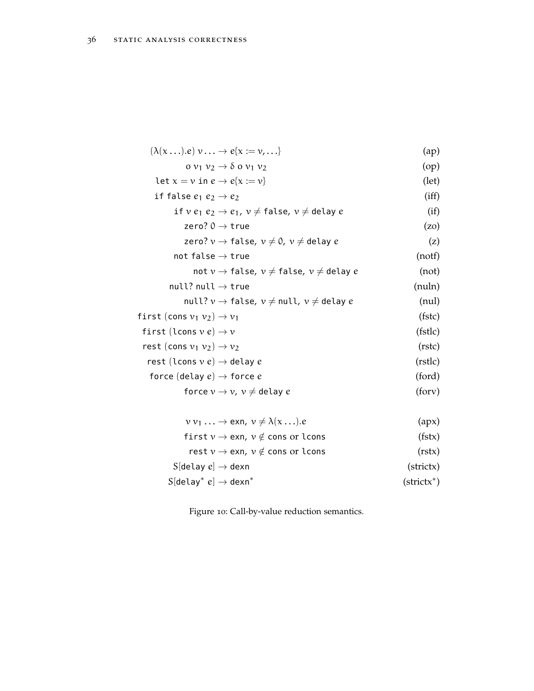<span id="page-53-0"></span>

| $(\lambda(x \dots).e) \nu \dots \rightarrow e\{x := \nu, \dots\}$        | (ap)                |
|--------------------------------------------------------------------------|---------------------|
| $\delta$ $\nu_1$ $\nu_2$ $\rightarrow$ $\delta$ $\delta$ $\nu_1$ $\nu_2$ | (op)                |
| let $x = v$ in $e \rightarrow e\{x := v\}$                               | $(\text{let})$      |
| if false $e_1$ $e_2 \rightarrow e_2$                                     | $(i\text{ff})$      |
| if $v e_1 e_2 \rightarrow e_1$ , $v \neq$ false, $v \neq$ delay e        | (i f)               |
| zero? $0 \rightarrow$ true                                               | (zo)                |
| zero? $v \rightarrow$ false, $v \neq 0$ , $v \neq$ delay e               | (z)                 |
| not false $\rightarrow$ true                                             | (notf)              |
| not $v \rightarrow$ false, $v \neq$ false, $v \neq$ delay e              | (not)               |
| null? null $\rightarrow$ true                                            | (nuln)              |
| null? $v \rightarrow$ false, $v \neq$ null, $v \neq$ delay e             | (nul)               |
| first (cons $v_1$ $v_2$ ) $\rightarrow$ $v_1$                            | (f <sub>stc</sub> ) |
| first (lcons $v e$ ) $\rightarrow v$                                     | (fstlc)             |
| rest (cons $v_1$ $v_2$ ) $\rightarrow$ $v_2$                             | (r <sub>stc</sub> ) |
| rest (lcons $v e$ ) $\rightarrow$ delay e                                | (rstlc)             |
| force (delay $e$ ) $\rightarrow$ force $e$                               | (ford)              |
| force $v \rightarrow v$ , $v \neq$ delay e                               | (fory)              |
|                                                                          |                     |

| $v v_1  \rightarrow e x n$ , $v \neq \lambda(x ).e$        | (apx)              |
|------------------------------------------------------------|--------------------|
| first $v \rightarrow e$ xn, $v \notin$ cons or lcons       | (fstx)             |
| rest $v \rightarrow$ exn, $v \notin$ cons or lcons         | (rstx)             |
| $S$ [delay $e$ ] $\rightarrow$ dexn                        | (strictx)          |
| $S$ [delay <sup>*</sup> e] $\rightarrow$ dexn <sup>*</sup> | $\text{(strictx)}$ |

Figure 10: Call-by-value reduction semantics.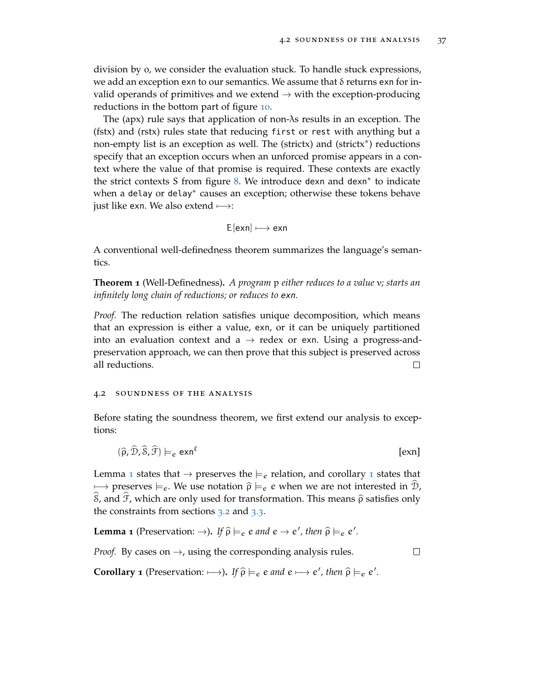division by 0, we consider the evaluation stuck. To handle stuck expressions, we add an exception exn to our semantics. We assume that  $\delta$  returns exn for invalid operands of primitives and we extend  $\rightarrow$  with the exception-producing reductions in the bottom part of figure [10](#page-53-0).

The (apx) rule says that application of non-λs results in an exception. The (fstx) and (rstx) rules state that reducing first or rest with anything but a non-empty list is an exception as well. The (strictx) and (strictx<sup>\*</sup>) reductions specify that an exception occurs when an unforced promise appears in a context where the value of that promise is required. These contexts are exactly the strict contexts S from figure [8](#page-50-0). We introduce dexn and dexn<sup>\*</sup> to indicate when a delay or delay<sup>\*</sup> causes an exception; otherwise these tokens behave just like exn. We also extend  $\mapsto$ :

$$
E[exn] \longmapsto exn
$$

A conventional well-definedness theorem summarizes the language's semantics.

**Theorem 1** (Well-Definedness)**.** *A program* p *either reduces to a value* v*; starts an infinitely long chain of reductions; or reduces to* exn*.*

*Proof.* The reduction relation satisfies unique decomposition, which means that an expression is either a value, exn, or it can be uniquely partitioned into an evaluation context and a  $\rightarrow$  redex or exn. Using a progress-andpreservation approach, we can then prove that this subject is preserved across all reductions.  $\Box$ 

### 4.2 soundness of the analysis

Before stating the soundness theorem, we first extend our analysis to exceptions:

$$
(\widehat{\rho}, \widehat{\mathcal{D}}, \widehat{\mathcal{S}}, \widehat{\mathcal{F}}) \models_e \exp^{\ell} \tag{exn}
$$

Lemma [1](#page-54-1) states that  $\rightarrow$  preserves the  $\models_e$  relation, and corollary 1 states that  $\mapsto$  preserves  $\models_e$ . We use notation  $\widehat{\rho} \models_e e$  when we are not interested in D,  $\hat{s}$ , and  $\hat{\tau}$ , which are only used for transformation. This means  $\hat{\rho}$  satisfies only the constraints from sections 3.[2](#page-42-2) and [3](#page-45-0).3.

<span id="page-54-0"></span>**Lemma 1** (Preservation:  $\rightarrow$ ). *If*  $\hat{\rho} \models_e e$  *e and*  $e \rightarrow e'$ *, then*  $\hat{\rho} \models_e e'$ *.* 

*Proof.* By cases on  $\rightarrow$ , using the corresponding analysis rules.

 $\Box$ 

<span id="page-54-1"></span>**Corollary 1** (Preservation:  $\mapsto$ ). *If*  $\hat{\rho} \models_e e$  *e and*  $e \mapsto e'$ *, then*  $\hat{\rho} \models_e e'$ *.*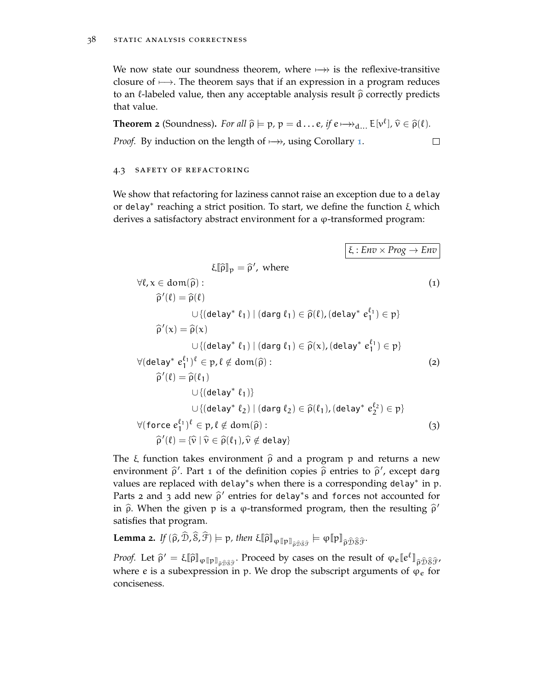We now state our soundness theorem, where  $\mapsto$  is the reflexive-transitive closure of  $\mapsto$ . The theorem says that if an expression in a program reduces to an  $\ell$ -labeled value, then any acceptable analysis result  $\hat{\rho}$  correctly predicts that value.

<span id="page-55-2"></span>**Theorem 2** (Soundness). *For all*  $\hat{\rho} \models p$ ,  $p = d \dots e$ , if  $e \mapsto_{d \dots} E[v^{\ell}], \hat{v} \in \hat{\rho}(\ell)$ *. Proof.* By induction on the length of  $\mapsto$ , using Corollary [1](#page-54-1).  $\Box$ 

### <span id="page-55-0"></span>4.3 safety of refactoring

We show that refactoring for laziness cannot raise an exception due to a delay or delay<sup>\*</sup> reaching a strict position. To start, we define the function ξ which derives a satisfactory abstract environment for a ϕ-transformed program:

$$
\xi[\hat{\rho}]_p = \hat{\rho}', \text{ where}
$$
\n
$$
\forall \ell, x \in \text{dom}(\hat{\rho}) : \qquad (1)
$$
\n
$$
\hat{\rho}'(\ell) = \hat{\rho}(\ell)
$$
\n
$$
\cup \{(\text{delay}^* \ell_1) \mid (\text{drag} \ell_1) \in \hat{\rho}(\ell), (\text{delay}^* \ell_1^{\ell_1}) \in p\}
$$
\n
$$
\hat{\rho}'(x) = \hat{\rho}(x)
$$
\n
$$
\cup \{(\text{delay}^* \ell_1) \mid (\text{drag} \ell_1) \in \hat{\rho}(x), (\text{delay}^* \ell_1^{\ell_1}) \in p\}
$$
\n
$$
\forall (\text{delay}^* \ell_1^{\ell_1})^{\ell} \in p, \ell \notin \text{dom}(\hat{\rho}) : \qquad (2)
$$
\n
$$
\hat{\rho}'(\ell) = \hat{\rho}(\ell_1)
$$
\n
$$
\cup \{(\text{delay}^* \ell_1)\}
$$
\n
$$
\cup \{(\text{delay}^* \ell_2) \mid (\text{drag} \ell_2) \in \hat{\rho}(\ell_1), (\text{delay}^* \ell_2^{\ell_2}) \in p\}
$$
\n
$$
\forall (\text{force} \ell_1^{\ell_1})^{\ell} \in p, \ell \notin \text{dom}(\hat{\rho}) : \qquad (3)
$$

The  $\xi$  function takes environment  $\hat{\rho}$  and a program p and returns a new environment  $\hat{\rho}'$ . Part 1 of the definition copies  $\hat{\rho}$  entries to  $\hat{\rho}'$ , except dargendes are realized with delay the where is a convergence directed with a m values are replaced with delay\*s when there is a corresponding delay\* in p. Parts 2 and 3 add new  $\hat{\rho}'$  entries for delay<sup>∗</sup>s and forces not accounted for in  $\hat{\rho}$ . When the given p is a φ-transformed program, then the resulting  $\hat{\rho}'$ satisfies that program.

<span id="page-55-1"></span>**Lemma 2.** *If*  $(\widehat{\rho}, \mathcal{D}, \mathcal{S}, \mathcal{F}) \models p$ , then  $\xi[\widehat{\rho}]_{\phi[[p]]_{\widehat{\rho}\widehat{\mathcal{D}}\widehat{\mathcal{S}}\widehat{\mathcal{F}}}}$  $\models \varphi \llbracket \mathfrak{p} \rrbracket_{\widehat{\rho} \widehat{\mathfrak{D}} \widehat{\mathbb{S}} \widehat{\mathfrak{F}}}.$ 

*Proof.* Let  $\hat{\rho}' = \xi[\hat{\rho}]_{\phi[\![p]\!]_{\hat{\rho}\hat{\mathcal{D}}\hat{\mathcal{S}}\hat{\mathcal{F}}}}$ . Proceed by cases on the result of  $\phi_e[\![e^{\ell}]\!]_{\hat{\rho}\hat{\mathcal{D}}\hat{\mathcal{S}}\hat{\mathcal{F}}'}$ where e is a subexpression in p. We drop the subscript arguments of  $\varphi_e$  for conciseness.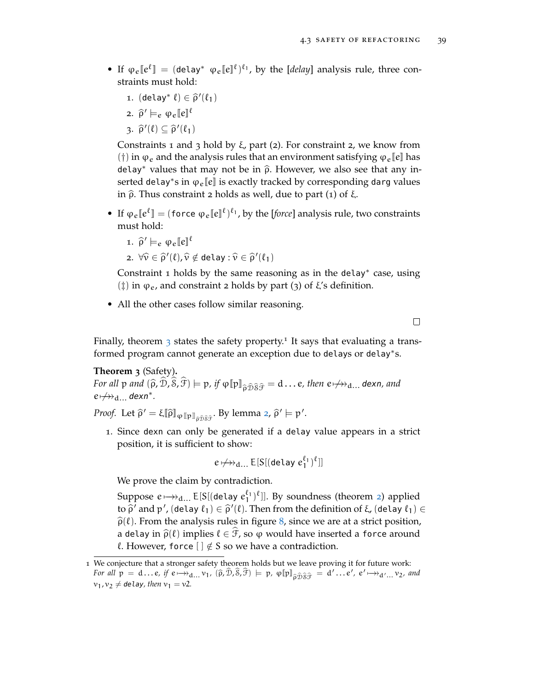- If  $\varphi_e[\![e^\ell]\!] = (\text{delay}^* \varphi_e[\![e]\!]^\ell)^{\ell_1}$ , by the [*delay*] analysis rule, three constraints must hold:
	- 1.  $(\text{delay}^* \ell) \in \widehat{\rho}'(\ell_1)$ 2.  $\widehat{\rho}' \models_e \varphi_e[\![e]\!]^\ell$
	- 3.  $\widehat{\rho}'(\ell) \subseteq \widehat{\rho}'(\ell_1)$

Constraints 1 and 3 hold by  $\xi$ , part (2). For constraint 2, we know from (†) in  $\varphi_e$  and the analysis rules that an environment satisfying  $\varphi_e[\![e]\!]$  has delay<sup>\*</sup> values that may not be in  $\hat{\rho}$ . However, we also see that any inserted delay<sup>∗</sup>s in  $\varphi_e[\![e]\!]$  is exactly tracked by corresponding darg values in  $\hat{\rho}$ . Thus constraint 2 holds as well, due to part (1) of ξ.

- If  $\varphi_e \llbracket e^{\ell} \rrbracket = (\text{force } \varphi_e \llbracket e \rrbracket^{\ell})^{\ell_1}$ , by the [*force*] analysis rule, two constraints must hold:
	- 1.  $\widehat{\rho}' \models_e \varphi_e[\![e]\!]^\ell$

2.  $\forall \widehat{\mathbf{v}} \in \widehat{\rho}'(\ell), \widehat{\mathbf{v}} \notin \mathsf{delay} : \widehat{\mathbf{v}} \in \widehat{\rho}'(\ell_1)$ 

Constraint 1 holds by the same reasoning as in the delay<sup>∗</sup> case, using (‡) in  $\varphi_e$ , and constraint 2 holds by part (3) of ξ's definition.

• All the other cases follow similar reasoning.

 $\Box$ 

Finally, theorem  $\frac{1}{3}$  $\frac{1}{3}$  $\frac{1}{3}$  states the safety property.<sup>1</sup> It says that evaluating a transformed program cannot generate an exception due to delays or delay<sup>\*</sup>s.

### <span id="page-56-0"></span>**Theorem 3** (Safety)**.**

*For all* p *and*  $(\widehat{\rho}, \mathcal{D}, \mathcal{S}, \mathcal{F}) \models p$ , if  $\phi[\![p]\!]_{\widehat{\rho}\widehat{\mathcal{D}}\widehat{\mathcal{S}}\widehat{\mathcal{F}}} = d \dots e$ , then  $e \mapsto_{\mathcal{H}} d \dots d$  exn, and e<del>⊦/</del>→a... dexn<sup>\*</sup>.

*Proof.* Let  $\widehat{\rho}' = \xi[\![\widehat{\rho}]\!]_{\varphi[\![p]\!]_{\widehat{\rho}\widehat{\mathcal{D}}\widehat{\mathcal{S}}\widehat{\mathcal{F}}}}$ . By lemma [2](#page-55-1),  $\widehat{\rho}' \models p'.$ 

1. Since dexn can only be generated if a delay value appears in a strict position, it is sufficient to show:

$$
e \not\mapsto_{\mathrm{d...}} \mathsf{E}[S[(\text{delay } e_1^{\ell_1})^{\ell}]]
$$

We prove the claim by contradiction.

Suppose  $e \mapsto_{\textnormal{d...}} \textnormal{E}[S[(\textnormal{delay } e_1^{\ell_1})^{\ell}]]$ . By soundness (theorem [2](#page-55-2)) applied to  $\hat{\rho}'$  and  $p'$ , (delay  $\ell_1$ )  $\in \hat{\rho}'(\ell)$ . Then from the definition of  $\xi$ , (delay  $\ell_1$ )  $\in$ <br> $\hat{\epsilon}(\ell)$ . From the exclusive value in figure  $\ell$  since we are the strict position  $\hat{\rho}(\ell)$ . From the analysis rules in figure [8](#page-50-0), since we are at a strict position, a delay in  $\widehat{\rho}(\ell)$  implies  $\ell \in \widehat{\mathcal{F}}$ , so  $\varphi$  would have inserted a force around  $\ell$ . However, force  $[\ ] \notin S$  so we have a contradiction.

<sup>1</sup> We conjecture that a stronger safety theorem holds but we leave proving it for future work: *For all*  $p = d \dots e$ , if  $e \mapsto_{d \dots} v_1$ ,  $(\widehat{\rho}, \widehat{\mathcal{D}}, \widehat{\mathcal{S}}, \widehat{\mathcal{F}}) \models p$ ,  $\phi[\![p]\!]_{\widehat{\rho}\widehat{\mathcal{D}}\widehat{\mathcal{S}}\widehat{\mathcal{F}}} = d' \dots e'$ ,  $e' \mapsto_{d' \dots} v_2$ , and  $v_1$ ,  $v_2 \neq$  delay, then  $v_1 = v_2$ .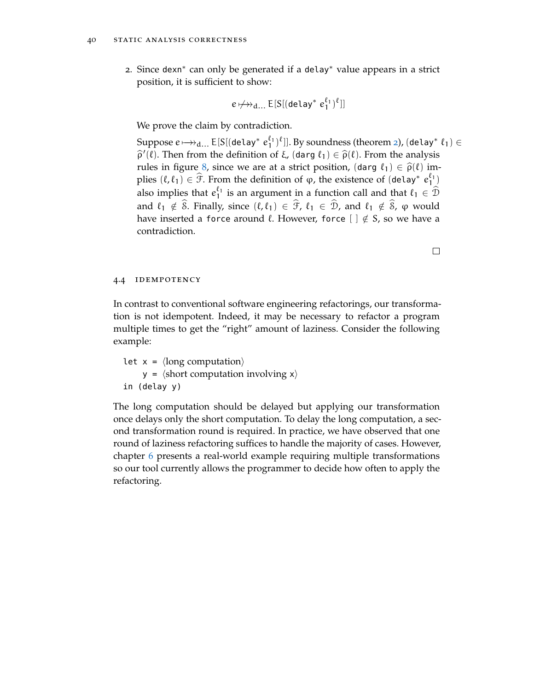2. Since dexn<sup>\*</sup> can only be generated if a delay<sup>\*</sup> value appears in a strict position, it is sufficient to show:

$$
e \not\mapsto_{d...} E[S[(delay^* e_1^{\ell_1})^{\ell}]]
$$

We prove the claim by contradiction.

Suppose  $e\longmapsto_{\rm d...} {\sf E}[{\sf S}[({\sf delay}^*\;e_1^{\ell_1})^{\ell}]].$  By soundness (theorem [2](#page-55-2)), (delay\*  $\ell_1)\in$  $\hat{\rho}'(\ell)$ . Then from the definition of  $\xi$ , (darg  $\ell_1$ )  $\in \hat{\rho}(\ell)$ . From the analysis welge in figure  $\ell$ , since we are at a strict resultion (dags  $\ell_1$ )  $\in \hat{\delta}(\ell)$  im-rules in figure [8](#page-50-0), since we are at a strict position, (darg  $\ell_1$ )  $\in \hat{\rho}(\ell)$  implies  $(\ell, \ell_1) \in \widehat{\mathcal{F}}$ . From the definition of  $\varphi$ , the existence of (delay\*  $e_{1}^{\ell_1}$ ) also implies that  $e_1^{\ell_1}$  is an argument in a function call and that  $\ell_1 \in \widehat{\mathcal{D}}$ and  $\ell_1 \notin \widehat{\mathcal{S}}$ . Finally, since  $(\ell, \ell_1) \in \widehat{\mathcal{F}}$ ,  $\ell_1 \in \widehat{\mathcal{D}}$ , and  $\ell_1 \notin \widehat{\mathcal{S}}$ ,  $\varphi$  would have inserted a force around  $\ell$ . However, force  $[\ ] \notin S$ , so we have a contradiction.

4.4 idempotency

In contrast to conventional software engineering refactorings, our transformation is not idempotent. Indeed, it may be necessary to refactor a program multiple times to get the "right" amount of laziness. Consider the following example:

let  $x = \langle \text{long computation} \rangle$  $y = \langle short\, computation\, involving\, x \rangle$ in (delay y)

The long computation should be delayed but applying our transformation once delays only the short computation. To delay the long computation, a second transformation round is required. In practice, we have observed that one round of laziness refactoring suffices to handle the majority of cases. However, chapter [6](#page-62-0) presents a real-world example requiring multiple transformations so our tool currently allows the programmer to decide how often to apply the refactoring.

 $\Box$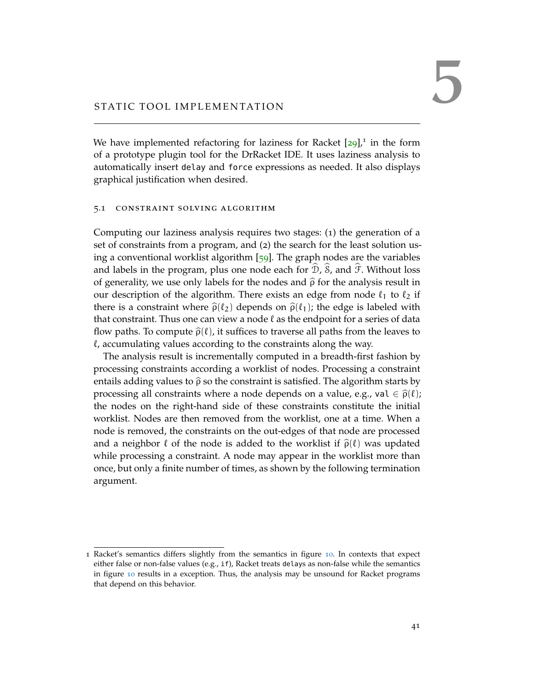# <span id="page-58-0"></span>STATIC TOOL IMPLEMENTATION

We have implemented refactoring for laziness for Racket  $[29]$  $[29]$  $[29]$ ,<sup>1</sup> in the form of a prototype plugin tool for the DrRacket IDE. It uses laziness analysis to automatically insert delay and force expressions as needed. It also displays graphical justification when desired.

### 5.1 constraint solving algorithm

Computing our laziness analysis requires two stages: (1) the generation of a set of constraints from a program, and (2) the search for the least solution using a conventional worklist algorithm [[59](#page-146-1)]. The graph nodes are the variables and labels in the program, plus one node each for  $\widehat{\mathcal{D}}$ ,  $\widehat{\mathcal{S}}$ , and  $\widehat{\mathcal{F}}$ . Without loss of generality, we use only labels for the nodes and  $\hat{\rho}$  for the analysis result in our description of the algorithm. There exists an edge from node  $\ell_1$  to  $\ell_2$  if there is a constraint where  $\hat{\rho}(\ell_2)$  depends on  $\hat{\rho}(\ell_1)$ ; the edge is labeled with that constraint. Thus one can view a node  $\ell$  as the endpoint for a series of data flow paths. To compute  $\hat{\rho}(\ell)$ , it suffices to traverse all paths from the leaves to  $\ell$ , accumulating values according to the constraints along the way.

The analysis result is incrementally computed in a breadth-first fashion by processing constraints according a worklist of nodes. Processing a constraint entails adding values to  $\hat{\rho}$  so the constraint is satisfied. The algorithm starts by processing all constraints where a node depends on a value, e.g., val  $\in \hat{\rho}(\ell);$ the nodes on the right-hand side of these constraints constitute the initial worklist. Nodes are then removed from the worklist, one at a time. When a node is removed, the constraints on the out-edges of that node are processed and a neighbor  $\ell$  of the node is added to the worklist if  $\hat{\rho}(\ell)$  was updated while processing a constraint. A node may appear in the worklist more than once, but only a finite number of times, as shown by the following termination argument.

<sup>1</sup> Racket's semantics differs slightly from the semantics in figure [10](#page-53-0). In contexts that expect either false or non-false values (e.g., if), Racket treats delays as non-false while the semantics in figure [10](#page-53-0) results in a exception. Thus, the analysis may be unsound for Racket programs that depend on this behavior.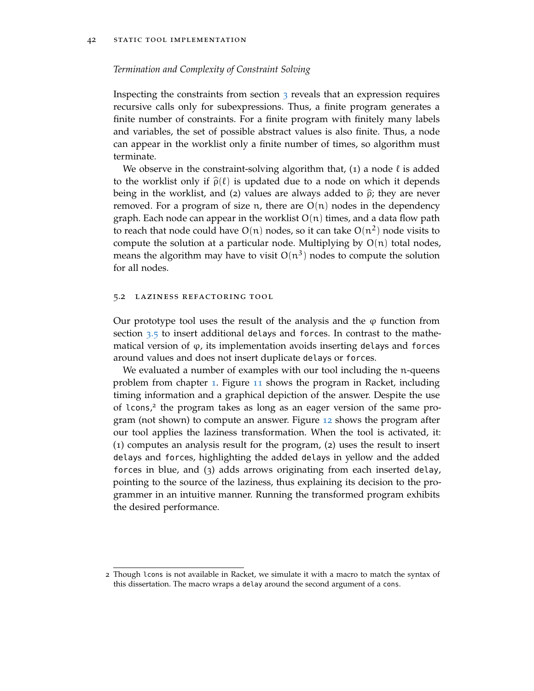### *Termination and Complexity of Constraint Solving*

Inspecting the constraints from section  $\frac{1}{3}$  $\frac{1}{3}$  $\frac{1}{3}$  reveals that an expression requires recursive calls only for subexpressions. Thus, a finite program generates a finite number of constraints. For a finite program with finitely many labels and variables, the set of possible abstract values is also finite. Thus, a node can appear in the worklist only a finite number of times, so algorithm must terminate.

We observe in the constraint-solving algorithm that, (1) a node  $\ell$  is added to the worklist only if  $\hat{\rho}(\ell)$  is updated due to a node on which it depends being in the worklist, and (2) values are always added to  $\hat{\rho}$ ; they are never removed. For a program of size  $n$ , there are  $O(n)$  nodes in the dependency graph. Each node can appear in the worklist  $O(n)$  times, and a data flow path to reach that node could have  $O(n)$  nodes, so it can take  $O(n^2)$  node visits to compute the solution at a particular node. Multiplying by  $O(n)$  total nodes, means the algorithm may have to visit  $O(n^3)$  nodes to compute the solution for all nodes.

### 5.2 laziness refactoring tool

Our prototype tool uses the result of the analysis and the  $\varphi$  function from section [3](#page-48-0).5 to insert additional delays and forces. In contrast to the mathematical version of  $\varphi$ , its implementation avoids inserting delays and forces around values and does not insert duplicate delays or forces.

We evaluated a number of examples with our tool including the n-queens problem from chapter [1](#page-20-0). Figure [11](#page-60-0) shows the program in Racket, including timing information and a graphical depiction of the answer. Despite the use of lcons, 2 the program takes as long as an eager version of the same program (not shown) to compute an answer. Figure [12](#page-61-0) shows the program after our tool applies the laziness transformation. When the tool is activated, it: (1) computes an analysis result for the program, (2) uses the result to insert delays and forces, highlighting the added delays in yellow and the added forces in blue, and (3) adds arrows originating from each inserted delay, pointing to the source of the laziness, thus explaining its decision to the programmer in an intuitive manner. Running the transformed program exhibits the desired performance.

<sup>2</sup> Though lcons is not available in Racket, we simulate it with a macro to match the syntax of this dissertation. The macro wraps a delay around the second argument of a cons.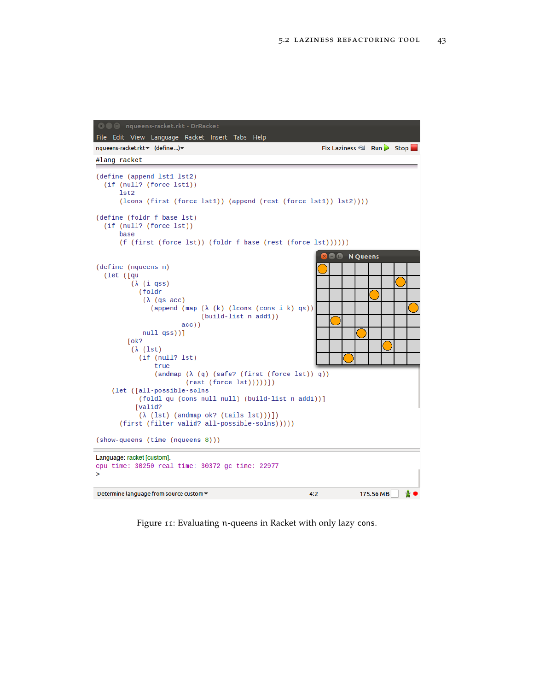<span id="page-60-0"></span>

Figure 11: Evaluating n-queens in Racket with only lazy cons.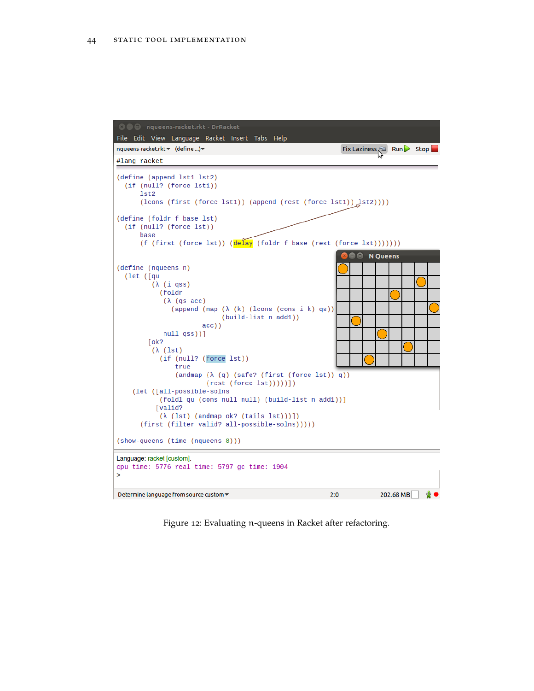<span id="page-61-0"></span>

Figure 12: Evaluating n-queens in Racket after refactoring.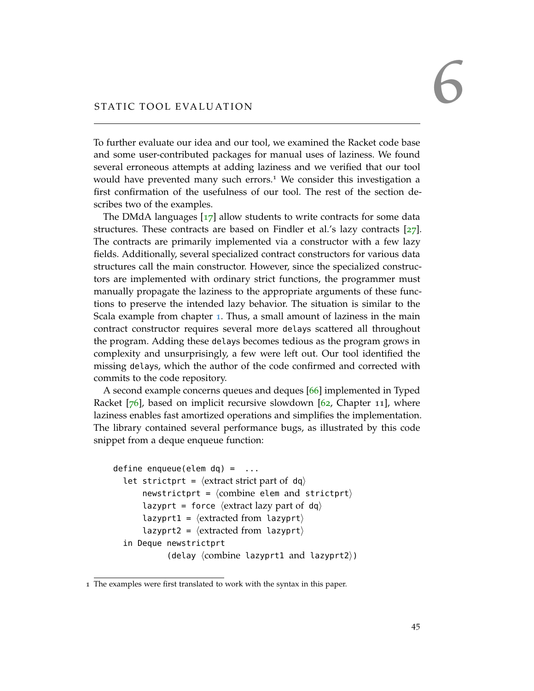# <span id="page-62-0"></span>STATIC TOOL EVALUATION

To further evaluate our idea and our tool, we examined the Racket code base and some user-contributed packages for manual uses of laziness. We found several erroneous attempts at adding laziness and we verified that our tool would have prevented many such errors.<sup>1</sup> We consider this investigation a first confirmation of the usefulness of our tool. The rest of the section describes two of the examples.

The DMdA languages  $\left[17\right]$  $\left[17\right]$  $\left[17\right]$  allow students to write contracts for some data structures. These contracts are based on Findler et al.'s lazy contracts [[27](#page-144-2)]. The contracts are primarily implemented via a constructor with a few lazy fields. Additionally, several specialized contract constructors for various data structures call the main constructor. However, since the specialized constructors are implemented with ordinary strict functions, the programmer must manually propagate the laziness to the appropriate arguments of these functions to preserve the intended lazy behavior. The situation is similar to the Scala example from chapter [1](#page-20-0). Thus, a small amount of laziness in the main contract constructor requires several more delays scattered all throughout the program. Adding these delays becomes tedious as the program grows in complexity and unsurprisingly, a few were left out. Our tool identified the missing delays, which the author of the code confirmed and corrected with commits to the code repository.

A second example concerns queues and deques [[66](#page-147-3)] implemented in Typed Racket  $[76]$  $[76]$  $[76]$ , based on implicit recursive slowdown  $[62,$  $[62,$  $[62,$  Chapter 11], where laziness enables fast amortized operations and simplifies the implementation. The library contained several performance bugs, as illustrated by this code snippet from a deque enqueue function:

```
define enqueue(elem dq) = ...
  let strictprt = \langle extract strict part of dq\ranglenewstrictprt = \langlecombine elem and strictprt\ranglelazyprt = force \langle extract lazy part of dq\ranglelazyprt1 = \langle extracted from lazyprt\ranglelazyprt2 = \langle extracted from lazyprt\ranglein Deque newstrictprt
              (delay \langlecombine lazyprt1 and lazyprt2\rangle)
```
<sup>1</sup> The examples were first translated to work with the syntax in this paper.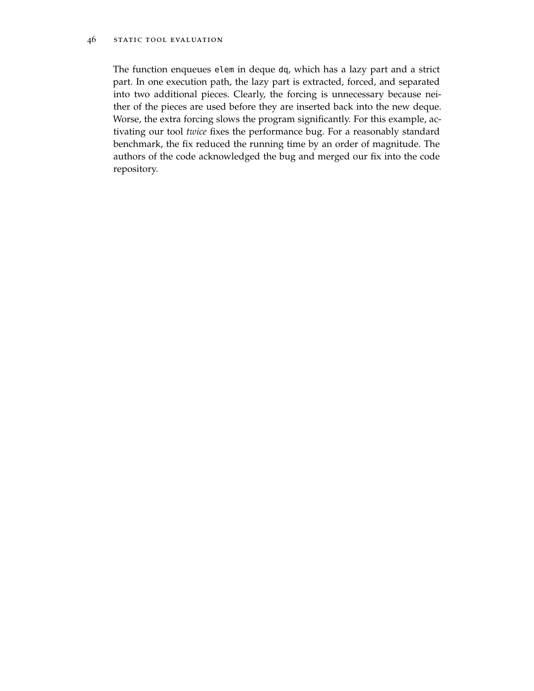### 46 static tool evaluation

The function enqueues elem in deque dq, which has a lazy part and a strict part. In one execution path, the lazy part is extracted, forced, and separated into two additional pieces. Clearly, the forcing is unnecessary because neither of the pieces are used before they are inserted back into the new deque. Worse, the extra forcing slows the program significantly. For this example, activating our tool *twice* fixes the performance bug. For a reasonably standard benchmark, the fix reduced the running time by an order of magnitude. The authors of the code acknowledged the bug and merged our fix into the code repository.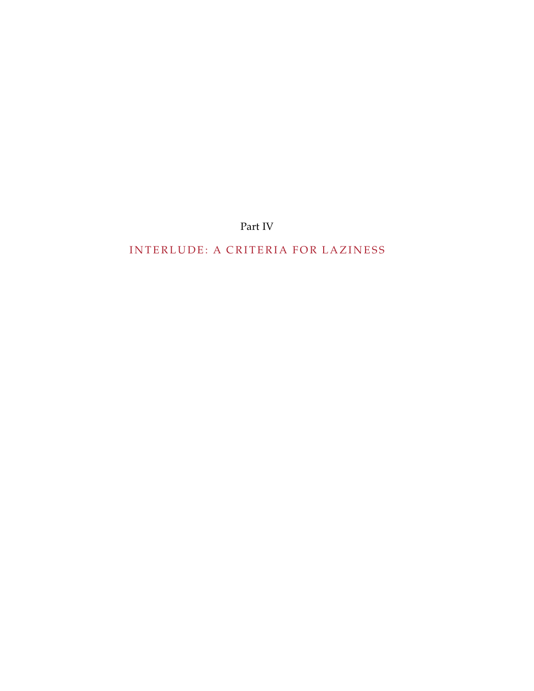Part IV

<span id="page-64-0"></span>INTERLUDE: A CRITERIA FOR LAZINESS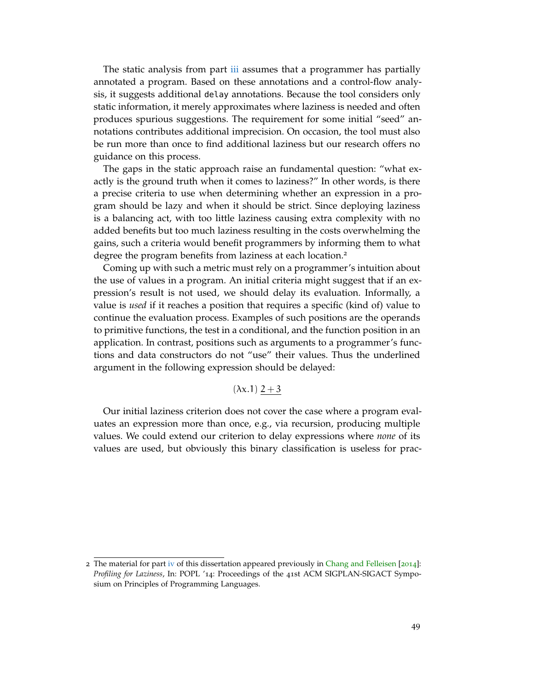The static analysis from part [iii](#page-38-0) assumes that a programmer has partially annotated a program. Based on these annotations and a control-flow analysis, it suggests additional delay annotations. Because the tool considers only static information, it merely approximates where laziness is needed and often produces spurious suggestions. The requirement for some initial "seed" annotations contributes additional imprecision. On occasion, the tool must also be run more than once to find additional laziness but our research offers no guidance on this process.

The gaps in the static approach raise an fundamental question: "what exactly is the ground truth when it comes to laziness?" In other words, is there a precise criteria to use when determining whether an expression in a program should be lazy and when it should be strict. Since deploying laziness is a balancing act, with too little laziness causing extra complexity with no added benefits but too much laziness resulting in the costs overwhelming the gains, such a criteria would benefit programmers by informing them to what degree the program benefits from laziness at each location.<sup>2</sup>

Coming up with such a metric must rely on a programmer's intuition about the use of values in a program. An initial criteria might suggest that if an expression's result is not used, we should delay its evaluation. Informally, a value is *used* if it reaches a position that requires a specific (kind of) value to continue the evaluation process. Examples of such positions are the operands to primitive functions, the test in a conditional, and the function position in an application. In contrast, positions such as arguments to a programmer's functions and data constructors do not "use" their values. Thus the underlined argument in the following expression should be delayed:

## $(\lambda x.1) 2 + 3$

Our initial laziness criterion does not cover the case where a program evaluates an expression more than once, e.g., via recursion, producing multiple values. We could extend our criterion to delay expressions where *none* of its values are used, but obviously this binary classification is useless for prac-

<sup>2</sup> The material for part [iv](#page-64-0) of this dissertation appeared previously in [Chang and Felleisen](#page-143-2) [[2014](#page-143-2)]: *Profiling for Laziness*, In: POPL '14: Proceedings of the 41st ACM SIGPLAN-SIGACT Symposium on Principles of Programming Languages.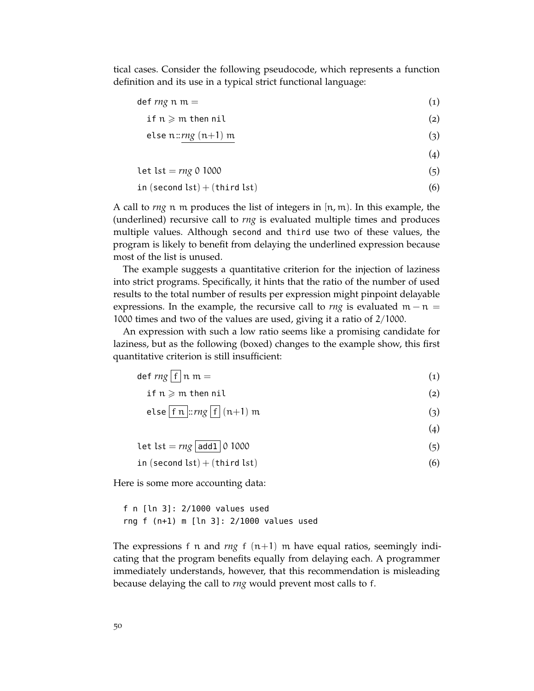tical cases. Consider the following pseudocode, which represents a function definition and its use in a typical strict functional language:

def  $\textit{rng} \, \textit{n} \, \textit{m} =$  (1)

$$
\text{if } n \geqslant m \text{ then } \text{nil} \tag{2}
$$

$$
else n::rng (n+1) m \tag{3}
$$

(4)

(4)

$$
let 1st = rng 0 1000 \tag{5}
$$

$$
in (second 1st) + (third 1st)
$$
\n(6)

A call to  $rng$  n m produces the list of integers in  $[n, m]$ . In this example, the (underlined) recursive call to *rng* is evaluated multiple times and produces multiple values. Although second and third use two of these values, the program is likely to benefit from delaying the underlined expression because most of the list is unused.

The example suggests a quantitative criterion for the injection of laziness into strict programs. Specifically, it hints that the ratio of the number of used results to the total number of results per expression might pinpoint delayable expressions. In the example, the recursive call to  $rng$  is evaluated  $m - n =$ 1000 times and two of the values are used, giving it a ratio of 2/1000.

An expression with such a low ratio seems like a promising candidate for laziness, but as the following (boxed) changes to the example show, this first quantitative criterion is still insufficient:

$$
\det \, mg \, \boxed{f} \, \ln \, m = \tag{1}
$$

$$
\text{if } n \geqslant m \text{ then } \text{nil} \tag{2}
$$

$$
else [fn] :: rng [f] (n+1) m \tag{3}
$$

let  $lst = rng \boxed{add1} \boxed{0\ 1000}$  (5)

in  $(\text{second } \text{lst}) + (\text{third } \text{lst})$  (6)

Here is some more accounting data:

f n [ln 3]: 2/1000 values used rng f (n+1) m [ln 3]: 2/1000 values used

The expressions f n and  $rng f (n+1)$  m have equal ratios, seemingly indicating that the program benefits equally from delaying each. A programmer immediately understands, however, that this recommendation is misleading because delaying the call to *rng* would prevent most calls to f.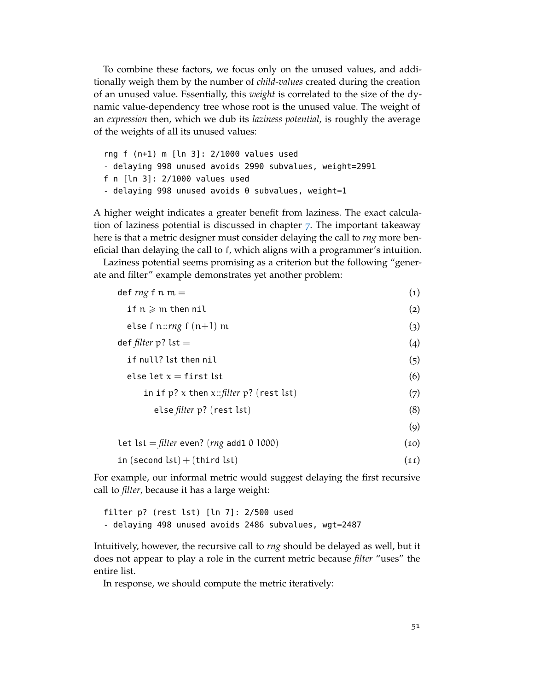To combine these factors, we focus only on the unused values, and additionally weigh them by the number of *child-values* created during the creation of an unused value. Essentially, this *weight* is correlated to the size of the dynamic value-dependency tree whose root is the unused value. The weight of an *expression* then, which we dub its *laziness potential*, is roughly the average of the weights of all its unused values:

rng f (n+1) m [ln 3]: 2/1000 values used - delaying 998 unused avoids 2990 subvalues, weight=2991 f n [ln 3]: 2/1000 values used - delaying 998 unused avoids 0 subvalues, weight=1

A higher weight indicates a greater benefit from laziness. The exact calculation of laziness potential is discussed in chapter  $\tau$ . The important takeaway here is that a metric designer must consider delaying the call to *rng* more beneficial than delaying the call to f, which aligns with a programmer's intuition.

Laziness potential seems promising as a criterion but the following "generate and filter" example demonstrates yet another problem:

| def $rng$ f n m $=$                            | $\left( 1\right)$ |
|------------------------------------------------|-------------------|
| if $n \geqslant m$ then nil                    | (2)               |
| else f n:: $rng f (n+1) m$                     | (3)               |
| def <i>filter</i> $p$ ? lst $=$                | (4)               |
| if null? lst then nil                          | (5)               |
| else let $x =$ first lst                       | (6)               |
| in if $p$ ? x then x:: filter $p$ ? (rest lst) | (7)               |
| else <i>filter</i> p? (rest lst)               | (8)               |
|                                                | $\left( 9\right)$ |
| Let lst = filter even? (rng add1 0 1000)       | (10)              |
| in (second $lst$ ) + (third $lst$ )            | (11)              |

For example, our informal metric would suggest delaying the first recursive call to *filter*, because it has a large weight:

```
filter p? (rest lst) [ln 7]: 2/500 used
- delaying 498 unused avoids 2486 subvalues, wgt=2487
```
Intuitively, however, the recursive call to *rng* should be delayed as well, but it does not appear to play a role in the current metric because *filter* "uses" the entire list.

In response, we should compute the metric iteratively: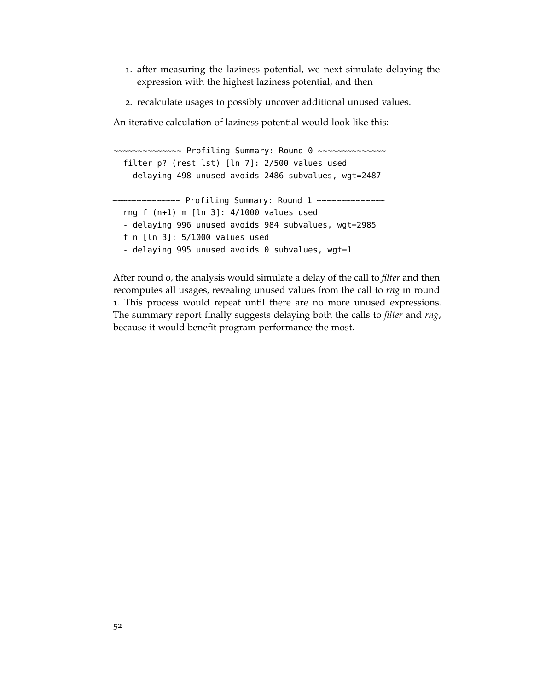- 1. after measuring the laziness potential, we next simulate delaying the expression with the highest laziness potential, and then
- 2. recalculate usages to possibly uncover additional unused values.

An iterative calculation of laziness potential would look like this:

~~~~~~~~~~~~~~ Profiling Summary: Round 0 ~~~~~~~~~~~~~~ filter p? (rest lst) [ln 7]: 2/500 values used - delaying 498 unused avoids 2486 subvalues, wgt=2487 ~~~~~~~~~~~~~~ Profiling Summary: Round 1 ~~~~~~~~~~~~~~ rng f (n+1) m [ln 3]: 4/1000 values used - delaying 996 unused avoids 984 subvalues, wgt=2985 f n [ln 3]: 5/1000 values used - delaying 995 unused avoids 0 subvalues, wgt=1

After round 0, the analysis would simulate a delay of the call to *filter* and then recomputes all usages, revealing unused values from the call to *rng* in round 1. This process would repeat until there are no more unused expressions. The summary report finally suggests delaying both the calls to *filter* and *rng*, because it would benefit program performance the most.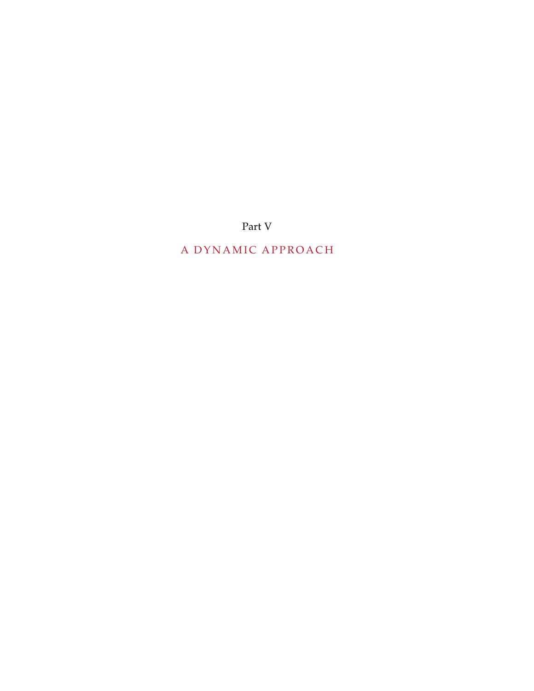Part V

## A DYNAMIC APPROACH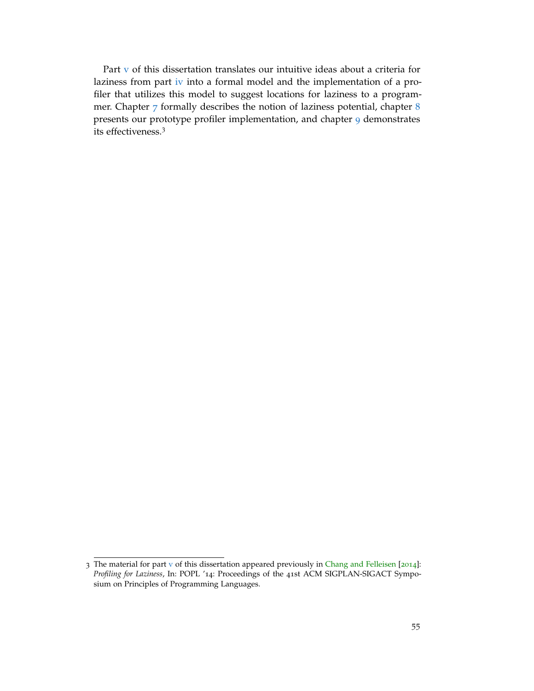Part [v](#page-70-0) of this dissertation translates our intuitive ideas about a criteria for laziness from part [iv](#page-64-0) into a formal model and the implementation of a profiler that utilizes this model to suggest locations for laziness to a programmer. Chapter  $7$  formally describes the notion of laziness potential, chapter  $8$ presents our prototype profiler implementation, and chapter [9](#page-90-0) demonstrates its effectiveness.<sup>3</sup>

<sup>3</sup> The material for part [v](#page-70-0) of this dissertation appeared previously in [Chang and Felleisen](#page-143-0) [[2014](#page-143-0)]: *Profiling for Laziness*, In: POPL '14: Proceedings of the 41st ACM SIGPLAN-SIGACT Symposium on Principles of Programming Languages.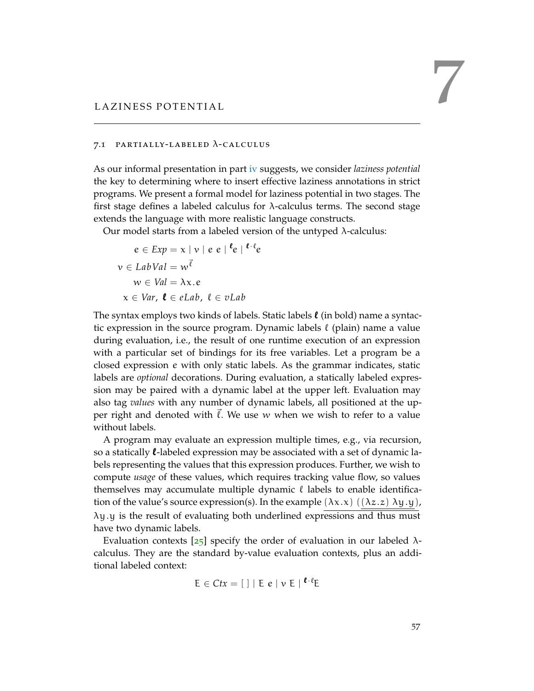### <span id="page-74-0"></span>7.1 PARTIALLY-LABELED  $\lambda$ -CALCULUS

As our informal presentation in part [iv](#page-64-0) suggests, we consider *laziness potential* the key to determining where to insert effective laziness annotations in strict programs. We present a formal model for laziness potential in two stages. The first stage defines a labeled calculus for  $\lambda$ -calculus terms. The second stage extends the language with more realistic language constructs.

Our model starts from a labeled version of the untyped  $λ$ -calculus:

$$
e \in Exp = x \mid v \mid e \mid e \mid e \mid e \mid e \mid e
$$
  

$$
v \in LabVal = w^{\vec{\ell}}
$$
  

$$
w \in Val = \lambda x.e
$$
  

$$
x \in Var, \quad e \in elab, \quad e \in vLab
$$

The syntax employs two kinds of labels. Static labels  $\ell$  (in bold) name a syntactic expression in the source program. Dynamic labels  $\ell$  (plain) name a value during evaluation, i.e., the result of one runtime execution of an expression with a particular set of bindings for its free variables. Let a program be a closed expression e with only static labels. As the grammar indicates, static labels are *optional* decorations. During evaluation, a statically labeled expression may be paired with a dynamic label at the upper left. Evaluation may also tag *values* with any number of dynamic labels, all positioned at the upper right and denoted with  $\ell$ . We use w when we wish to refer to a value without labels.

A program may evaluate an expression multiple times, e.g., via recursion, so a statically  $\ell$ -labeled expression may be associated with a set of dynamic labels representing the values that this expression produces. Further, we wish to compute *usage* of these values, which requires tracking value flow, so values themselves may accumulate multiple dynamic  $\ell$  labels to enable identification of the value's source expression(s). In the example  $(\lambda x.x)$   $((\lambda z.z) \lambda y.y)$ ,  $\lambda$ y.y is the result of evaluating both underlined expressions and thus must have two dynamic labels.

Evaluation contexts  $[25]$  $[25]$  $[25]$  specify the order of evaluation in our labeled λcalculus. They are the standard by-value evaluation contexts, plus an additional labeled context:

$$
E \in Ctx = [ ] \mid E e \mid v E \mid^{\ell \cdot \ell}E
$$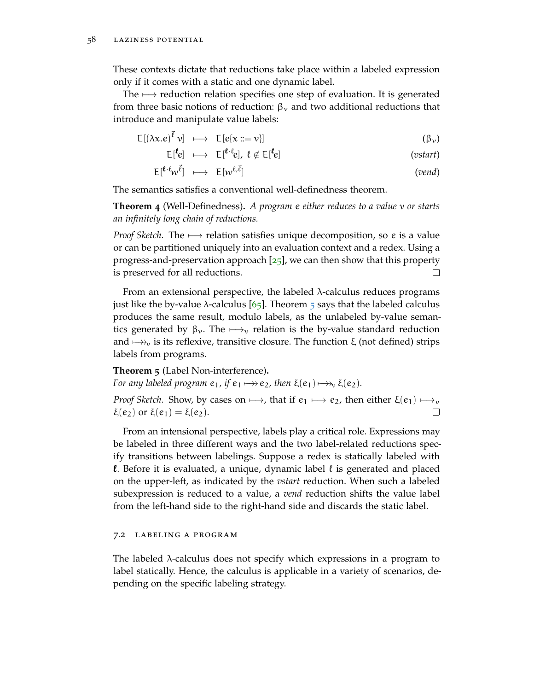These contexts dictate that reductions take place within a labeled expression only if it comes with a static and one dynamic label.

The  $\rightarrow$  reduction relation specifies one step of evaluation. It is generated from three basic notions of reduction:  $β<sub>ν</sub>$  and two additional reductions that introduce and manipulate value labels:

$$
E[(\lambda x.e)^{\vec{\ell}} v] \longmapsto E[e\{x ::= v\}] \tag{β_v}
$$

$$
E[\mathbf{e}] \quad \longmapsto \quad E[\mathbf{e} \cdot \mathbf{e}], \ \ell \notin E[\mathbf{e}] \tag{vstart}
$$

$$
E[\ell \cdot \mathfrak{f}_{\mathcal{W}} \vec{\ell}] \longrightarrow E[\mathfrak{w}^{\ell, \vec{\ell}}] \tag{vend}
$$

The semantics satisfies a conventional well-definedness theorem.

**Theorem 4** (Well-Definedness)**.** *A program* e *either reduces to a value* v *or starts an infinitely long chain of reductions.*

*Proof Sketch.* The  $\rightarrow$  relation satisfies unique decomposition, so e is a value or can be partitioned uniquely into an evaluation context and a redex. Using a progress-and-preservation approach  $[25]$  $[25]$  $[25]$ , we can then show that this property is preserved for all reductions.  $\Box$ 

From an extensional perspective, the labeled  $\lambda$ -calculus reduces programs just like the by-value λ-calculus [[65](#page-147-0)]. Theorem  $\frac{1}{5}$  $\frac{1}{5}$  $\frac{1}{5}$  says that the labeled calculus produces the same result, modulo labels, as the unlabeled by-value semantics generated by  $\beta_{\nu}$ . The  $\mapsto_{\nu}$  relation is the by-value standard reduction and  $\mapsto_{\gamma}$  is its reflexive, transitive closure. The function  $\xi$  (not defined) strips labels from programs.

<span id="page-75-0"></span>**Theorem 5** (Label Non-interference)**.** *For any labeled program*  $e_1$ *, if*  $e_1 \mapsto e_2$ *, then*  $\xi(e_1) \mapsto \lambda_v \xi(e_2)$ *. Proof Sketch.* Show, by cases on  $\mapsto$ , that if  $e_1 \mapsto e_2$ , then either  $\xi(e_1) \mapsto$ <sub>v</sub>  $\xi(e_2)$  or  $\xi(e_1) = \xi(e_2)$ .  $\Box$ 

From an intensional perspective, labels play a critical role. Expressions may be labeled in three different ways and the two label-related reductions specify transitions between labelings. Suppose a redex is statically labeled with  $\ell$ . Before it is evaluated, a unique, dynamic label  $\ell$  is generated and placed on the upper-left, as indicated by the *vstart* reduction. When such a labeled subexpression is reduced to a value, a *vend* reduction shifts the value label from the left-hand side to the right-hand side and discards the static label.

### 7.2 labeling a program

The labeled λ-calculus does not specify which expressions in a program to label statically. Hence, the calculus is applicable in a variety of scenarios, depending on the specific labeling strategy.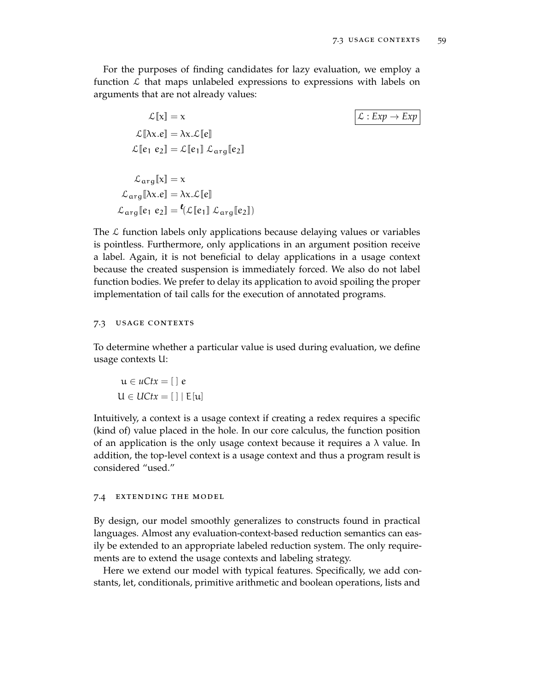For the purposes of finding candidates for lazy evaluation, we employ a function  $\mathcal L$  that maps unlabeled expressions to expressions with labels on arguments that are not already values:

$$
\mathcal{L}[\![x]\!] = x \qquad \qquad \mathcal{L}: Exp \to Exp
$$
\n
$$
\mathcal{L}[\![\lambda x.e]\!] = \lambda x.\mathcal{L}[\![e]\!]
$$
\n
$$
\mathcal{L}[\![e_1 e_2]\!] = \mathcal{L}[\![e_1]\!] \mathcal{L}_{arg}[\![e_2]\!]
$$
\n
$$
\mathcal{L}_{arg}[\![x]\!] = x \qquad \qquad \mathcal{L}_{arg}[\![\lambda x.e]\!] = \lambda x.\mathcal{L}[\![e]\!]
$$
\n
$$
\mathcal{L}_{arg}[\![e_1 e_2]\!] = \mathbf{e}(\mathcal{L}[\![e_1]\!]\!] \mathcal{L}_{arg}[\![e_2]\!])
$$

The  $\mathcal L$  function labels only applications because delaying values or variables is pointless. Furthermore, only applications in an argument position receive a label. Again, it is not beneficial to delay applications in a usage context because the created suspension is immediately forced. We also do not label function bodies. We prefer to delay its application to avoid spoiling the proper implementation of tail calls for the execution of annotated programs.

### 7.3 usage contexts

To determine whether a particular value is used during evaluation, we define usage contexts U:

$$
u \in uCtx = [] e
$$
  

$$
U \in UCtx = [] | E[u]
$$

Intuitively, a context is a usage context if creating a redex requires a specific (kind of) value placed in the hole. In our core calculus, the function position of an application is the only usage context because it requires a  $\lambda$  value. In addition, the top-level context is a usage context and thus a program result is considered "used."

### <span id="page-76-0"></span>7.4 extending the model

By design, our model smoothly generalizes to constructs found in practical languages. Almost any evaluation-context-based reduction semantics can easily be extended to an appropriate labeled reduction system. The only requirements are to extend the usage contexts and labeling strategy.

Here we extend our model with typical features. Specifically, we add constants, let, conditionals, primitive arithmetic and boolean operations, lists and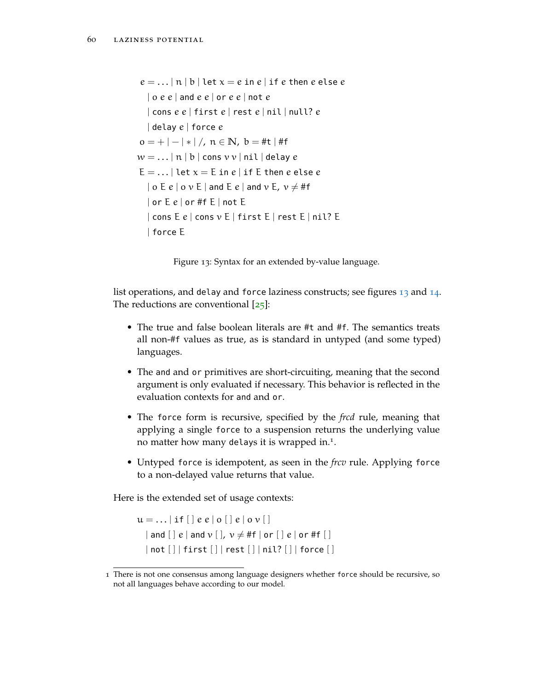```
e = ... |n| b | let x = e in e | if e then e else e
  | o e e | and e e | or e e | not e
  | cons e e | first e | rest e | nil | null? e
  | delay e | force e
o = + |-| * | /, n \in \mathbb{N}, b = #t | #fw = ... |n| b | \text{cons } v v | \text{nil} | \text{delay } eE = ... let x = E in e if E then e else e
  | o E e | o \nu E | and E e | and \nu E, \nu \neq \#f| or E e | or #f E | not E
  | cons E e | cons v E | first E | rest E | nil? E
  | force E
```
Figure 13: Syntax for an extended by-value language.

list operations, and delay and force laziness constructs; see figures [13](#page-77-0) and [14](#page-78-0). The reductions are conventional  $[25]$  $[25]$  $[25]$ :

- The true and false boolean literals are #t and #f. The semantics treats all non-#f values as true, as is standard in untyped (and some typed) languages.
- The and and or primitives are short-circuiting, meaning that the second argument is only evaluated if necessary. This behavior is reflected in the evaluation contexts for and and or.
- The force form is recursive, specified by the *frcd* rule, meaning that applying a single force to a suspension returns the underlying value no matter how many delays it is wrapped in.<sup>1</sup>.
- Untyped force is idempotent, as seen in the *frcv* rule. Applying force to a non-delayed value returns that value.

Here is the extended set of usage contexts:

 $u = ... |$  if  $|$   $|$   $e e$   $|$   $o$   $|$   $|$   $e$   $|$   $o$   $\nu$   $|$   $|$ | and  $[$   $]$   $e$  | and  $v$   $[$   $]$ ,  $v \neq #f$  | or  $[$   $]$   $e$  | or #f  $[$   $]$ | not [ ] | first [ ] | rest [ ] | nil? [ ] | force [ ]

<sup>1</sup> There is not one consensus among language designers whether force should be recursive, so not all languages behave according to our model.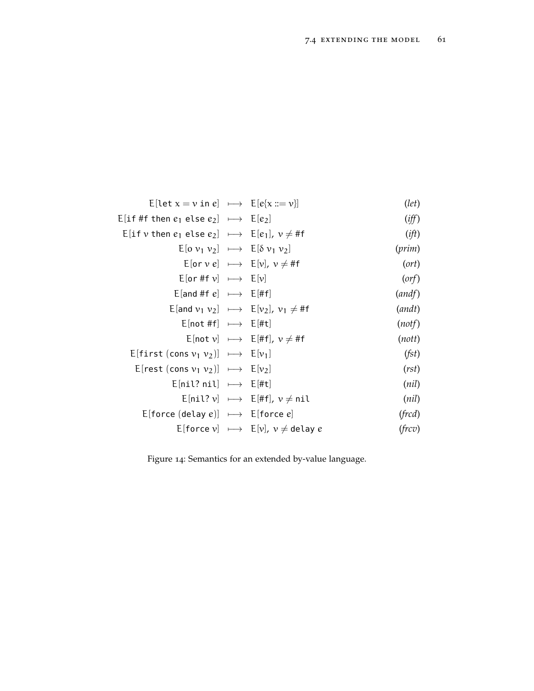<span id="page-78-0"></span>

|  | (left)                                                                                                                                                                                                                                                                                                                                                                                                                                                                                                                                                                                                                                                                                                                                                                                                       |
|--|--------------------------------------------------------------------------------------------------------------------------------------------------------------------------------------------------------------------------------------------------------------------------------------------------------------------------------------------------------------------------------------------------------------------------------------------------------------------------------------------------------------------------------------------------------------------------------------------------------------------------------------------------------------------------------------------------------------------------------------------------------------------------------------------------------------|
|  | (iff)                                                                                                                                                                                                                                                                                                                                                                                                                                                                                                                                                                                                                                                                                                                                                                                                        |
|  | (if)                                                                                                                                                                                                                                                                                                                                                                                                                                                                                                                                                                                                                                                                                                                                                                                                         |
|  | (prim)                                                                                                                                                                                                                                                                                                                                                                                                                                                                                                                                                                                                                                                                                                                                                                                                       |
|  | (ort)                                                                                                                                                                                                                                                                                                                                                                                                                                                                                                                                                                                                                                                                                                                                                                                                        |
|  | (                                                                                                                                                                                                                                                                                                                                                                                                                                                                                                                                                                                                                                                                                                                                                                                                            |
|  | (andf)                                                                                                                                                                                                                                                                                                                                                                                                                                                                                                                                                                                                                                                                                                                                                                                                       |
|  | (andt)                                                                                                                                                                                                                                                                                                                                                                                                                                                                                                                                                                                                                                                                                                                                                                                                       |
|  | (notf)                                                                                                                                                                                                                                                                                                                                                                                                                                                                                                                                                                                                                                                                                                                                                                                                       |
|  | (nott)                                                                                                                                                                                                                                                                                                                                                                                                                                                                                                                                                                                                                                                                                                                                                                                                       |
|  | (fst)                                                                                                                                                                                                                                                                                                                                                                                                                                                                                                                                                                                                                                                                                                                                                                                                        |
|  | (rst)                                                                                                                                                                                                                                                                                                                                                                                                                                                                                                                                                                                                                                                                                                                                                                                                        |
|  | (nil)                                                                                                                                                                                                                                                                                                                                                                                                                                                                                                                                                                                                                                                                                                                                                                                                        |
|  | (nil)                                                                                                                                                                                                                                                                                                                                                                                                                                                                                                                                                                                                                                                                                                                                                                                                        |
|  | (frcd)                                                                                                                                                                                                                                                                                                                                                                                                                                                                                                                                                                                                                                                                                                                                                                                                       |
|  | (frcv)                                                                                                                                                                                                                                                                                                                                                                                                                                                                                                                                                                                                                                                                                                                                                                                                       |
|  | E[let $x = v$ in e] $\mapsto$ E[e{ $x ::= v$ ]<br><code>E[if</code> #f then $e_1$ <code>else</code> $e_2$ ] $\;\longmapsto\;$ <code>E[e<sub>2]</sub></code><br>$E[i f v then e_1 else e_2] \mapsto E[e_1], v \neq \#f$<br>$E[ov_1 v_2] \mapsto E[\delta v_1 v_2]$<br>$E[or v e] \mapsto E[v], v \neq #f$<br>$E[or #f v] \longmapsto E[v]$<br>$E[$ and #f $e] \longleftrightarrow E[$ #f]<br>E[and $v_1$ $v_2$ ] $\mapsto$ E[ $v_2$ ], $v_1 \neq \text{\#f}$<br>$E[not #f] \longmapsto E[#t]$<br>E[not v] $\mapsto$ E[#f], $v \neq$ #f<br>$E[first (cons v1 v2)] \mapsto E[v1]$<br>E[rest (cons $v_1$ $v_2$ )] $\longmapsto$ E[ $v_2$ ]<br>$E[nil? nil] \mapsto E[#t]$<br>$E[nil? v] \mapsto E[#f], v \neq nil$<br>$E[force (delay e)] \rightarrow E[force e]$<br>E[force v] $\mapsto$ E[v], $v \neq$ delay e |

Figure 14: Semantics for an extended by-value language.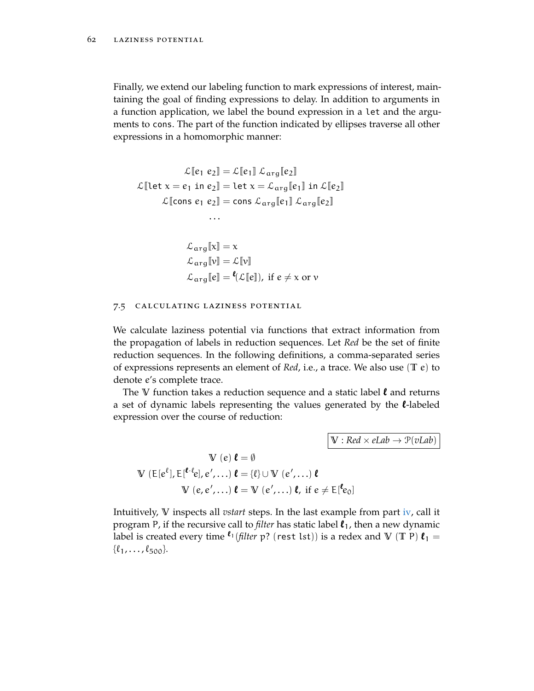Finally, we extend our labeling function to mark expressions of interest, maintaining the goal of finding expressions to delay. In addition to arguments in a function application, we label the bound expression in a let and the arguments to cons. The part of the function indicated by ellipses traverse all other expressions in a homomorphic manner:

$$
\mathcal{L}[e_1 \ e_2] = \mathcal{L}[e_1] \ \mathcal{L}_{arg}[e_2]
$$
  

$$
\mathcal{L}[let \ x = e_1 \ in \ e_2] = let \ x = \mathcal{L}_{arg}[e_1] \ in \ \mathcal{L}[e_2]
$$
  

$$
\mathcal{L}[cons \ e_1 \ e_2] = cons \ \mathcal{L}_{arg}[e_1] \ \mathcal{L}_{arg}[e_2]
$$
  
...  

$$
\mathcal{L}_{arg}[x] = x
$$
  

$$
\mathcal{L}_{arg}[v] = \mathcal{L}[v]
$$
  

$$
\mathcal{L}_{arg}[e] = \ell(\mathcal{L}[e]), \text{ if } e \neq x \text{ or } v
$$

### <span id="page-79-0"></span>7.5 calculating laziness potential

We calculate laziness potential via functions that extract information from the propagation of labels in reduction sequences. Let *Red* be the set of finite reduction sequences. In the following definitions, a comma-separated series of expressions represents an element of *Red*, i.e., a trace. We also use (**T** e) to denote e's complete trace.

The V function takes a reduction sequence and a static label  $\ell$  and returns a set of dynamic labels representing the values generated by the  $\ell$ -labeled expression over the course of reduction:

 $V : Red \times elab \rightarrow P(vLab)$ 

$$
\mathbb{V}(e) \mathbf{\ell} = \emptyset
$$
  
 
$$
\mathbb{V}(E[e^{\ell}], E[{\ell \cdot \ell}e], e', \ldots) \mathbf{\ell} = \{\ell\} \cup \mathbb{V}(e', \ldots) \mathbf{\ell}
$$
  
 
$$
\mathbb{V}(e, e', \ldots) \mathbf{\ell} = \mathbb{V}(e', \ldots) \mathbf{\ell}, \text{ if } e \neq E[{\ell}e_0]
$$

Intuitively, **V** inspects all *vstart* steps. In the last example from part [iv,](#page-64-0) call it program P, if the recursive call to *filter* has static label  $\ell_1$ , then a new dynamic label is created every time  $\ell_1$  (*filter* p? (rest lst)) is a redex and V (T P)  $\ell_1$  =  $\{\ell_1, \ldots, \ell_{500}\}.$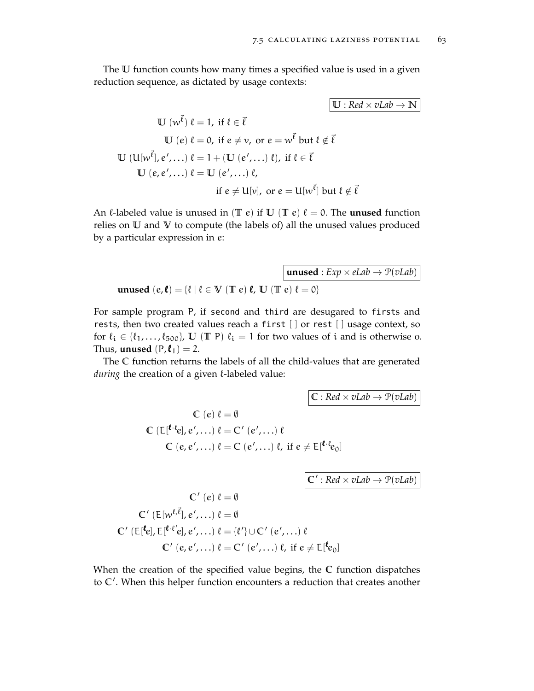The **U** function counts how many times a specified value is used in a given reduction sequence, as dictated by usage contexts:

$$
\mathbb{U}: \text{Red} \times vLab \to \mathbb{N}
$$
\n
$$
\mathbb{U} \text{ (}w^{\vec{\ell}}) \text{ } \ell = 1, \text{ if } \ell \in \vec{\ell}
$$
\n
$$
\mathbb{U} \text{ (}e) \text{ } \ell = 0, \text{ if } e \neq v, \text{ or } e = w^{\vec{\ell}} \text{ but } \ell \notin \vec{\ell}
$$
\n
$$
\mathbb{U} \text{ (}U[w^{\vec{\ell}}], e', \ldots) \text{ } \ell = 1 + (\mathbb{U} \text{ (}e', \ldots) \text{ } \ell), \text{ if } \ell \in \vec{\ell}
$$
\n
$$
\mathbb{U} \text{ (}e, e', \ldots) \text{ } \ell = \mathbb{U} \text{ (}e', \ldots) \text{ } \ell, \text{ if } e \neq \mathbb{U}[v], \text{ or } e = \mathbb{U}[w^{\vec{\ell}}] \text{ but } \ell \notin \vec{\ell}
$$

An  $\ell$ -labeled value is unused in (**T** e) if **U** (**T** e)  $\ell = 0$ . The **unused** function relies on **U** and **V** to compute (the labels of) all the unused values produced by a particular expression in e:

 $\boxed{\textbf{unused}: Exp \times eLab \rightarrow \mathcal{P}(vLab)}$ **unused**  $(e, \ell) = {\ell | \ell \in \mathbb{V} (\mathbb{T} e) \ell, \mathbb{U} (\mathbb{T} e) \ell = 0}$ 

For sample program P, if second and third are desugared to firsts and rests, then two created values reach a first [ ] or rest [ ] usage context, so for  $\ell_i \in \{\ell_1, \ldots, \ell_{500}\}\)$ , **U** (**T** P)  $\ell_i = 1$  for two values of i and is otherwise 0. Thus, **unused**  $(P, \ell_1) = 2$ .

The **C** function returns the labels of all the child-values that are generated *during* the creation of a given  $\ell$ -labeled value:

 $\mathbb{C}:$  *Red*  $\times$  *vLab*  $\rightarrow$   $\mathcal{P}(vLab)$  $C(e) \ell = \emptyset$  $\mathbb{C}\left(\mathrm{E}[\mathbf{\l^{\ell} \cdot \l^{\ell} e}], e', \ldots\right) \ell = \mathbb{C}'\left(e', \ldots\right) \ell$  $\mathbb{C}$  (e, e',...)  $\ell = \mathbb{C}$  (e',...)  $\ell$ , if  $e \neq \mathbb{E}[^{\ell \cdot \ell_{e_{0}}}]$  $\mathbb{C}'$ : *Red* × *vLab*  $\rightarrow$   $\mathcal{P}(vLab)$  $\mathbb{C}'$  (e)  $\ell = \emptyset$  $\mathbb{C}^{\prime}$  (E[ $w^{\ell, \vec{\ell}}]$ ,  $e^{\prime}$ ,  $\ldots$ )  $\ell = \emptyset$  $\mathbb{C}'$  (E[ $^{\ell}e$ ], E[ $^{\ell \cdot \ell'}e$ ],  $e', \ldots$ )  $\ell = \{\ell'\} \cup \mathbb{C}'$  ( $e', \ldots$ )  $\ell$  $\mathbb{C}'$  (e, e',...)  $\ell = \mathbb{C}'$  (e',...)  $\ell$ , if  $e \neq \mathbb{E}[\ell_{e_0}]$ 

When the creation of the specified value begins, the **C** function dispatches to C'. When this helper function encounters a reduction that creates another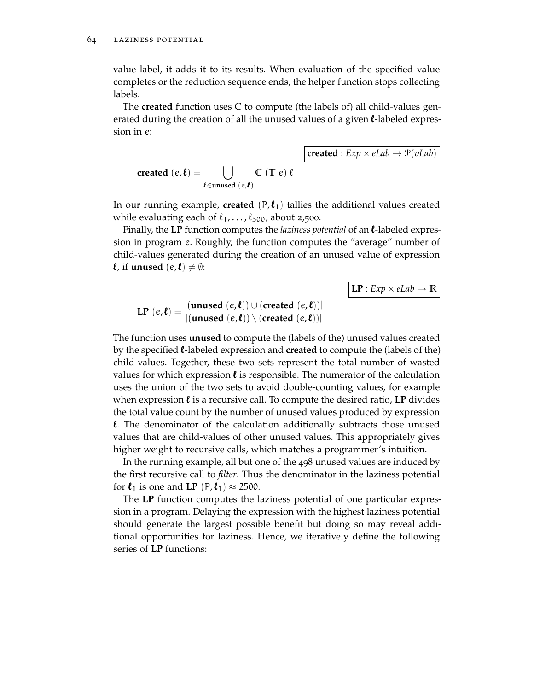value label, it adds it to its results. When evaluation of the specified value completes or the reduction sequence ends, the helper function stops collecting labels.

The **created** function uses **C** to compute (the labels of) all child-values generated during the creation of all the unused values of a given  $\ell$ -labeled expression in e:

**created**  $(e, \ell) =$ `∈**unused** (e,`)  $C(Te)$ 

In our running example, **created**  $(P,\ell_1)$  tallies the additional values created while evaluating each of  $\ell_1, \ldots, \ell_{500}$ , about 2,500.

Finally, the **LP** function computes the *laziness potential* of an *l*-labeled expression in program e. Roughly, the function computes the "average" number of child-values generated during the creation of an unused value of expression  $\ell$ , if **unused**  $(e,\ell) \neq \emptyset$ :

 $\mathbf{LP}: \mathit{Exp} \times \mathit{elab} \rightarrow \mathbb{R}$ 

**created** :  $Exp \times elab \rightarrow \mathcal{P}(vLab)$ 

$$
LP(e,\ell) = \frac{|(unused(e,\ell)) \cup (created(e,\ell))|}{|(unused(e,\ell)) \setminus (created(e,\ell))|}
$$

The function uses **unused** to compute the (labels of the) unused values created by the specified *l*-labeled expression and **created** to compute the (labels of the) child-values. Together, these two sets represent the total number of wasted values for which expression  $\ell$  is responsible. The numerator of the calculation uses the union of the two sets to avoid double-counting values, for example when expression  $\ell$  is a recursive call. To compute the desired ratio, LP divides the total value count by the number of unused values produced by expression **l**. The denominator of the calculation additionally subtracts those unused values that are child-values of other unused values. This appropriately gives higher weight to recursive calls, which matches a programmer's intuition.

In the running example, all but one of the 498 unused values are induced by the first recursive call to *filter*. Thus the denominator in the laziness potential for  $\ell_1$  is one and **LP**  $(P, \ell_1) \approx 2500$ .

The **LP** function computes the laziness potential of one particular expression in a program. Delaying the expression with the highest laziness potential should generate the largest possible benefit but doing so may reveal additional opportunities for laziness. Hence, we iteratively define the following series of **LP** functions: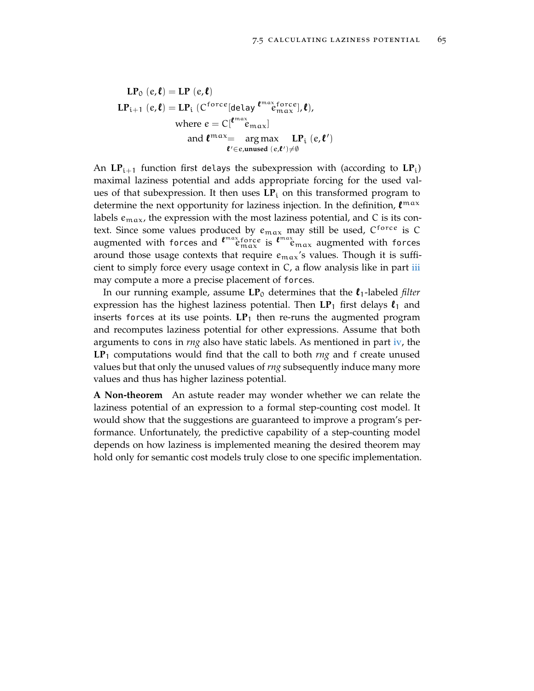$$
LP_0 (e, l) = LP (e, l)
$$
  
\n
$$
LP_{i+1} (e, l) = LP_i (C^{force}[delay \ell^{max}^{force}], l),
$$
  
\nwhere  $e = C[\ell^{max} \ell_{max}]$   
\nand  $\ell^{max} = \underset{l' \in e, \text{unused } (e, l') \neq \emptyset}{\text{arg max}} LP_i (e, l')$ 

An  $LP_{i+1}$  function first delays the subexpression with (according to  $LP_i$ ) maximal laziness potential and adds appropriate forcing for the used values of that subexpression. It then uses  $LP_i$  on this transformed program to determine the next opportunity for laziness injection. In the definition,  $\ell^{\max}$ labels  $e_{\text{max}}$ , the expression with the most laziness potential, and C is its context. Since some values produced by  $e_{max}$  may still be used,  $C^{force}$  is C augmented with forces and  $\bm{\ell}^{\max}$  force is  $\bm{\ell}^{\max}$  augmented with forces around those usage contexts that require  $e_{max}$ 's values. Though it is sufficient to simply force every usage context in C, a flow analysis like in part [iii](#page-38-0) may compute a more a precise placement of forces.

In our running example, assume  $LP_0$  determines that the  $\ell_1$ -labeled *filter* expression has the highest laziness potential. Then  $LP_1$  first delays  $\ell_1$  and inserts forces at its use points. **LP**<sup>1</sup> then re-runs the augmented program and recomputes laziness potential for other expressions. Assume that both arguments to cons in *rng* also have static labels. As mentioned in part [iv,](#page-64-0) the **LP**<sup>1</sup> computations would find that the call to both *rng* and f create unused values but that only the unused values of *rng* subsequently induce many more values and thus has higher laziness potential.

**A Non-theorem** An astute reader may wonder whether we can relate the laziness potential of an expression to a formal step-counting cost model. It would show that the suggestions are guaranteed to improve a program's performance. Unfortunately, the predictive capability of a step-counting model depends on how laziness is implemented meaning the desired theorem may hold only for semantic cost models truly close to one specific implementation.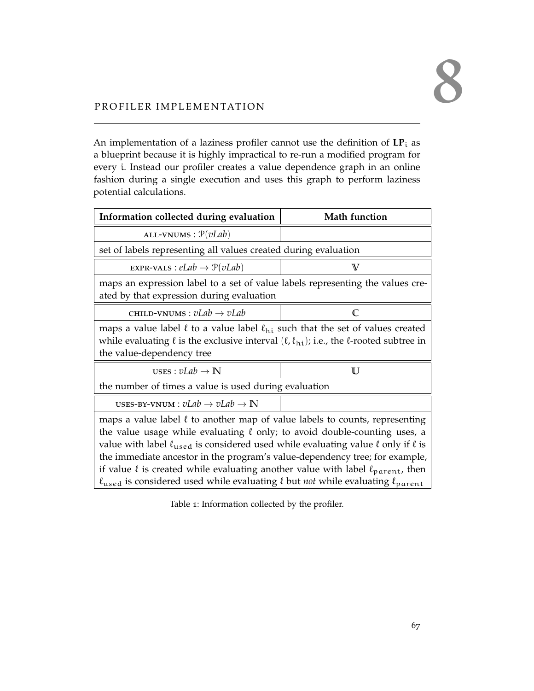# <span id="page-84-0"></span>PROFILER IMPLEMENTATION

An implementation of a laziness profiler cannot use the definition of LP<sub>i</sub> as a blueprint because it is highly impractical to re-run a modified program for every i. Instead our profiler creates a value dependence graph in an online fashion during a single execution and uses this graph to perform laziness potential calculations.

<span id="page-84-1"></span>

| Information collected during evaluation                                                                                                                                                                                                                                                                                                                                                                                                                                                                                                                    | <b>Math function</b> |  |  |  |
|------------------------------------------------------------------------------------------------------------------------------------------------------------------------------------------------------------------------------------------------------------------------------------------------------------------------------------------------------------------------------------------------------------------------------------------------------------------------------------------------------------------------------------------------------------|----------------------|--|--|--|
| ALL-VNUMS : $P(vLab)$                                                                                                                                                                                                                                                                                                                                                                                                                                                                                                                                      |                      |  |  |  |
| set of labels representing all values created during evaluation                                                                                                                                                                                                                                                                                                                                                                                                                                                                                            |                      |  |  |  |
| EXPR-VALS : $elab \rightarrow \mathcal{P}(vLab)$                                                                                                                                                                                                                                                                                                                                                                                                                                                                                                           | $\mathbb {V}$        |  |  |  |
| maps an expression label to a set of value labels representing the values cre-<br>ated by that expression during evaluation                                                                                                                                                                                                                                                                                                                                                                                                                                |                      |  |  |  |
| CHILD-VNUMS : $vLab \rightarrow vLab$                                                                                                                                                                                                                                                                                                                                                                                                                                                                                                                      | $\mathbb{C}$         |  |  |  |
| maps a value label $\ell$ to a value label $\ell_{\rm hi}$ such that the set of values created<br>while evaluating $\ell$ is the exclusive interval $(\ell, \ell_{\text{hi}})$ ; i.e., the $\ell$ -rooted subtree in<br>the value-dependency tree                                                                                                                                                                                                                                                                                                          |                      |  |  |  |
| USES : $vLab \rightarrow N$                                                                                                                                                                                                                                                                                                                                                                                                                                                                                                                                | U                    |  |  |  |
| the number of times a value is used during evaluation                                                                                                                                                                                                                                                                                                                                                                                                                                                                                                      |                      |  |  |  |
| USES-BY-VNUM : $vLab \rightarrow vLab \rightarrow \mathbb{N}$                                                                                                                                                                                                                                                                                                                                                                                                                                                                                              |                      |  |  |  |
| maps a value label $\ell$ to another map of value labels to counts, representing<br>the value usage while evaluating $\ell$ only; to avoid double-counting uses, a<br>value with label $\ell_{used}$ is considered used while evaluating value $\ell$ only if $\ell$ is<br>the immediate ancestor in the program's value-dependency tree; for example,<br>if value $\ell$ is created while evaluating another value with label $\ell_{parent}$ , then<br>$\ell_{used}$ is considered used while evaluating $\ell$ but not while evaluating $\ell_{parent}$ |                      |  |  |  |

Table 1: Information collected by the profiler.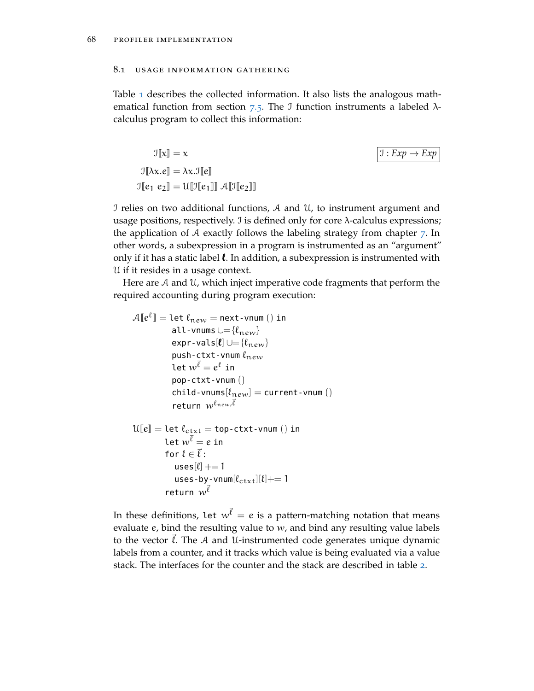## 8.1 usage information gathering

Table [1](#page-84-1) describes the collected information. It also lists the analogous mathematical function from section  $7.5$  $7.5$ . The J function instruments a labeled  $\lambda$ calculus program to collect this information:

$$
\mathbb{I}[x] = x
$$
  
\n
$$
\mathbb{I}[\lambda x.e] = \lambda x.\mathbb{I}[e]
$$
  
\n
$$
\mathbb{I}[e_1 e_2] = \mathbb{U}[\mathbb{I}[e_1]] \mathbb{I}[e_2]]
$$
  
\n
$$
\mathbb{I}[e_1 e_2] = \mathbb{I}[e_1] \mathbb{I}[e_2]]
$$

I relies on two additional functions, A and U, to instrument argument and usage positions, respectively. I is defined only for core λ-calculus expressions; the application of A exactly follows the labeling strategy from chapter  $\bar{z}$ . In other words, a subexpression in a program is instrumented as an "argument" only if it has a static label  $\ell$ . In addition, a subexpression is instrumented with U if it resides in a usage context.

Here are A and U, which inject imperative code fragments that perform the required accounting during program execution:

$$
\mathcal{A}[\![e^{\ell}]\!] = \text{let } \ell_{new} = \text{next-vnum} \text{() in} \\
 \text{all-vnums} \cup = \{\ell_{new}\} \\
 \text{expr-values} [\ell] \cup = \{\ell_{new}\} \\
 \text{push-ctxt-vnum } \ell_{new} \\
 \text{let } w^{\vec{\ell}} = e^{\ell} \text{ in} \\
 \text{pop-ctxt-vnum} \text{()} \\
 \text{child-vnum} [\ell_{new}] = \text{current-vnum} \text{()} \\
 \text{return } w^{\ell_{new}, \vec{\ell}} \\
 \mathcal{U}[\![e]\!] = \text{let } \ell_{\text{ctx}t} = \text{top-ctxt-vnum} \text{() in} \\
 \text{let } w^{\vec{\ell}} = e \text{ in} \\
 \text{for } \ell \in \vec{\ell} : \\
 \text{uses}[\ell] += 1 \\
 \text{uses-by-vnum}[\ell_{\text{ctx}t}][\ell] += 1 \\
 \text{return } w^{\vec{\ell}}\n \end{aligned}
$$

In these definitions, let  $w^{\vec{\ell}}=e$  is a pattern-matching notation that means evaluate  $e$ , bind the resulting value to  $w$ , and bind any resulting value labels to the vector  $\vec{l}$ . The A and U-instrumented code generates unique dynamic labels from a counter, and it tracks which value is being evaluated via a value stack. The interfaces for the counter and the stack are described in table [2](#page-86-0).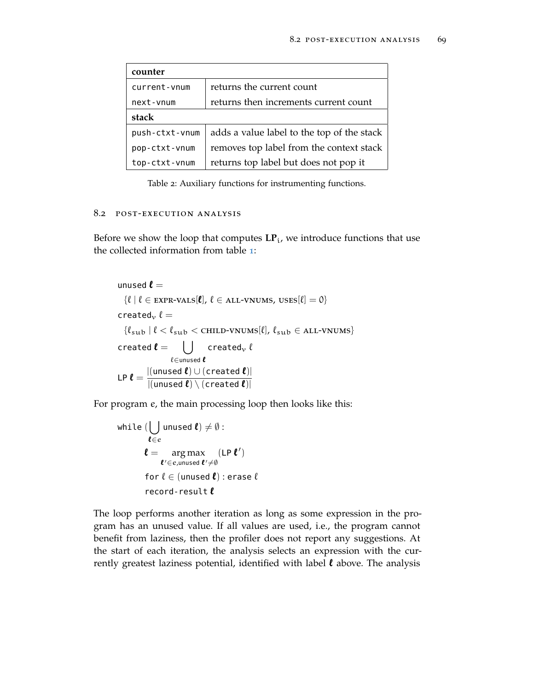<span id="page-86-0"></span>

| counter        |                                            |
|----------------|--------------------------------------------|
| current-vnum   | returns the current count                  |
| next-vnum      | returns then increments current count      |
| stack          |                                            |
| push-ctxt-vnum | adds a value label to the top of the stack |
| pop-ctxt-vnum  | removes top label from the context stack   |
| top-ctxt-vnum  | returns top label but does not pop it      |

Table 2: Auxiliary functions for instrumenting functions.

### 8.2 post-execution analysis

Before we show the loop that computes  $LP_i$ , we introduce functions that use the collected information from table [1](#page-84-1):

unused  $\ell =$  $\{ \ell \mid \ell \in \text{EXPR-VALS}[\ell], \ell \in \text{ALL-VNUMS}, \text{USES}[\ell] = 0 \}$ created<sub>v</sub>  $\ell =$  $\{\ell_{\text{sub}} | \ell < \ell_{\text{sub}} <$  CHILD-VNUMS $[\ell], \ell_{\text{sub}} \in$  ALL-VNUMS} <code>created</code>  $\bm{\ell} = \quad \left( \begin{array}{ccc} \int & \textsf{created}_\nu \ \ell \end{array} \right)$  $\ell$ ∈unused  $\boldsymbol{\ell}$ LP  $\boldsymbol{\ell} = \frac{|(\text{unused }\boldsymbol{\ell}) \cup (\text{created }\boldsymbol{\ell})|}{|\boldsymbol{\ell}| \cdot |\boldsymbol{\ell}| \cdot |\boldsymbol{\ell}| \cdot |\boldsymbol{\ell}| \cdot |\boldsymbol{\ell}| \cdot |\boldsymbol{\ell}| \cdot |\boldsymbol{\ell}| \cdot |\boldsymbol{\ell}| \cdot |\boldsymbol{\ell}| \cdot |\boldsymbol{\ell}| \cdot |\boldsymbol{\ell}| \cdot |\boldsymbol{\ell}| \cdot |\boldsymbol{\ell}| \cdot |\boldsymbol{\ell}| \cdot |\boldsymbol{\ell}| \cdot |\boldsymbol{\ell}| \cdot |\boldsymbol{\ell}| \cdot |\boldsymbol{\ell}| \cdot |\boldsymbol{\ell}| \cdot |\boldsymbol{\ell}| \cdot |\boldsymbol{\ell}| \cdot |\boldsymbol{\ell}| \cdot |\boldsymbol{\ell}|$  $|$ (unused  $\bm{\ell}) \setminus$  (created  $\bm{\ell}$ ) $|$ 

For program e, the main processing loop then looks like this:

$$
\begin{aligned}\n\text{while } (\bigcup_{\ell \in e} \mathsf{unused} \ \ell) \neq \emptyset : \\
\ell &= \mathop{\arg\max}_{\ell' \in e, \mathsf{unused} \ \ell' \neq \emptyset} (\mathsf{LP} \ \ell') \\
\text{for } \ell \in (\mathsf{unused} \ \ell) : \mathsf{erase} \ \ell \\
\text{record-result} \ \ell\n\end{aligned}
$$

The loop performs another iteration as long as some expression in the program has an unused value. If all values are used, i.e., the program cannot benefit from laziness, then the profiler does not report any suggestions. At the start of each iteration, the analysis selects an expression with the currently greatest laziness potential, identified with label  $\ell$  above. The analysis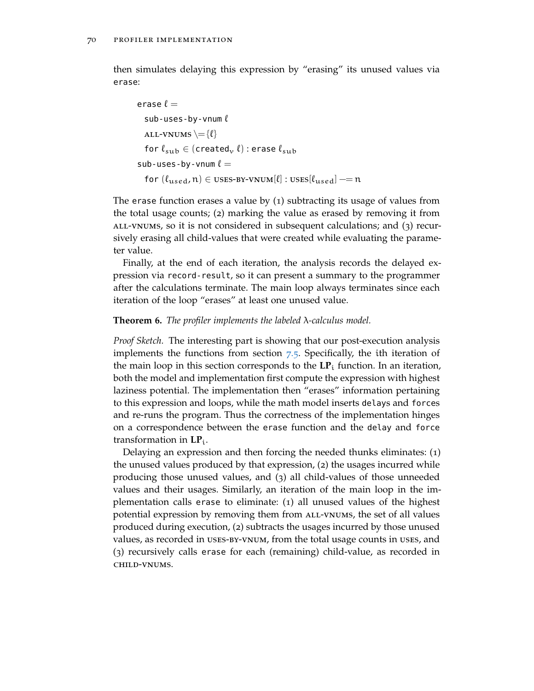then simulates delaying this expression by "erasing" its unused values via erase:

$$
\begin{aligned}\n\texttt{erase } & \ell = \\
\texttt{sub-uses-by-vnum } & \\
\texttt{ALL-VNUMs } \rightleftharpoons & \{\ell\} \\
\texttt{for } & \ell_{\text{sub}} \in (\texttt{created}_v \ \ell) : \texttt{erase } \ell_{\text{sub}} \\
\texttt{sub-uses-by-vnum } & \ell = \\
\texttt{for } & (\ell_{\text{used}}, n) \in \texttt{USES-BY-VNUM}[\ell] : \texttt{USES}[\ell_{\text{used}}] == n]\n\end{aligned}
$$

The erase function erases a value by (1) subtracting its usage of values from the total usage counts; (2) marking the value as erased by removing it from all-vnums, so it is not considered in subsequent calculations; and (3) recursively erasing all child-values that were created while evaluating the parameter value.

Finally, at the end of each iteration, the analysis records the delayed expression via record-result, so it can present a summary to the programmer after the calculations terminate. The main loop always terminates since each iteration of the loop "erases" at least one unused value.

### **Theorem 6.** *The profiler implements the labeled* λ*-calculus model.*

*Proof Sketch.* The interesting part is showing that our post-execution analysis implements the functions from section  $7.5$  $7.5$ . Specifically, the ith iteration of the main loop in this section corresponds to the **LP**<sup>i</sup> function. In an iteration, both the model and implementation first compute the expression with highest laziness potential. The implementation then "erases" information pertaining to this expression and loops, while the math model inserts delays and forces and re-runs the program. Thus the correctness of the implementation hinges on a correspondence between the erase function and the delay and force transformation in  $LP_i$ .

Delaying an expression and then forcing the needed thunks eliminates: (1) the unused values produced by that expression, (2) the usages incurred while producing those unused values, and (3) all child-values of those unneeded values and their usages. Similarly, an iteration of the main loop in the implementation calls erase to eliminate: (1) all unused values of the highest potential expression by removing them from all-vnums, the set of all values produced during execution, (2) subtracts the usages incurred by those unused values, as recorded in uses-by-vnum, from the total usage counts in uses, and (3) recursively calls erase for each (remaining) child-value, as recorded in child-vnums.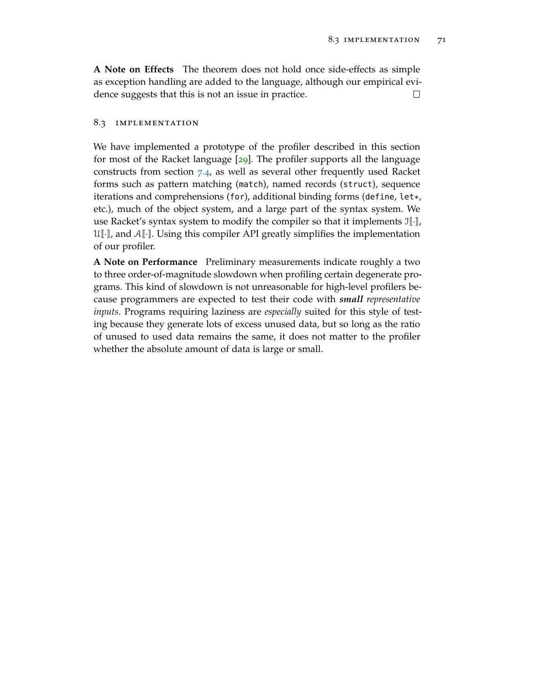**A Note on Effects** The theorem does not hold once side-effects as simple as exception handling are added to the language, although our empirical evidence suggests that this is not an issue in practice. П

### 8.3 implementation

We have implemented a prototype of the profiler described in this section for most of the Racket language  $[29]$  $[29]$  $[29]$ . The profiler supports all the language constructs from section [7](#page-76-0).4, as well as several other frequently used Racket forms such as pattern matching (match), named records (struct), sequence iterations and comprehensions (for), additional binding forms (define, let\*, etc.), much of the object system, and a large part of the syntax system. We use Racket's syntax system to modify the compiler so that it implements  $\mathbb{I}[\cdot]$ ,  $\mathfrak{U}[\cdot]$ , and  $\mathcal{A}[\cdot]$ . Using this compiler API greatly simplifies the implementation of our profiler.

**A Note on Performance** Preliminary measurements indicate roughly a two to three order-of-magnitude slowdown when profiling certain degenerate programs. This kind of slowdown is not unreasonable for high-level profilers because programmers are expected to test their code with *small representative inputs*. Programs requiring laziness are *especially* suited for this style of testing because they generate lots of excess unused data, but so long as the ratio of unused to used data remains the same, it does not matter to the profiler whether the absolute amount of data is large or small.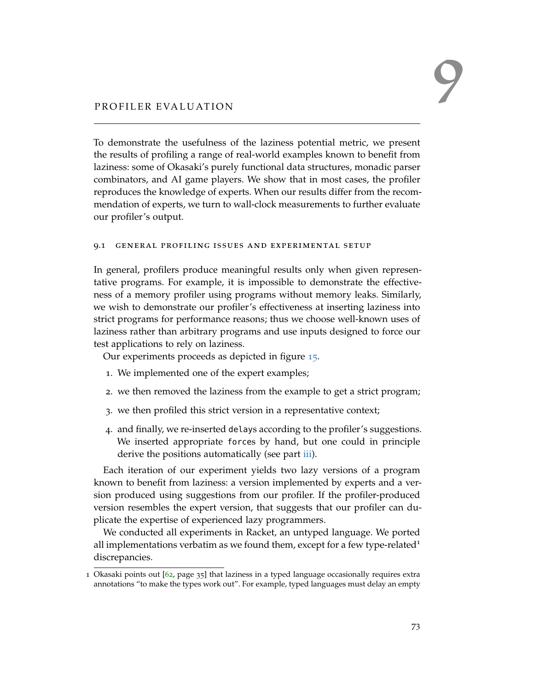<span id="page-90-0"></span>To demonstrate the usefulness of the laziness potential metric, we present the results of profiling a range of real-world examples known to benefit from laziness: some of Okasaki's purely functional data structures, monadic parser combinators, and AI game players. We show that in most cases, the profiler reproduces the knowledge of experts. When our results differ from the recommendation of experts, we turn to wall-clock measurements to further evaluate our profiler's output.

## 9.1 general profiling issues and experimental setup

In general, profilers produce meaningful results only when given representative programs. For example, it is impossible to demonstrate the effectiveness of a memory profiler using programs without memory leaks. Similarly, we wish to demonstrate our profiler's effectiveness at inserting laziness into strict programs for performance reasons; thus we choose well-known uses of laziness rather than arbitrary programs and use inputs designed to force our test applications to rely on laziness.

Our experiments proceeds as depicted in figure [15](#page-91-0).

- 1. We implemented one of the expert examples;
- 2. we then removed the laziness from the example to get a strict program;
- 3. we then profiled this strict version in a representative context;
- 4. and finally, we re-inserted delays according to the profiler's suggestions. We inserted appropriate forces by hand, but one could in principle derive the positions automatically (see part [iii\)](#page-38-0).

Each iteration of our experiment yields two lazy versions of a program known to benefit from laziness: a version implemented by experts and a version produced using suggestions from our profiler. If the profiler-produced version resembles the expert version, that suggests that our profiler can duplicate the expertise of experienced lazy programmers.

We conducted all experiments in Racket, an untyped language. We ported all implementations verbatim as we found them, except for a few type-related<sup>1</sup> discrepancies.

<sup>1</sup> Okasaki points out [[62](#page-146-0), page 35] that laziness in a typed language occasionally requires extra annotations "to make the types work out". For example, typed languages must delay an empty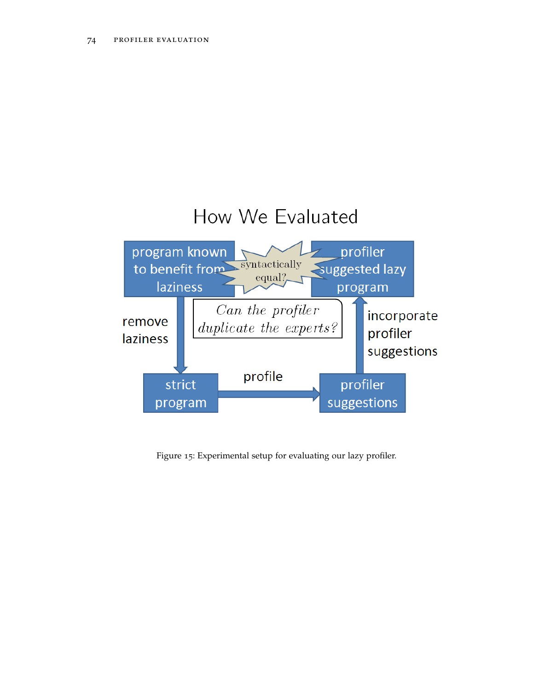<span id="page-91-0"></span>

Figure 15: Experimental setup for evaluating our lazy profiler.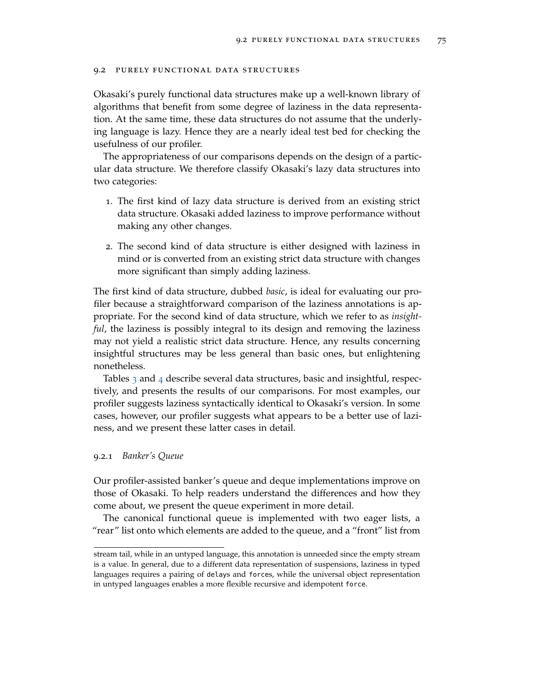### 9.2 purely functional data structures

Okasaki's purely functional data structures make up a well-known library of algorithms that benefit from some degree of laziness in the data representation. At the same time, these data structures do not assume that the underlying language is lazy. Hence they are a nearly ideal test bed for checking the usefulness of our profiler.

The appropriateness of our comparisons depends on the design of a particular data structure. We therefore classify Okasaki's lazy data structures into two categories:

- 1. The first kind of lazy data structure is derived from an existing strict data structure. Okasaki added laziness to improve performance without making any other changes.
- 2. The second kind of data structure is either designed with laziness in mind or is converted from an existing strict data structure with changes more significant than simply adding laziness.

The first kind of data structure, dubbed *basic*, is ideal for evaluating our profiler because a straightforward comparison of the laziness annotations is appropriate. For the second kind of data structure, which we refer to as *insightful*, the laziness is possibly integral to its design and removing the laziness may not yield a realistic strict data structure. Hence, any results concerning insightful structures may be less general than basic ones, but enlightening nonetheless.

Tables [3](#page-93-0) and [4](#page-94-0) describe several data structures, basic and insightful, respectively, and presents the results of our comparisons. For most examples, our profiler suggests laziness syntactically identical to Okasaki's version. In some cases, however, our profiler suggests what appears to be a better use of laziness, and we present these latter cases in detail.

### <span id="page-92-0"></span>9.2.1 *Banker's Queue*

Our profiler-assisted banker's queue and deque implementations improve on those of Okasaki. To help readers understand the differences and how they come about, we present the queue experiment in more detail.

The canonical functional queue is implemented with two eager lists, a "rear" list onto which elements are added to the queue, and a "front" list from

stream tail, while in an untyped language, this annotation is unneeded since the empty stream is a value. In general, due to a different data representation of suspensions, laziness in typed languages requires a pairing of delays and forces, while the universal object representation in untyped languages enables a more flexible recursive and idempotent force.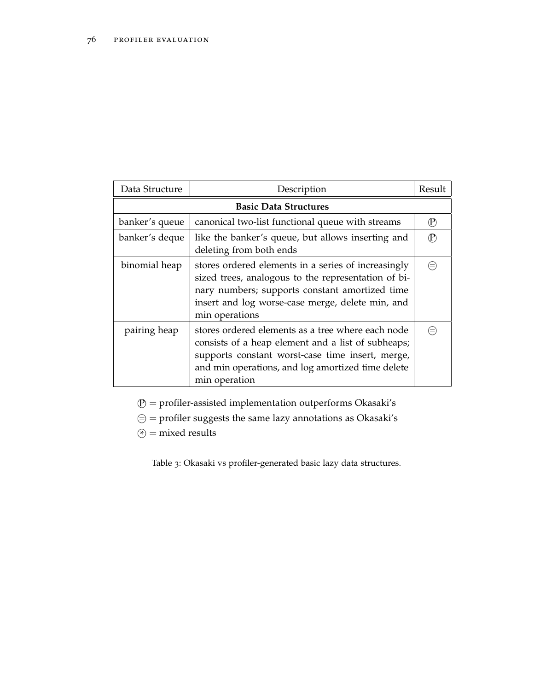<span id="page-93-0"></span>

| Data Structure               | Description                                                                                                                                                                                                                        |    |  |  |
|------------------------------|------------------------------------------------------------------------------------------------------------------------------------------------------------------------------------------------------------------------------------|----|--|--|
| <b>Basic Data Structures</b> |                                                                                                                                                                                                                                    |    |  |  |
| banker's queue               | canonical two-list functional queue with streams                                                                                                                                                                                   | P  |  |  |
| banker's deque               | like the banker's queue, but allows inserting and<br>deleting from both ends                                                                                                                                                       | P  |  |  |
| binomial heap                | stores ordered elements in a series of increasingly<br>sized trees, analogous to the representation of bi-<br>nary numbers; supports constant amortized time<br>insert and log worse-case merge, delete min, and<br>min operations | ⊫  |  |  |
| pairing heap                 | stores ordered elements as a tree where each node<br>consists of a heap element and a list of subheaps;<br>supports constant worst-case time insert, merge,<br>and min operations, and log amortized time delete<br>min operation  | (≕ |  |  |

 $\mathcal{D}$  = profiler-assisted implementation outperforms Okasaki's

 $\textcircled{=}$  profiler suggests the same lazy annotations as Okasaki's

 $\circledast$  = mixed results

Table 3: Okasaki vs profiler-generated basic lazy data structures.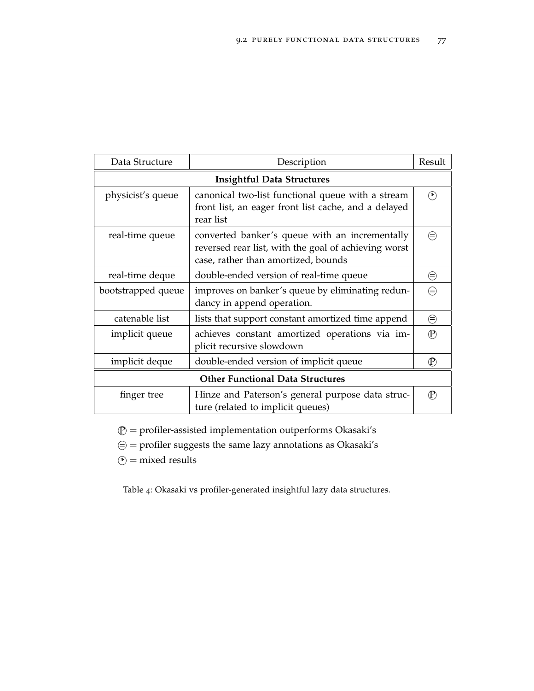<span id="page-94-0"></span>

| Data Structure                          | Description                                                                                                                                   |                   |  |
|-----------------------------------------|-----------------------------------------------------------------------------------------------------------------------------------------------|-------------------|--|
| <b>Insightful Data Structures</b>       |                                                                                                                                               |                   |  |
| physicist's queue                       | canonical two-list functional queue with a stream<br>front list, an eager front list cache, and a delayed<br>rear list                        | $^{(*)}$          |  |
| real-time queue                         | converted banker's queue with an incrementally<br>reversed rear list, with the goal of achieving worst<br>case, rather than amortized, bounds | $(=)$             |  |
| real-time deque                         | double-ended version of real-time queue                                                                                                       | ⊜                 |  |
| bootstrapped queue                      | improves on banker's queue by eliminating redun-<br>dancy in append operation.                                                                | $\left( =\right)$ |  |
| catenable list                          | lists that support constant amortized time append                                                                                             | ⊜                 |  |
| implicit queue                          | achieves constant amortized operations via im-<br>plicit recursive slowdown                                                                   | $\mathcal{P}$     |  |
| implicit deque                          | double-ended version of implicit queue                                                                                                        | $\mathcal{P}$     |  |
| <b>Other Functional Data Structures</b> |                                                                                                                                               |                   |  |
| finger tree                             | Hinze and Paterson's general purpose data struc-<br>ture (related to implicit queues)                                                         |                   |  |

 $\mathcal{D}$  = profiler-assisted implementation outperforms Okasaki's

 $\textcircled{=}$  = profiler suggests the same lazy annotations as Okasaki's

 $\circledast$  = mixed results

Table 4: Okasaki vs profiler-generated insightful lazy data structures.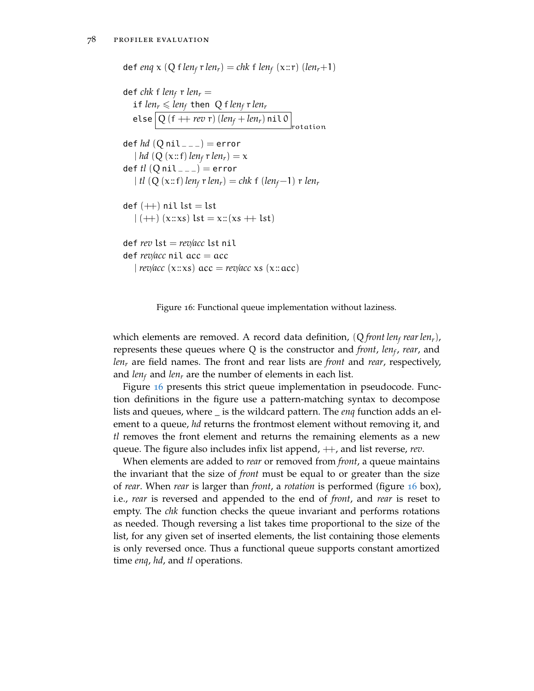<span id="page-95-0"></span>def *enq*  $x$  (Q f *len<sub>f</sub>*  $r$  *len<sub>r</sub>*) = *chk* f *len<sub>f</sub>* ( $x::r$ ) (*len<sub>r</sub>*+1) def *chk* f *len*<sub>f</sub>  $\mathbf{r}$  *len*<sub> $\mathbf{r}$  =</sub> if  $len_r \leqslant len_f$  then  $Q$  f  $len_f$  r  $len_r$  $\mathsf{else} \left[ \mathsf{Q}\left( \mathsf{f} \mathsf{+} \mathsf{r}\mathsf{e}\mathsf{v} \mathsf{r} \right) \left( \mathsf{l}\mathsf{e}\mathsf{n}_\mathsf{f} \mathsf{+} \mathsf{l}\mathsf{e}\mathsf{n}_\mathsf{r} \right) \mathsf{n}\mathsf{i}\mathsf{1}\,\mathsf{0} \right]$ def  $hd$  (Q nil  $_{---}$ ) = error | *hd*  $(Q(x::f) \text{ len}_f \text{ r len}_r) = x$ def  $tl$   $(Q$  nil  $_{---})$  = error | *tl*  $(Q(x: f) \text{ len}_f \text{ r len}_r) = \text{chk } f(\text{ len}_f - 1) \text{ r len}_r$ def  $(++)$  nil lst = lst  $| (++) (x::xs)$  lst = x::  $(xs + 1st)$ def *rev* lst = *rev*/*acc* lst nil def *rev*/*acc* nil acc = acc  $| rev/acc(x::xs) acc = rev/accxs(x::acc)$ 

Figure 16: Functional queue implementation without laziness.

which elements are removed. A record data definition,  $(Q$  *front len*<sub>*f*</sub> *rear len*<sub>*r*</sub>), represents these queues where Q is the constructor and *front*, *len<sup>f</sup>* , *rear*, and *len<sup>r</sup>* are field names. The front and rear lists are *front* and *rear*, respectively, and *len* $_f$  and *len* $_f$  are the number of elements in each list.

Figure [16](#page-95-0) presents this strict queue implementation in pseudocode. Function definitions in the figure use a pattern-matching syntax to decompose lists and queues, where \_ is the wildcard pattern. The *enq* function adds an element to a queue, *hd* returns the frontmost element without removing it, and *tl* removes the front element and returns the remaining elements as a new queue. The figure also includes infix list append, ++, and list reverse, *rev*.

When elements are added to *rear* or removed from *front*, a queue maintains the invariant that the size of *front* must be equal to or greater than the size of *rear*. When *rear* is larger than *front*, a *rotation* is performed (figure [16](#page-95-0) box), i.e., *rear* is reversed and appended to the end of *front*, and *rear* is reset to empty. The *chk* function checks the queue invariant and performs rotations as needed. Though reversing a list takes time proportional to the size of the list, for any given set of inserted elements, the list containing those elements is only reversed once. Thus a functional queue supports constant amortized time *enq*, *hd*, and *tl* operations.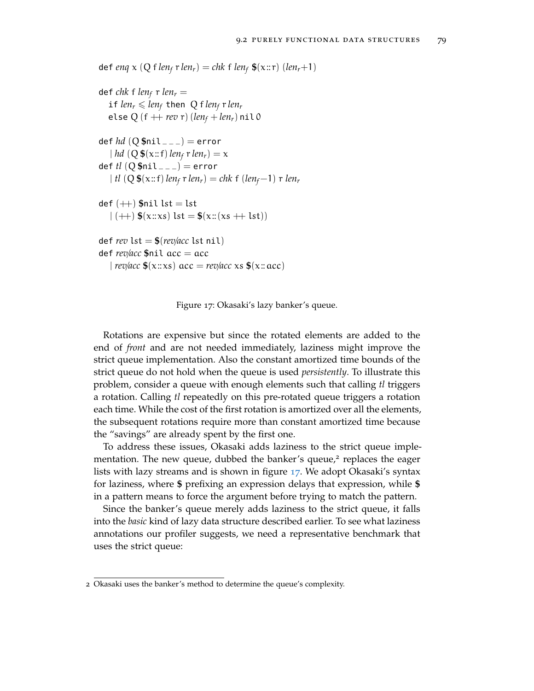```
def enq x (Q f len<sub>f</sub> r len<sub>r</sub>) = chk f len<sub>f</sub> \mathfrak{F}(x::r) (len<sub>r</sub>+1)
def chk f len<sub>f</sub> \mathbf{r} len<sub>\mathbf{r} =</sub>
   if len_r \leqslant len_f then Q f len_f r len_relse Q(f + r e v r)(len_f + len_r) nil 0
def hd (Q $nil_{---}) = error
    | hd (Q \S(x::f) \ len_f \rceil \ len_f) = xdef tl (Q $nil _ _ _) = error
    | tl (Q $(x:: f)lenf r lenr) = chk f (lenf −1) r lenr
def (++) $nil lst = lst
    | (+) \, \text{$(x::xs)} \, \text{lst} = \text{$(x::(xs +t kst))}def rev lst = \frac{\pi}{2} (rev/acc lst nil)
def rev/acc $nil acc = acc
    | rev/acc \$(x::xs) acc = rev/acc \times \$(x::acc)
```
Figure 17: Okasaki's lazy banker's queue.

Rotations are expensive but since the rotated elements are added to the end of *front* and are not needed immediately, laziness might improve the strict queue implementation. Also the constant amortized time bounds of the strict queue do not hold when the queue is used *persistently*. To illustrate this problem, consider a queue with enough elements such that calling *tl* triggers a rotation. Calling *tl* repeatedly on this pre-rotated queue triggers a rotation each time. While the cost of the first rotation is amortized over all the elements, the subsequent rotations require more than constant amortized time because the "savings" are already spent by the first one.

To address these issues, Okasaki adds laziness to the strict queue implementation. The new queue, dubbed the banker's queue,<sup>2</sup> replaces the eager lists with lazy streams and is shown in figure [17](#page-96-0). We adopt Okasaki's syntax for laziness, where **\$** prefixing an expression delays that expression, while **\$** in a pattern means to force the argument before trying to match the pattern.

Since the banker's queue merely adds laziness to the strict queue, it falls into the *basic* kind of lazy data structure described earlier. To see what laziness annotations our profiler suggests, we need a representative benchmark that uses the strict queue:

<sup>2</sup> Okasaki uses the banker's method to determine the queue's complexity.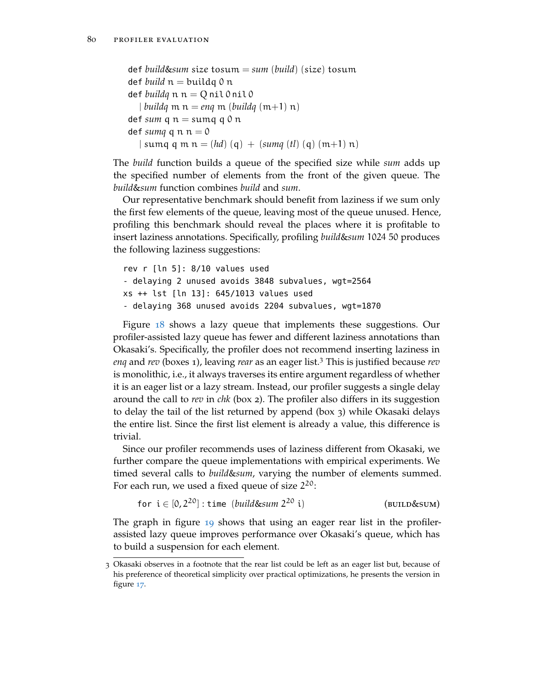```
def build&sum size tosum = sum (build) (size) tosum
def build n = buildq 0 n
def buildq n n = Q nil 0 nil 0
  | buildq m n = enq m (buildq (m+1) n)
def sum q n = sum q q 0 ndef sumq q n n = 0\int sumq q m n = (hd) (q) + (sumq (tl) (q) (m+1) n)
```
The *build* function builds a queue of the specified size while *sum* adds up the specified number of elements from the front of the given queue. The *build*&*sum* function combines *build* and *sum*.

Our representative benchmark should benefit from laziness if we sum only the first few elements of the queue, leaving most of the queue unused. Hence, profiling this benchmark should reveal the places where it is profitable to insert laziness annotations. Specifically, profiling *build*&*sum* 1024 50 produces the following laziness suggestions:

```
rev r [ln 5]: 8/10 values used
- delaying 2 unused avoids 3848 subvalues, wgt=2564
xs ++ lst [ln 13]: 645/1013 values used
- delaying 368 unused avoids 2204 subvalues, wgt=1870
```
Figure [18](#page-98-0) shows a lazy queue that implements these suggestions. Our profiler-assisted lazy queue has fewer and different laziness annotations than Okasaki's. Specifically, the profiler does not recommend inserting laziness in *enq* and *rev* (boxes 1), leaving *rear* as an eager list.<sup>3</sup> This is justified because *rev* is monolithic, i.e., it always traverses its entire argument regardless of whether it is an eager list or a lazy stream. Instead, our profiler suggests a single delay around the call to *rev* in *chk* (box 2). The profiler also differs in its suggestion to delay the tail of the list returned by append (box 3) while Okasaki delays the entire list. Since the first list element is already a value, this difference is trivial.

Since our profiler recommends uses of laziness different from Okasaki, we further compare the queue implementations with empirical experiments. We timed several calls to *build*&*sum*, varying the number of elements summed. For each run, we used a fixed queue of size  $2^{20}$ :

$$
\text{for } i \in [0, 2^{20}] : \text{time } (build\∑ 2^{20} i) \tag{BULD\&SUM}
$$

The graph in figure [19](#page-98-1) shows that using an eager rear list in the profilerassisted lazy queue improves performance over Okasaki's queue, which has to build a suspension for each element.

<sup>3</sup> Okasaki observes in a footnote that the rear list could be left as an eager list but, because of his preference of theoretical simplicity over practical optimizations, he presents the version in figure [17](#page-96-0).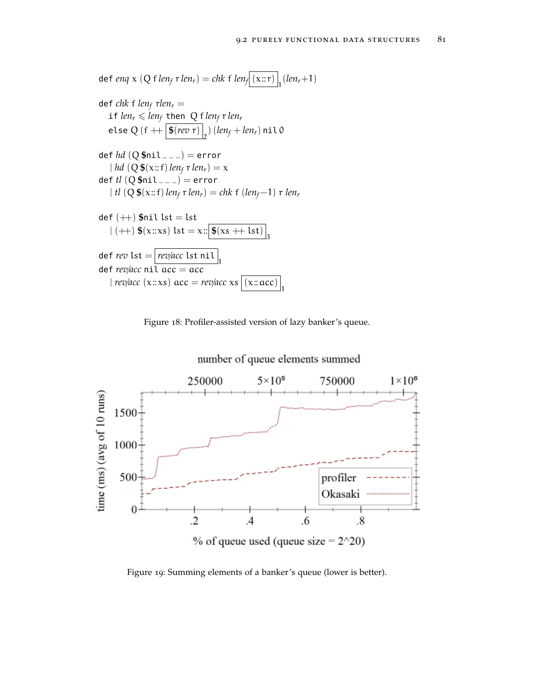<span id="page-98-0"></span>def *enq*  $x$  (Q f *len<sub>f</sub>*  $r$  *len<sub>r</sub>*) = *chk* f *len<sub>f</sub>*  $(x::r)$ <sub>1</sub> (*len<sub>r</sub>*+1) def *chk* f *len*<sub>f</sub> r*len*<sub>*r*</sub> = if  $len_r \leqslant len_f$  then  $Q$  f  $len_f$  r  $len_r$ else Q  $(f + | \S(rev r)|_2)$   $(len_f + len_r)$  nil 0 def  $hd$  (Q  $$nil_{---}$ ) = error | *hd*  $(Q \, \textbf{\$}(x \, \text{::} \, f) \, \text{len}_f \, \textbf{r} \, \text{len}_r) = x$ def *tl* (Q **\$**nil \_ \_ \_) = error | *tl* (Q **\$**(x:: f)*len<sup>f</sup>* r *lenr*) = *chk* f (*len<sup>f</sup>* −1) r *len<sup>r</sup>* def  $(++)$  \$nil lst = lst  $| (+) \, \text{$\$}(x::xs) \, \text{lst} = x::| \, \text{$\$}(xs \, +1 \, \text{lst})$ 3 def *rev* lst = *rev*/*acc* lst nil 1 def *rev*/*acc* nil acc = acc  $| rev/acc(x::xs) acc = rev/accxs | (x::acc)$ 1



<span id="page-98-1"></span>

Figure 19: Summing elements of a banker's queue (lower is better).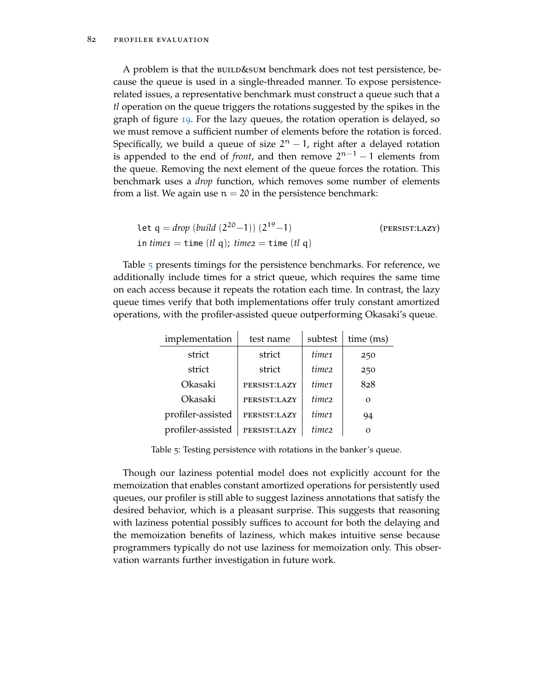A problem is that the BUILD&SUM benchmark does not test persistence, because the queue is used in a single-threaded manner. To expose persistencerelated issues, a representative benchmark must construct a queue such that a *tl* operation on the queue triggers the rotations suggested by the spikes in the graph of figure [19](#page-98-1). For the lazy queues, the rotation operation is delayed, so we must remove a sufficient number of elements before the rotation is forced. Specifically, we build a queue of size  $2<sup>n</sup> - 1$ , right after a delayed rotation is appended to the end of *front*, and then remove  $2^{n-1} - 1$  elements from the queue. Removing the next element of the queue forces the rotation. This benchmark uses a *drop* function, which removes some number of elements from a list. We again use  $n = 20$  in the persistence benchmark:

let 
$$
q = drop \left( build \left( 2^{20} - 1 \right) \right) \left( 2^{19} - 1 \right)
$$

\nin *time1* =  $time \left( tl \, q \right)$ ; *time2* =  $time \left( tl \, q \right)$ 

\n(PERSIST: LAZY)

Table [5](#page-99-0) presents timings for the persistence benchmarks. For reference, we additionally include times for a strict queue, which requires the same time on each access because it repeats the rotation each time. In contrast, the lazy queue times verify that both implementations offer truly constant amortized operations, with the profiler-assisted queue outperforming Okasaki's queue.

<span id="page-99-0"></span>

| implementation    | test name    | subtest           | time (ms) |
|-------------------|--------------|-------------------|-----------|
| strict            | strict       | time <sub>1</sub> | 250       |
| strict            | strict       | <i>time</i> ?     | 250       |
| Okasaki           | PERSIST:LAZY | time <sub>1</sub> | 828       |
| Okasaki           | PERSIST:LAZY | time <sub>2</sub> | $\Omega$  |
| profiler-assisted | PERSIST:LAZY | time <sub>1</sub> | 94        |
| profiler-assisted | PERSIST:LAZY | time2             | റ         |

Table 5: Testing persistence with rotations in the banker's queue.

Though our laziness potential model does not explicitly account for the memoization that enables constant amortized operations for persistently used queues, our profiler is still able to suggest laziness annotations that satisfy the desired behavior, which is a pleasant surprise. This suggests that reasoning with laziness potential possibly suffices to account for both the delaying and the memoization benefits of laziness, which makes intuitive sense because programmers typically do not use laziness for memoization only. This observation warrants further investigation in future work.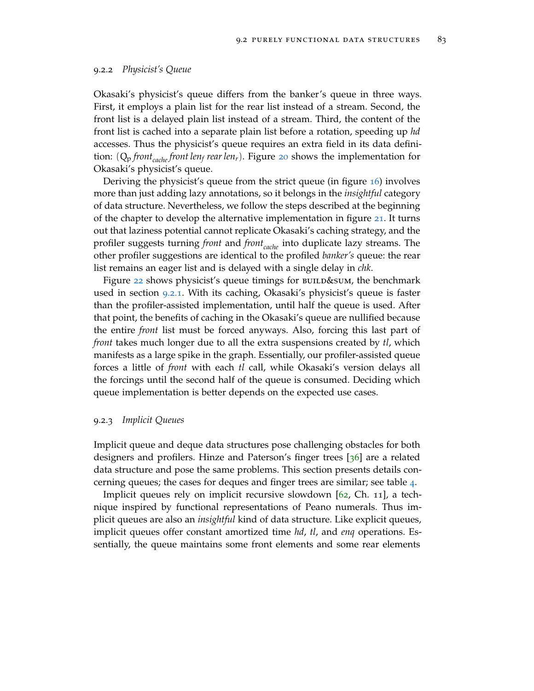### 9.2.2 *Physicist's Queue*

Okasaki's physicist's queue differs from the banker's queue in three ways. First, it employs a plain list for the rear list instead of a stream. Second, the front list is a delayed plain list instead of a stream. Third, the content of the front list is cached into a separate plain list before a rotation, speeding up *hd* accesses. Thus the physicist's queue requires an extra field in its data definition: (Q<sup>p</sup> *frontcache front len<sup>f</sup> rear lenr*). Figure [20](#page-101-0) shows the implementation for Okasaki's physicist's queue.

Deriving the physicist's queue from the strict queue (in figure [16](#page-95-0)) involves more than just adding lazy annotations, so it belongs in the *insightful* category of data structure. Nevertheless, we follow the steps described at the beginning of the chapter to develop the alternative implementation in figure [21](#page-102-0). It turns out that laziness potential cannot replicate Okasaki's caching strategy, and the profiler suggests turning *front* and *frontcache* into duplicate lazy streams. The other profiler suggestions are identical to the profiled *banker's* queue: the rear list remains an eager list and is delayed with a single delay in *chk*.

Figure [22](#page-103-0) shows physicist's queue timings for BUILD&SUM, the benchmark used in section [9](#page-92-0).2.1. With its caching, Okasaki's physicist's queue is faster than the profiler-assisted implementation, until half the queue is used. After that point, the benefits of caching in the Okasaki's queue are nullified because the entire *front* list must be forced anyways. Also, forcing this last part of *front* takes much longer due to all the extra suspensions created by *tl*, which manifests as a large spike in the graph. Essentially, our profiler-assisted queue forces a little of *front* with each *tl* call, while Okasaki's version delays all the forcings until the second half of the queue is consumed. Deciding which queue implementation is better depends on the expected use cases.

## 9.2.3 *Implicit Queues*

Implicit queue and deque data structures pose challenging obstacles for both designers and profilers. Hinze and Paterson's finger trees [[36](#page-144-2)] are a related data structure and pose the same problems. This section presents details concerning queues; the cases for deques and finger trees are similar; see table [4](#page-94-0).

Implicit queues rely on implicit recursive slowdown [[62](#page-146-0), Ch. 11], a technique inspired by functional representations of Peano numerals. Thus implicit queues are also an *insightful* kind of data structure. Like explicit queues, implicit queues offer constant amortized time *hd*, *tl*, and *enq* operations. Essentially, the queue maintains some front elements and some rear elements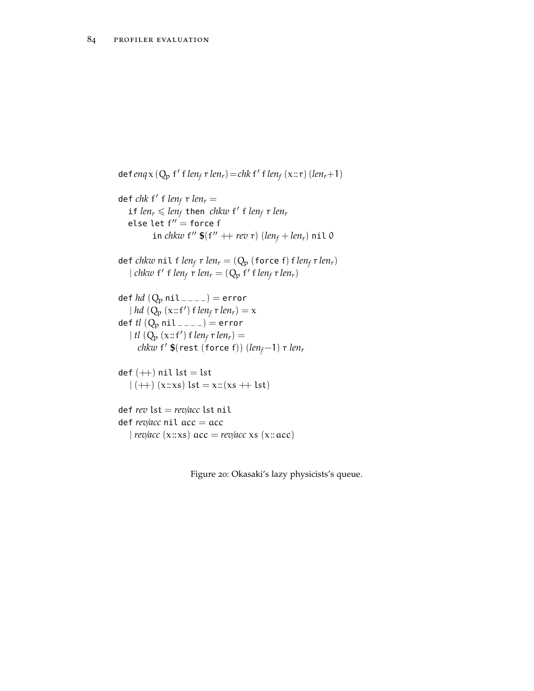```
\det chk f' f len<sub>f</sub> r len<sub>r</sub> =
    if len_r \leqslant len_f then chkw f' f len_f r len_relse let f'' = force f\int \ln chkw f'' \, \mathfrak{F}(f'' + rev \, r) \, (len_f + len_r) \, \text{nil} \, 0def chkw nil f len<sub>f</sub> r len<sub>r</sub> = (Q_p (force f) f len<sub>f</sub> r len<sub>r</sub>)
    | \text{ chkw } f' \text{ f } len_f \text{ r } len_r = (Q_p \text{ f'} \text{ f } len_f \text{ r } len_r)def hd (Q_p nil ---) = error
    |hd(Q_p(x::f')) f len_f r len_r) = xdef tl (Q_p \text{nil}_{---}) = error
    | tl (Q_p(x::f') f len<sub>f</sub> r len<sub>r</sub>) =chkw f
0 $(rest (force f)) (lenf −1) r lenr
def (+) nil lst = lst
   | (+) (x::xs) lst = x:: (xs + 1st)def rev lst = rev/acc lst nil
def rev/acc nil acc = acc
```
<span id="page-101-0"></span>def*enq*  $x$  ( $Q_p$  f' *f len<sub>f</sub>*  $r$  *len<sub>r</sub>*) = *chk* f' *f len<sub>f</sub>* ( $x::r$ ) (*len<sub>r</sub>*+1)

```
| rev/acc(x::xs) acc = rev/accxs(x::acc)
```
Figure 20: Okasaki's lazy physicists's queue.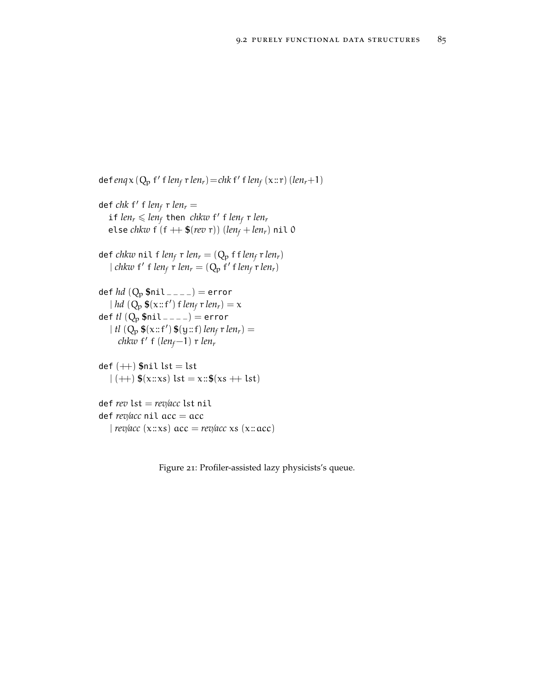```
defenq x (Q_p f' f len<sub>f</sub> r len<sub>r</sub>) = chk f' f len<sub>f</sub> (x::r) (len<sub>r</sub>+1)
\det chk f' f len<sub>f</sub> r len<sub>r</sub> =
    if len_r \leqslant len_f then chkw f' f len_f r len_relse chkw f (f + \$(rev r)) (len_f + len_r) nil 0
def chkw nil f len<sub>f</sub> r len<sub>r</sub> = (Q_p f f len<sub>f</sub> r len<sub>r</sub>)
     | chkw f' f len<sub>f</sub> r len<sub>r</sub> = (Q_p f' f len_f r len_r)def hd (Qp $nil _ _ _ _) = error
     |hd(Q_p \, \mathsf{S}(x::f')) \, \mathsf{f} \, len_f \, \mathsf{r} \, len_r) = xdef tl (Qp $nil _ _ _ _) = error
     | tl (Q_p \, \text{$\$}(x \, \text{::}\, f') \, \text{$\$}(y \, \text{::}\, f) \, \text{len}_f \, \text{r} \, \text{len}_r) =chkw f
0
f (lenf −1) r lenr
def (++) $nil lst = lst
    | (+) \, \text{$\$}(x::xs) \, \text{lst} = x::\text{$\$}(xs + \text{lst})def rev lst = rev/acc lst nil
def rev/acc nil acc = acc
    | rev/acc(x::xs) acc = rev/accxs(x::acc)
```
Figure 21: Profiler-assisted lazy physicists's queue.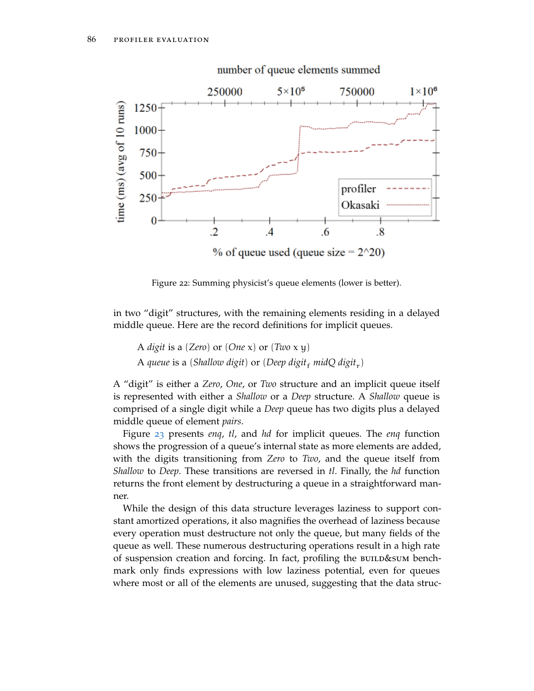<span id="page-103-0"></span>

# number of queue elements summed

Figure 22: Summing physicist's queue elements (lower is better).

in two "digit" structures, with the remaining elements residing in a delayed middle queue. Here are the record definitions for implicit queues.

A *digit* is a (*Zero*) or (*One* x) or (*Two* x y) A queue is a (Shallow digit) or (Deep digit<sub>f</sub> midQ digit<sub>r</sub>)

A "digit" is either a *Zero*, *One*, or *Two* structure and an implicit queue itself is represented with either a *Shallow* or a *Deep* structure. A *Shallow* queue is comprised of a single digit while a *Deep* queue has two digits plus a delayed middle queue of element *pairs*.

Figure [23](#page-104-0) presents *enq*, *tl*, and *hd* for implicit queues. The *enq* function shows the progression of a queue's internal state as more elements are added, with the digits transitioning from *Zero* to *Two*, and the queue itself from *Shallow* to *Deep*. These transitions are reversed in *tl*. Finally, the *hd* function returns the front element by destructuring a queue in a straightforward manner.

While the design of this data structure leverages laziness to support constant amortized operations, it also magnifies the overhead of laziness because every operation must destructure not only the queue, but many fields of the queue as well. These numerous destructuring operations result in a high rate of suspension creation and forcing. In fact, profiling the **BUILD&SUM** benchmark only finds expressions with low laziness potential, even for queues where most or all of the elements are unused, suggesting that the data struc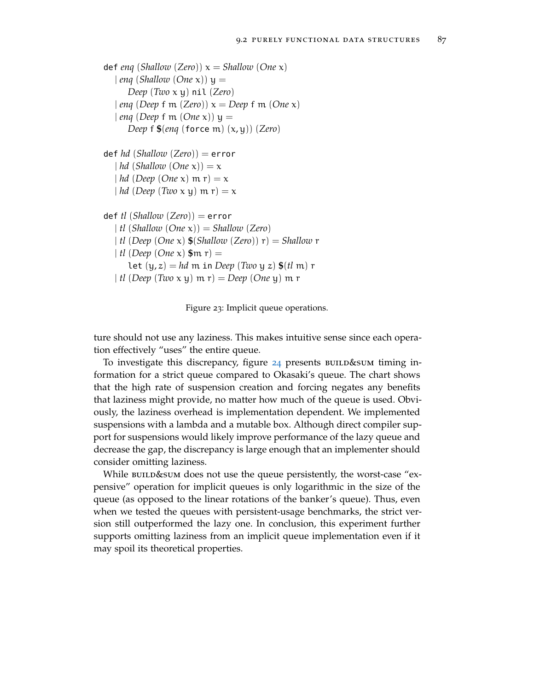<span id="page-104-0"></span>def *enq* (*Shallow* (*Zero*))  $x = \text{Shallow}$  (*One*  $x$ ) | *enq* (*Shallow* (*One* x)) y = *Deep* (*Two* x y) nil (*Zero*) | *enq* (*Deep* f m (*Zero*))  $x = Deep$  f m (*One*  $x$ ) | *enq* (*Deep* f m (*One* x)) y = *Deep* f **\$**(*enq* (force m) (x, y)) (*Zero*)

def *hd* (*Shallow* (*Zero*)) = error | *hd* (*Shallow* (*One*  $x$ )) =  $x$ | *hd* (*Deep* (*One*  $x$ )  $m r$ ) =  $x$ | *hd* (*Deep* (*Two* x y) m r) = x

```
def tl (Shallow (Zero)) = error
  | tl (Shallow (One x)) = Shallow (Zero)
  | tl (Deep (One x) $(Shallow (Zero)) r) = Shallow r
  | tl (Deep (One x) $m r) =
     let (y, z) = hd m in Deep (Two y z) $(tl m) r
  | tl (Deep (Two x y) m r) = Deep (One y) m r
```
Figure 23: Implicit queue operations.

ture should not use any laziness. This makes intuitive sense since each operation effectively "uses" the entire queue.

To investigate this discrepancy, figure  $24$  presents  $B$ UILD&SUM timing information for a strict queue compared to Okasaki's queue. The chart shows that the high rate of suspension creation and forcing negates any benefits that laziness might provide, no matter how much of the queue is used. Obviously, the laziness overhead is implementation dependent. We implemented suspensions with a lambda and a mutable box. Although direct compiler support for suspensions would likely improve performance of the lazy queue and decrease the gap, the discrepancy is large enough that an implementer should consider omitting laziness.

While build&sum does not use the queue persistently, the worst-case "expensive" operation for implicit queues is only logarithmic in the size of the queue (as opposed to the linear rotations of the banker's queue). Thus, even when we tested the queues with persistent-usage benchmarks, the strict version still outperformed the lazy one. In conclusion, this experiment further supports omitting laziness from an implicit queue implementation even if it may spoil its theoretical properties.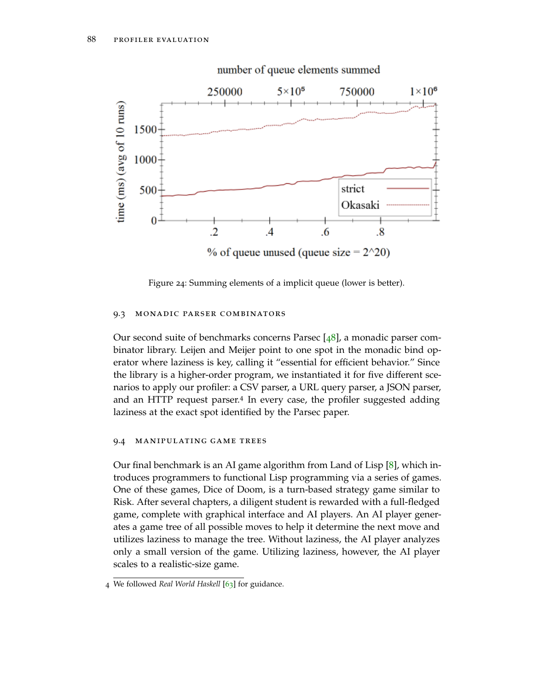<span id="page-105-0"></span>

### number of queue elements summed

Figure 24: Summing elements of a implicit queue (lower is better).

### 9.3 monadic parser combinators

Our second suite of benchmarks concerns Parsec  $[48]$  $[48]$  $[48]$ , a monadic parser combinator library. Leijen and Meijer point to one spot in the monadic bind operator where laziness is key, calling it "essential for efficient behavior." Since the library is a higher-order program, we instantiated it for five different scenarios to apply our profiler: a CSV parser, a URL query parser, a JSON parser, and an HTTP request parser.<sup>4</sup> In every case, the profiler suggested adding laziness at the exact spot identified by the Parsec paper.

### 9.4 manipulating game trees

Our final benchmark is an AI game algorithm from Land of Lisp [[8](#page-142-0)], which introduces programmers to functional Lisp programming via a series of games. One of these games, Dice of Doom, is a turn-based strategy game similar to Risk. After several chapters, a diligent student is rewarded with a full-fledged game, complete with graphical interface and AI players. An AI player generates a game tree of all possible moves to help it determine the next move and utilizes laziness to manage the tree. Without laziness, the AI player analyzes only a small version of the game. Utilizing laziness, however, the AI player scales to a realistic-size game.

<sup>4</sup> We followed *Real World Haskell* [[63](#page-146-1)] for guidance.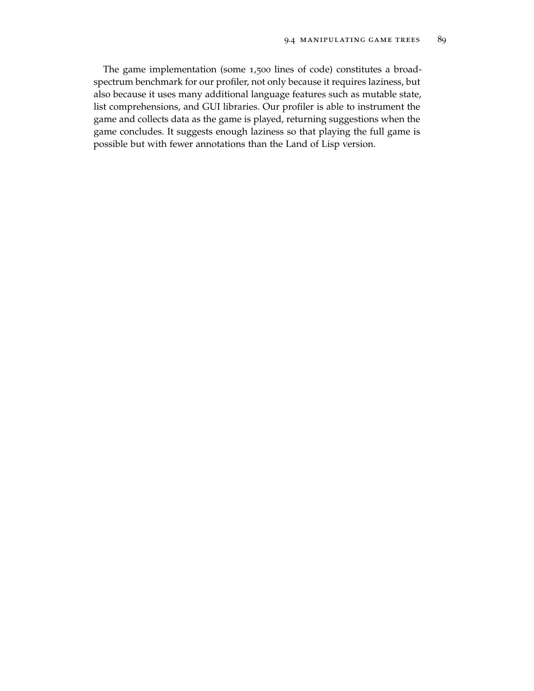The game implementation (some 1,500 lines of code) constitutes a broadspectrum benchmark for our profiler, not only because it requires laziness, but also because it uses many additional language features such as mutable state, list comprehensions, and GUI libraries. Our profiler is able to instrument the game and collects data as the game is played, returning suggestions when the game concludes. It suggests enough laziness so that playing the full game is possible but with fewer annotations than the Land of Lisp version.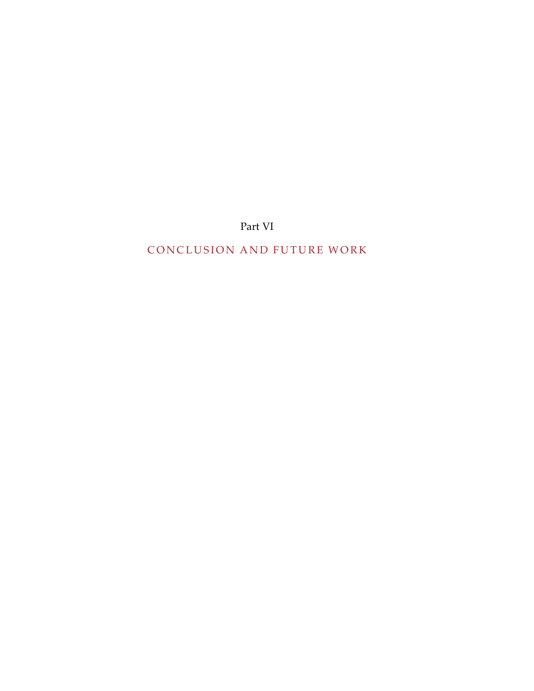Part VI

# CONCLUSION AND FUTURE WORK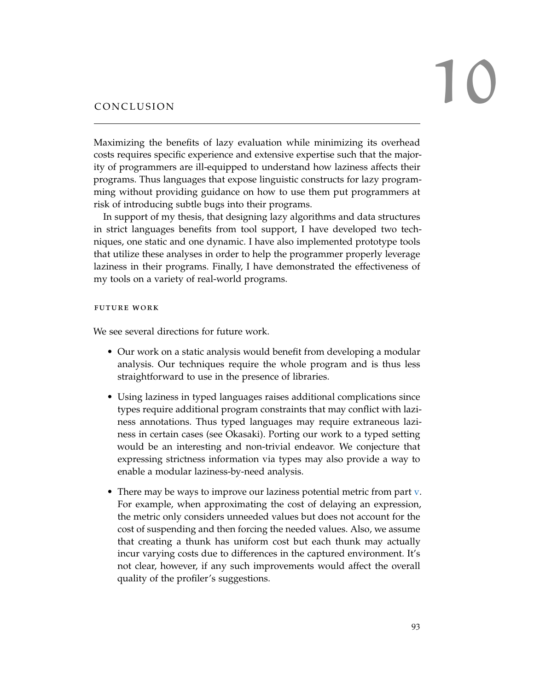# CONCLUSION

Maximizing the benefits of lazy evaluation while minimizing its overhead costs requires specific experience and extensive expertise such that the majority of programmers are ill-equipped to understand how laziness affects their programs. Thus languages that expose linguistic constructs for lazy programming without providing guidance on how to use them put programmers at risk of introducing subtle bugs into their programs.

In support of my thesis, that designing lazy algorithms and data structures in strict languages benefits from tool support, I have developed two techniques, one static and one dynamic. I have also implemented prototype tools that utilize these analyses in order to help the programmer properly leverage laziness in their programs. Finally, I have demonstrated the effectiveness of my tools on a variety of real-world programs.

### future work

We see several directions for future work.

- Our work on a static analysis would benefit from developing a modular analysis. Our techniques require the whole program and is thus less straightforward to use in the presence of libraries.
- Using laziness in typed languages raises additional complications since types require additional program constraints that may conflict with laziness annotations. Thus typed languages may require extraneous laziness in certain cases (see Okasaki). Porting our work to a typed setting would be an interesting and non-trivial endeavor. We conjecture that expressing strictness information via types may also provide a way to enable a modular laziness-by-need analysis.
- There may be ways to improve our laziness potential metric from part [v.](#page-70-0) For example, when approximating the cost of delaying an expression, the metric only considers unneeded values but does not account for the cost of suspending and then forcing the needed values. Also, we assume that creating a thunk has uniform cost but each thunk may actually incur varying costs due to differences in the captured environment. It's not clear, however, if any such improvements would affect the overall quality of the profiler's suggestions.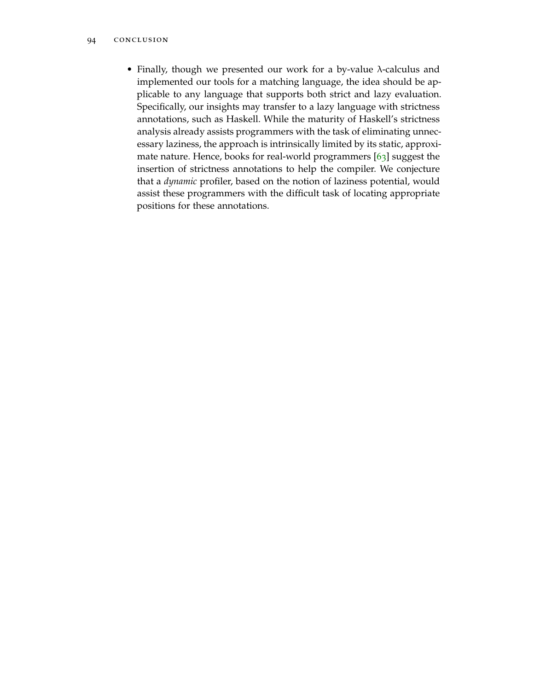#### 94 CONCLUSION

• Finally, though we presented our work for a by-value λ-calculus and implemented our tools for a matching language, the idea should be applicable to any language that supports both strict and lazy evaluation. Specifically, our insights may transfer to a lazy language with strictness annotations, such as Haskell. While the maturity of Haskell's strictness analysis already assists programmers with the task of eliminating unnecessary laziness, the approach is intrinsically limited by its static, approximate nature. Hence, books for real-world programmers [[63](#page-146-0)] suggest the insertion of strictness annotations to help the compiler. We conjecture that a *dynamic* profiler, based on the notion of laziness potential, would assist these programmers with the difficult task of locating appropriate positions for these annotations.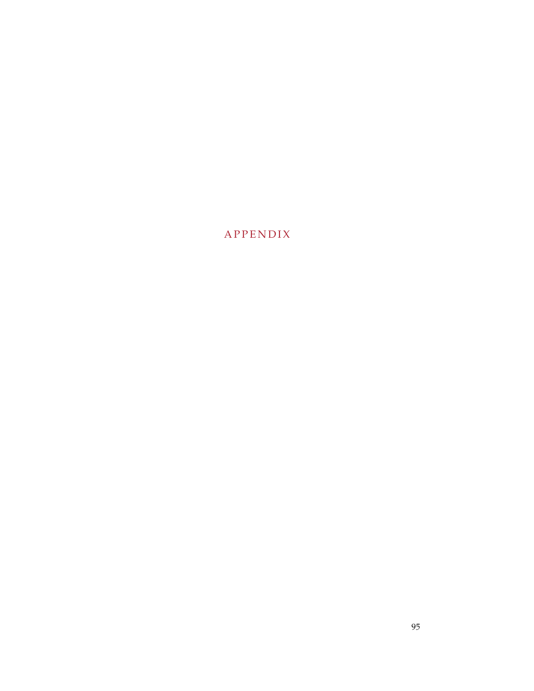# **APPENDIX**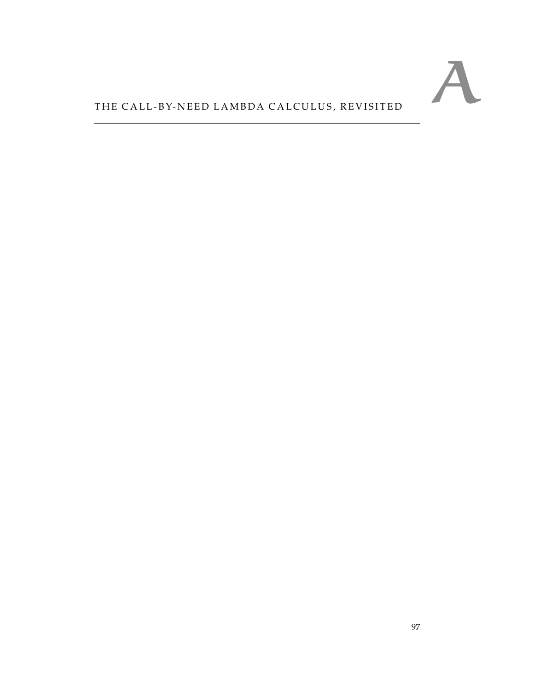# THE CALL-BY-NEED LAMBDA CALCULUS, REVISITED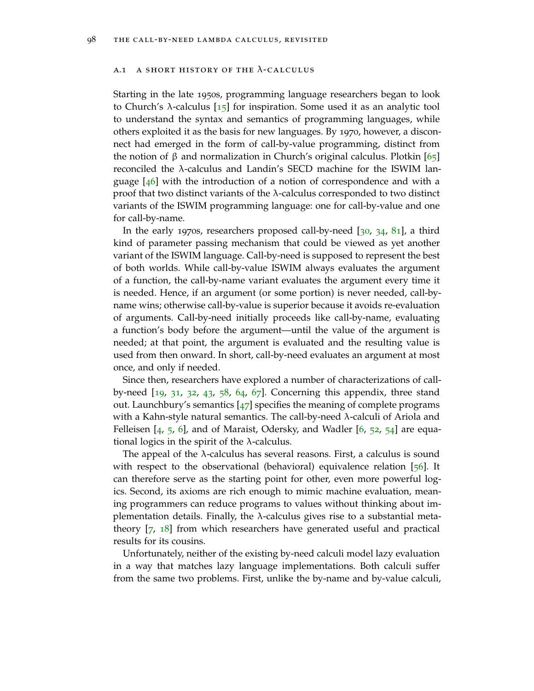#### A.1 A SHORT HISTORY OF THE  $\lambda$ -CALCULUS

Starting in the late 1950s, programming language researchers began to look to Church's  $\lambda$ -calculus [[15](#page-143-0)] for inspiration. Some used it as an analytic tool to understand the syntax and semantics of programming languages, while others exploited it as the basis for new languages. By 1970, however, a disconnect had emerged in the form of call-by-value programming, distinct from the notion of β and normalization in Church's original calculus. Plotkin [[65](#page-147-0)] reconciled the λ-calculus and Landin's SECD machine for the ISWIM language  $[46]$  $[46]$  $[46]$  with the introduction of a notion of correspondence and with a proof that two distinct variants of the  $\lambda$ -calculus corresponded to two distinct variants of the ISWIM programming language: one for call-by-value and one for call-by-name.

In the early 1970s, researchers proposed call-by-need  $[30, 34, 81]$  $[30, 34, 81]$  $[30, 34, 81]$  $[30, 34, 81]$  $[30, 34, 81]$  $[30, 34, 81]$  $[30, 34, 81]$ , a third kind of parameter passing mechanism that could be viewed as yet another variant of the ISWIM language. Call-by-need is supposed to represent the best of both worlds. While call-by-value ISWIM always evaluates the argument of a function, the call-by-name variant evaluates the argument every time it is needed. Hence, if an argument (or some portion) is never needed, call-byname wins; otherwise call-by-value is superior because it avoids re-evaluation of arguments. Call-by-need initially proceeds like call-by-name, evaluating a function's body before the argument—until the value of the argument is needed; at that point, the argument is evaluated and the resulting value is used from then onward. In short, call-by-need evaluates an argument at most once, and only if needed.

Since then, researchers have explored a number of characterizations of callby-need [[19](#page-143-1), [31](#page-144-2), [32](#page-144-3), [43](#page-145-1), [58](#page-146-1), [64](#page-146-2), [67](#page-147-1)]. Concerning this appendix, three stand out. Launchbury's semantics  $[47]$  $[47]$  $[47]$  specifies the meaning of complete programs with a Kahn-style natural semantics. The call-by-need λ-calculi of Ariola and Felleisen  $[4, 5, 6]$  $[4, 5, 6]$  $[4, 5, 6]$  $[4, 5, 6]$  $[4, 5, 6]$  $[4, 5, 6]$  $[4, 5, 6]$ , and of Maraist, Odersky, and Wadler  $[6, 52, 54]$  $[6, 52, 54]$  $[6, 52, 54]$  $[6, 52, 54]$  $[6, 52, 54]$  are equational logics in the spirit of the  $\lambda$ -calculus.

The appeal of the  $\lambda$ -calculus has several reasons. First, a calculus is sound with respect to the observational (behavioral) equivalence relation  $[56]$  $[56]$  $[56]$ . It can therefore serve as the starting point for other, even more powerful logics. Second, its axioms are rich enough to mimic machine evaluation, meaning programmers can reduce programs to values without thinking about implementation details. Finally, the  $λ$ -calculus gives rise to a substantial metatheory [[7](#page-142-3), [18](#page-143-2)] from which researchers have generated useful and practical results for its cousins.

Unfortunately, neither of the existing by-need calculi model lazy evaluation in a way that matches lazy language implementations. Both calculi suffer from the same two problems. First, unlike the by-name and by-value calculi,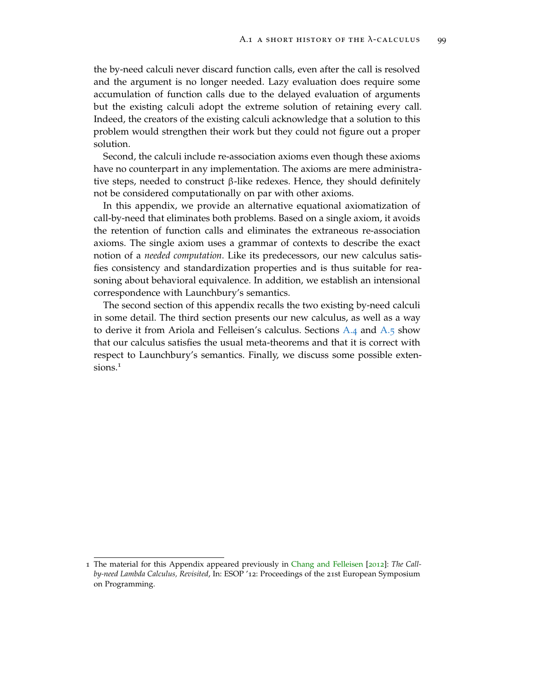the by-need calculi never discard function calls, even after the call is resolved and the argument is no longer needed. Lazy evaluation does require some accumulation of function calls due to the delayed evaluation of arguments but the existing calculi adopt the extreme solution of retaining every call. Indeed, the creators of the existing calculi acknowledge that a solution to this problem would strengthen their work but they could not figure out a proper solution.

Second, the calculi include re-association axioms even though these axioms have no counterpart in any implementation. The axioms are mere administrative steps, needed to construct β-like redexes. Hence, they should definitely not be considered computationally on par with other axioms.

In this appendix, we provide an alternative equational axiomatization of call-by-need that eliminates both problems. Based on a single axiom, it avoids the retention of function calls and eliminates the extraneous re-association axioms. The single axiom uses a grammar of contexts to describe the exact notion of a *needed computation*. Like its predecessors, our new calculus satisfies consistency and standardization properties and is thus suitable for reasoning about behavioral equivalence. In addition, we establish an intensional correspondence with Launchbury's semantics.

The second section of this appendix recalls the two existing by-need calculi in some detail. The third section presents our new calculus, as well as a way to derive it from Ariola and Felleisen's calculus. Sections  $A_4$  and  $A_5$  show that our calculus satisfies the usual meta-theorems and that it is correct with respect to Launchbury's semantics. Finally, we discuss some possible extensions.<sup>1</sup>

<sup>1</sup> The material for this Appendix appeared previously in [Chang and Felleisen](#page-142-4) [[2012](#page-142-4)]: *The Callby-need Lambda Calculus, Revisited*, In: ESOP '12: Proceedings of the 21st European Symposium on Programming.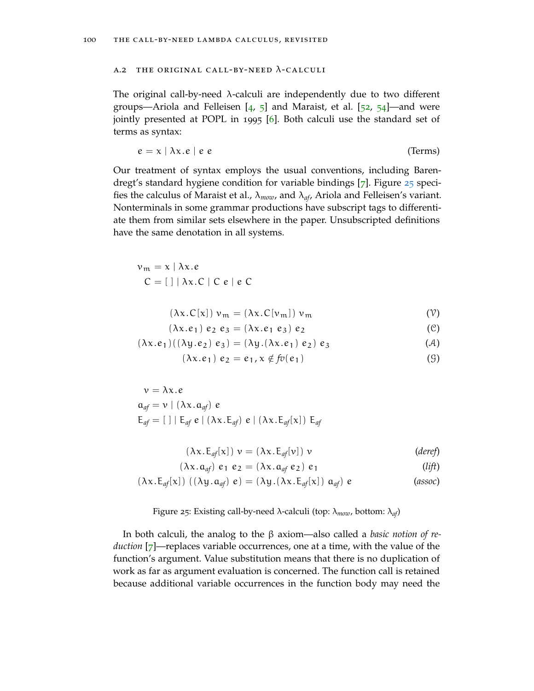#### A.2 THE ORIGINAL CALL-BY-NEED  $\lambda$ -CALCULI

The original call-by-need  $\lambda$ -calculi are independently due to two different groups—Ariola and Felleisen  $\begin{bmatrix} 4 \\ 5 \end{bmatrix}$  $\begin{bmatrix} 4 \\ 5 \end{bmatrix}$  $\begin{bmatrix} 4 \\ 5 \end{bmatrix}$  $\begin{bmatrix} 4 \\ 5 \end{bmatrix}$  $\begin{bmatrix} 4 \\ 5 \end{bmatrix}$  and Maraist, et al.  $\begin{bmatrix} 52 \\ 54 \end{bmatrix}$  $\begin{bmatrix} 52 \\ 54 \end{bmatrix}$  $\begin{bmatrix} 52 \\ 54 \end{bmatrix}$  $\begin{bmatrix} 52 \\ 54 \end{bmatrix}$  $\begin{bmatrix} 52 \\ 54 \end{bmatrix}$ —and were jointly presented at POPL in 1995 [[6](#page-142-2)]. Both calculi use the standard set of terms as syntax:

$$
e = x \mid \lambda x. e \mid e \ e \tag{Terms}
$$

Our treatment of syntax employs the usual conventions, including Barendregt's standard hygiene condition for variable bindings [[7](#page-142-3)]. Figure [25](#page-117-0) specifies the calculus of Maraist et al., λ*mow*, and λ*af*, Ariola and Felleisen's variant. Nonterminals in some grammar productions have subscript tags to differentiate them from similar sets elsewhere in the paper. Unsubscripted definitions have the same denotation in all systems.

<span id="page-117-0"></span>
$$
\nu_{m} = x | \lambda x.e
$$
  

$$
C = [ ] | \lambda x.C | C e | e C
$$

$$
(\lambda x. C[x]) \nu_m = (\lambda x. C[v_m]) \nu_m \tag{V}
$$

 $(\lambda x. e_1) e_2 e_3 = (\lambda x. e_1 e_3) e_2$  (C)

$$
(\lambda x.e_1)((\lambda y.e_2) e_3) = (\lambda y.(\lambda x.e_1) e_2) e_3 \tag{A}
$$

$$
(\lambda x.e_1) e_2 = e_1, x \notin f v(e_1)
$$
 (9)

$$
\nu = \lambda x . e
$$
  
\n
$$
a_{af} = \nu \mid (\lambda x . a_{af}) e
$$
  
\n
$$
E_{af} = [ ] \mid E_{af} e \mid (\lambda x . E_{af}) e \mid (\lambda x . E_{af}[x]) E_{af}
$$

$$
(\lambda x. E_{af}[x]) \nu = (\lambda x. E_{af}[v]) \nu
$$
 (deref)

$$
(\lambda x. a_{af}) e_1 e_2 = (\lambda x. a_{af} e_2) e_1
$$
 (lift)

$$
(\lambda x. E_{af}[x]) ((\lambda y. \alpha_{af}) e) = (\lambda y. (\lambda x. E_{af}[x]) \alpha_{af}) e
$$
 (assoc)

## Figure 25: Existing call-by-need λ-calculi (top: λ*mow*, bottom: λ*af*)

In both calculi, the analog to the β axiom—also called a *basic notion of reduction* [[7](#page-142-3)]—replaces variable occurrences, one at a time, with the value of the function's argument. Value substitution means that there is no duplication of work as far as argument evaluation is concerned. The function call is retained because additional variable occurrences in the function body may need the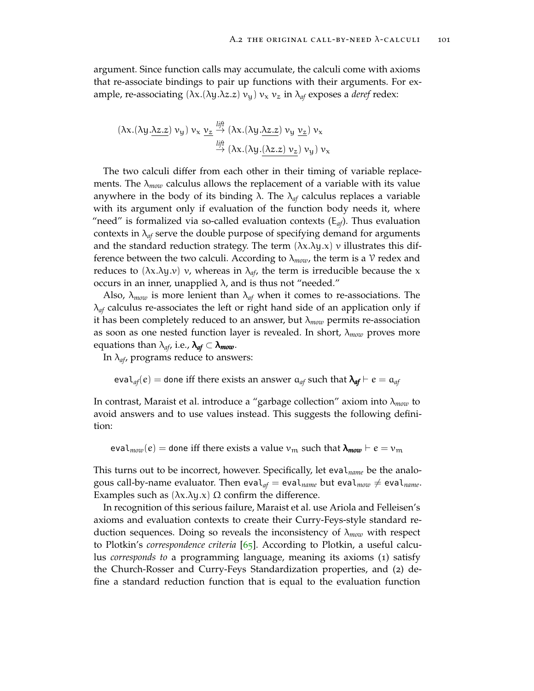argument. Since function calls may accumulate, the calculi come with axioms that re-associate bindings to pair up functions with their arguments. For example, re-associating ( $\lambda x.(\lambda y.\lambda z.z) v_y$ )  $v_x v_z$  in  $\lambda_{af}$  exposes a *deref* redex:

$$
(\lambda x.(\lambda y.\underline{\lambda z. z}) v_y) v_x \underbrace{v_z} \stackrel{\text{lift}}{\rightarrow} (\lambda x.(\lambda y.\underline{\lambda z. z}) v_y \underbrace{v_z}) v_x
$$
  

$$
\stackrel{\text{lift}}{\rightarrow} (\lambda x.(\lambda y.(\lambda z. z) v_z) v_y) v_x
$$

The two calculi differ from each other in their timing of variable replacements. The  $\lambda_{mow}$  calculus allows the replacement of a variable with its value anywhere in the body of its binding λ. The λ*af* calculus replaces a variable with its argument only if evaluation of the function body needs it, where "need" is formalized via so-called evaluation contexts  $(E_{af})$ . Thus evaluation contexts in  $\lambda_{af}$  serve the double purpose of specifying demand for arguments and the standard reduction strategy. The term  $(\lambda x.\lambda y.x)$  v illustrates this difference between the two calculi. According to  $\lambda_{mow}$ , the term is a  $\mathcal V$  redex and reduces to  $(\lambda x.\lambda y.\nu)$  *v*, whereas in  $\lambda_{af}$ , the term is irreducible because the *x* occurs in an inner, unapplied  $\lambda$ , and is thus not "needed."

Also,  $\lambda_{mov}$  is more lenient than  $\lambda_{af}$  when it comes to re-associations. The λ*af* calculus re-associates the left or right hand side of an application only if it has been completely reduced to an answer, but λ*mow* permits re-association as soon as one nested function layer is revealed. In short, λ*mow* proves more equations than  $\lambda_{af}$ , i.e.,  $\lambda_{af} \subset \lambda_{mow}$ .

In  $\lambda_{\text{af}}$ , programs reduce to answers:

eval<sub>*af*</sub>(*e*) = done iff there exists an answer  $a_{af}$  such that  $\lambda_{af} \vdash e = a_{af}$ 

In contrast, Maraist et al. introduce a "garbage collection" axiom into λ*mow* to avoid answers and to use values instead. This suggests the following definition:

eval<sub>mow</sub> $(e)$  = done iff there exists a value  $v_m$  such that  $\lambda_{mow}$   $\vdash e = v_m$ 

This turns out to be incorrect, however. Specifically, let eval*name* be the analogous call-by-name evaluator. Then eval<sub>af</sub> = eval<sub>name</sub> but eval<sub>mow</sub>  $\neq$  eval<sub>name</sub>. Examples such as  $(\lambda x.\lambda y.x)$   $\Omega$  confirm the difference.

In recognition of this serious failure, Maraist et al. use Ariola and Felleisen's axioms and evaluation contexts to create their Curry-Feys-style standard reduction sequences. Doing so reveals the inconsistency of λ*mow* with respect to Plotkin's *correspondence criteria* [[65](#page-147-0)]. According to Plotkin, a useful calculus *corresponds to* a programming language, meaning its axioms (1) satisfy the Church-Rosser and Curry-Feys Standardization properties, and (2) define a standard reduction function that is equal to the evaluation function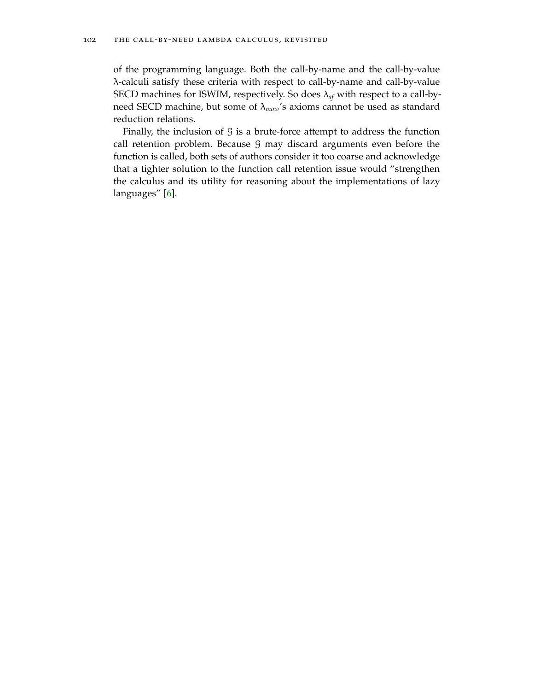of the programming language. Both the call-by-name and the call-by-value λ-calculi satisfy these criteria with respect to call-by-name and call-by-value SECD machines for ISWIM, respectively. So does  $\lambda_{af}$  with respect to a call-byneed SECD machine, but some of  $\lambda_{mow}$ 's axioms cannot be used as standard reduction relations.

Finally, the inclusion of  $G$  is a brute-force attempt to address the function call retention problem. Because  $G$  may discard arguments even before the function is called, both sets of authors consider it too coarse and acknowledge that a tighter solution to the function call retention issue would "strengthen the calculus and its utility for reasoning about the implementations of lazy languages" [[6](#page-142-2)].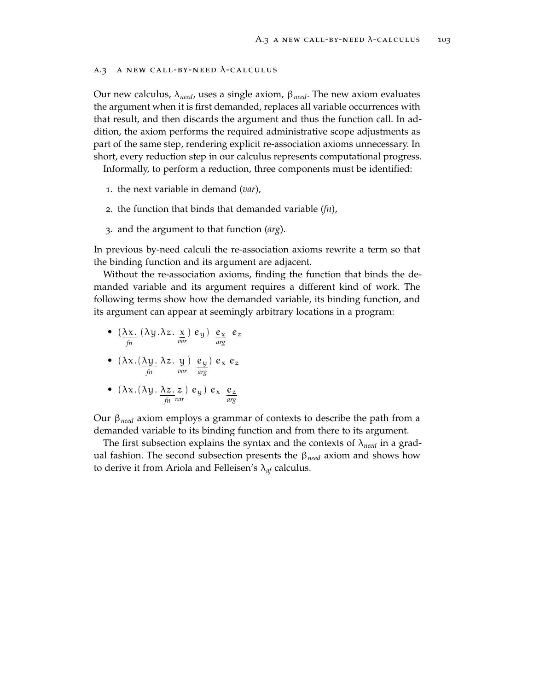#### $A.3$  A NEW CALL-BY-NEED  $\lambda$ -CALCULUS

Our new calculus, λ*need*, uses a single axiom, β*need*. The new axiom evaluates the argument when it is first demanded, replaces all variable occurrences with that result, and then discards the argument and thus the function call. In addition, the axiom performs the required administrative scope adjustments as part of the same step, rendering explicit re-association axioms unnecessary. In short, every reduction step in our calculus represents computational progress.

Informally, to perform a reduction, three components must be identified:

- 1. the next variable in demand (*var*),
- 2. the function that binds that demanded variable (*fn*),
- 3. and the argument to that function (*arg*).

In previous by-need calculi the re-association axioms rewrite a term so that the binding function and its argument are adjacent.

Without the re-association axioms, finding the function that binds the demanded variable and its argument requires a different kind of work. The following terms show how the demanded variable, its binding function, and its argument can appear at seemingly arbitrary locations in a program:

- $\bullet$  ( $\lambda x$ . *fn* (λy.λz. <u>x</u> *var* )  $e_y$ )  $e_x$ *arg* ez
- $\bullet$  ( $\lambda x.(\lambda y.$ *fn* λz. y *var* )  $e_y$ *arg* )  $e_x e_z$
- (λx.(λy.  $λz$ . *fn* z *var* )  $e_y$ )  $e_x$   $e_z$ *arg*

Our β*need* axiom employs a grammar of contexts to describe the path from a demanded variable to its binding function and from there to its argument.

The first subsection explains the syntax and the contexts of λ*need* in a gradual fashion. The second subsection presents the β*need* axiom and shows how to derive it from Ariola and Felleisen's λ*af* calculus.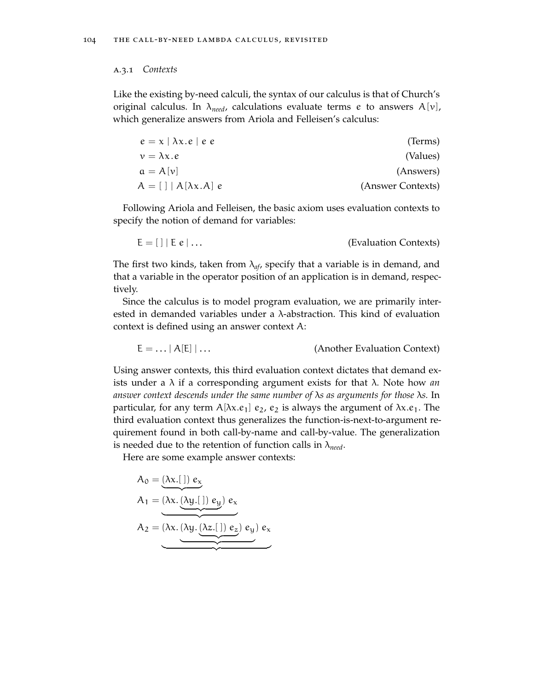#### a.3.1 *Contexts*

Like the existing by-need calculi, the syntax of our calculus is that of Church's original calculus. In  $\lambda_{need}$ , calculations evaluate terms e to answers  $A[v]$ , which generalize answers from Ariola and Felleisen's calculus:

$$
e = x | \lambda x.e | e e
$$
 (Terms)  
\n
$$
v = \lambda x.e
$$
 (Values)  
\n
$$
a = A[v]
$$
 (Answers)  
\n
$$
A = [] | A[\lambda x.A] e
$$
 (Answers)

Following Ariola and Felleisen, the basic axiom uses evaluation contexts to specify the notion of demand for variables:

$$
E = [ ] | E e | ... \t\t (Evaluation Contexts)
$$

The first two kinds, taken from  $\lambda_{af}$ , specify that a variable is in demand, and that a variable in the operator position of an application is in demand, respectively.

Since the calculus is to model program evaluation, we are primarily interested in demanded variables under a  $\lambda$ -abstraction. This kind of evaluation context is defined using an answer context A:

$$
E = \dots | A[E] | \dots
$$
 (Another Evaluation Context)

Using answer contexts, this third evaluation context dictates that demand exists under a λ if a corresponding argument exists for that λ. Note how *an answer context descends under the same number of* λ*s as arguments for those* λ*s.* In particular, for any term  $A[\lambda x.e_1]$  e<sub>2</sub>, e<sub>2</sub> is always the argument of  $\lambda x.e_1$ . The third evaluation context thus generalizes the function-is-next-to-argument requirement found in both call-by-name and call-by-value. The generalization is needed due to the retention of function calls in λ*need*.

Here are some example answer contexts:

$$
A_0 = (\lambda x.[]) e_x
$$
  
\n
$$
A_1 = (\lambda x. (\lambda y.[]) e_y) e_x
$$
  
\n
$$
A_2 = (\lambda x. (\lambda y. (\lambda z.[]) e_z) e_y) e_x
$$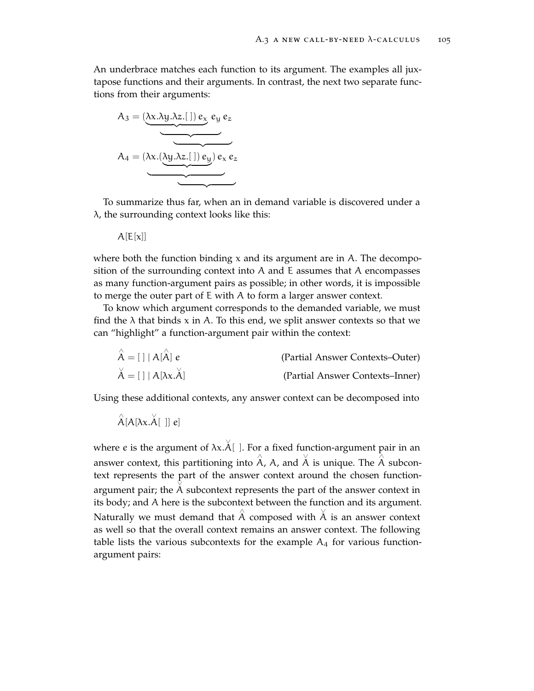An underbrace matches each function to its argument. The examples all juxtapose functions and their arguments. In contrast, the next two separate functions from their arguments:

$$
A_3 = (\underbrace{\lambda x. \lambda y. \lambda z.[]}_{\lambda z.[] e_x e_y e_z}
$$
\n
$$
A_4 = (\lambda x. (\underbrace{\lambda y. \lambda z.[]}_{\lambda z.[] e_y e_x e_z})
$$

To summarize thus far, when an in demand variable is discovered under a λ, the surrounding context looks like this:

 $A[E[x]]$ 

where both the function binding  $x$  and its argument are in A. The decomposition of the surrounding context into A and E assumes that A encompasses as many function-argument pairs as possible; in other words, it is impossible to merge the outer part of E with A to form a larger answer context.

To know which argument corresponds to the demanded variable, we must find the  $\lambda$  that binds  $x$  in A. To this end, we split answer contexts so that we can "highlight" a function-argument pair within the context:

| $\wedge$<br>$A = [ \ ] \   A[A] \ e$           | (Partial Answer Contexts–Outer) |  |
|------------------------------------------------|---------------------------------|--|
| $\breve{A} = [\ ]   A[\lambda x. \breve{A}]  $ | (Partial Answer Contexts–Inner) |  |

Using these additional contexts, any answer context can be decomposed into

$$
\hat{A}[A[\lambda x.\check{A}[\ ]]e]
$$

where e is the argument of  $\lambda x.\breve{\mathsf{A}}[$  ]. For a fixed function-argument pair in an answer context, this partitioning into  $\hat{A}$ , A, and  $\breve{A}$  is unique. The  $\hat{A}$  subcontext represents the part of the answer context around the chosen functionargument pair; the  $\breve{A}$  subcontext represents the part of the answer context in its body; and A here is the subcontext between the function and its argument. Naturally we must demand that  $\hat{\overline{A}}$  composed with  $\breve{\overline{A}}$  is an answer context as well so that the overall context remains an answer context. The following table lists the various subcontexts for the example  $A_4$  for various functionargument pairs: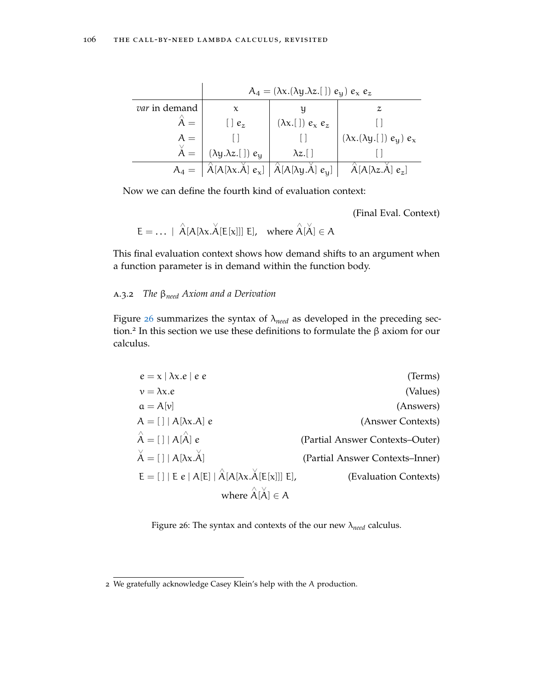|               | $A_4 = (\lambda x.(\lambda y.\lambda z. \vert \,)) e_y e_x e_z$ |                                                                                    |                                      |
|---------------|-----------------------------------------------------------------|------------------------------------------------------------------------------------|--------------------------------------|
| var in demand |                                                                 |                                                                                    | z                                    |
| $A =$         | $\lfloor e_z \rfloor$                                           | $(\lambda x.$ [ ]) $e_x e_z$                                                       |                                      |
| $A =$         |                                                                 |                                                                                    | $(\lambda x.(\lambda y.[]) e_y) e_x$ |
| $\breve{A} =$ | $(\lambda y.\lambda z.$ []) $e_y$                               | $\lambda z.$ []                                                                    |                                      |
|               |                                                                 | $A_4 =  \hat{A}[A[\lambda x.\check{A}] e_x]  \hat{A}[A[\lambda y.\check{A}] e_y] $ | $\hat{A}[A[\lambda z.\AA] e_z]$      |

Now we can define the fourth kind of evaluation context:

(Final Eval. Context)

$$
E=\ldots\,\mid\, \overset{\wedge}{A}[A[\lambda x.\overset{\vee}{A}[E[x]]]\;E],\quad \text{where}\; \overset{\wedge}{A}[\overset{\vee}{A}]\in A
$$

This final evaluation context shows how demand shifts to an argument when a function parameter is in demand within the function body.

#### a.3.2 *The* β*need Axiom and a Derivation*

Figure [26](#page-123-0) summarizes the syntax of λ*need* as developed in the preceding section.<sup>2</sup> In this section we use these definitions to formulate the β axiom for our calculus.

<span id="page-123-0"></span> $e = x \mid \lambda x.e \mid e \ e$  (Terms)  $v = \lambda x.e$  (Values)  $a = A[v]$  (Answers)  $A = [ ] | A[\lambda x.A] e$  (Answer Contexts)  $\hat{\overline{A}} = [ ] \mid A[\hat{\overline{A}}]$ (Partial Answer Contexts–Outer)  $\breve{A} = [ ] \mid A[λx. \breve{A}]$ (Partial Answer Contexts–Inner)  $E = [ ] \mid E e \mid A[E] \mid \hat{A}[A[\lambda x. \breve{A}$ (Evaluation Contexts) where  $\hat{A}[\stackrel{\vee}{A}] \in A$ 

Figure 26: The syntax and contexts of the our new λ*need* calculus.

<sup>2</sup> We gratefully acknowledge Casey Klein's help with the A production.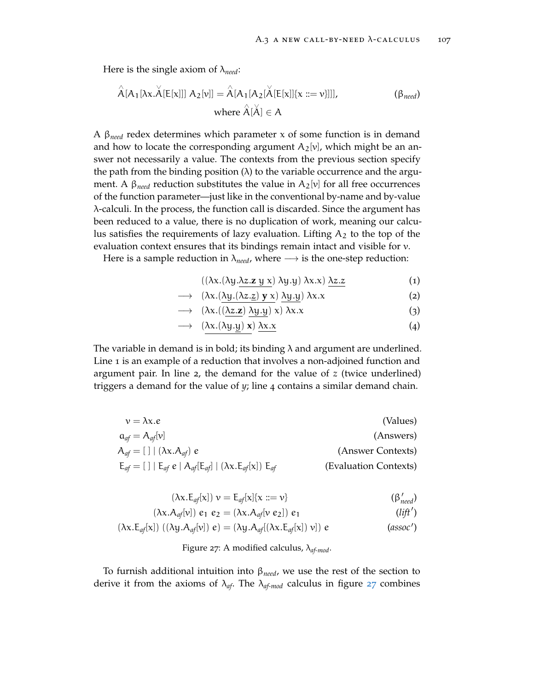Here is the single axiom of λ*need*:

$$
\hat{A}[A_1[\lambda x. \check{A}[E[x]]] A_2[v]] = \hat{A}[A_1[A_2[\check{A}[E[x]]\{x ::= v\}]]],
$$
\nwhere  $\hat{A}[\check{A}] \in A$  (β<sub>need</sub>)

A β*need* redex determines which parameter x of some function is in demand and how to locate the corresponding argument  $A_2[v]$ , which might be an answer not necessarily a value. The contexts from the previous section specify the path from the binding position  $(\lambda)$  to the variable occurrence and the argument. A β<sub>*need*</sub> reduction substitutes the value in  $A_2$ [v] for all free occurrences of the function parameter—just like in the conventional by-name and by-value λ-calculi. In the process, the function call is discarded. Since the argument has been reduced to a value, there is no duplication of work, meaning our calculus satisfies the requirements of lazy evaluation. Lifting  $A_2$  to the top of the evaluation context ensures that its bindings remain intact and visible for v.

Here is a sample reduction in  $\lambda_{need}$ , where  $\longrightarrow$  is the one-step reduction:

$$
((\lambda x.(\lambda y.\lambda z.\mathbf{z}\,y\,x)\,\lambda y.y)\,\lambda x.x)\,\lambda z.z
$$
 (1)

$$
\longrightarrow (\lambda x.(\lambda y.(\lambda z. \underline{z}) y x) \lambda y. \underline{y}) \lambda x. x \tag{2}
$$

$$
\rightarrow (\lambda x.(\lambda y.(\lambda z. \underline{z}) \underline{y} \underline{x}) \underline{A} \underline{y}. \lambda x. x \tag{2}
$$
\n
$$
\rightarrow (\lambda x.((\lambda z. \underline{z}) \underline{A} \underline{y}. \underline{y}) \underline{x}) \lambda x. x \tag{3}
$$
\n
$$
\rightarrow (\lambda x.(\lambda \underline{u}. \underline{u}) \underline{x}) \lambda x. x \tag{4}
$$

$$
\rightarrow (\lambda x.(\lambda y. \underline{y}) \mathbf{x}) \underline{\lambda x. x} \tag{4}
$$

The variable in demand is in bold; its binding  $\lambda$  and argument are underlined. Line 1 is an example of a reduction that involves a non-adjoined function and argument pair. In line 2, the demand for the value of *z* (twice underlined) triggers a demand for the value of *y*; line 4 contains a similar demand chain.

<span id="page-124-0"></span>
$$
v = \lambda x.e
$$
 (Values)  
\n
$$
a_{af} = A_{af}[v]
$$
 (Answers)  
\n
$$
A_{af} = [] | (\lambda x.A_{af}) e
$$
 (Answers)  
\n
$$
E_{af} = [] | E_{af} e | A_{af}[E_{af}] | (\lambda x.E_{af}[x]) E_{af}
$$
 (Evaluation Contexts)

$$
(\lambda x.E_{af}[x])\ \nu = E_{af}[x]\{x ::= \nu\}
$$
\n
$$
(\beta'_{need})
$$

$$
(\lambda x. A_{af}[v]) e_1 e_2 = (\lambda x. A_{af}[v e_2]) e_1
$$
 *(lift')*

$$
(\lambda x.E_{af}[x]) ((\lambda y.A_{af}[v]) e) = (\lambda y.A_{af}[(\lambda x.E_{af}[x]) v]) e
$$
 (assoc')

Figure 27: A modified calculus, λ*af-mod*.

To furnish additional intuition into β*need*, we use the rest of the section to derive it from the axioms of  $\lambda_{af}$ . The  $\lambda_{af-mod}$  calculus in figure [27](#page-124-0) combines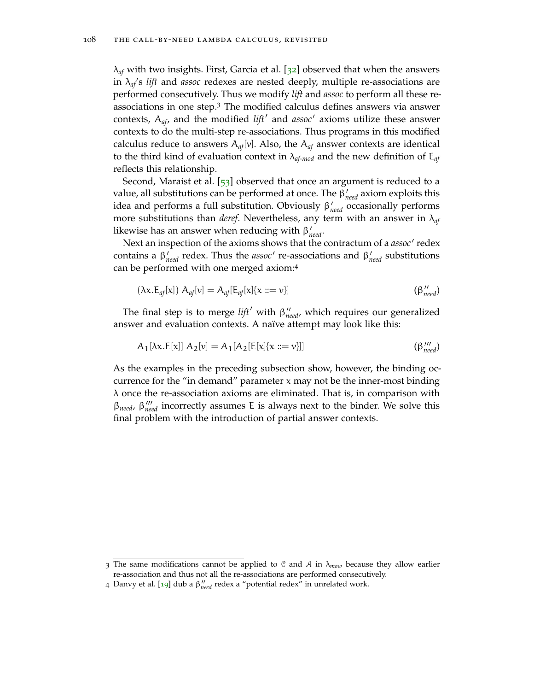$\lambda_{\text{af}}$  with two insights. First, Garcia et al. [[32](#page-144-3)] observed that when the answers in λ*af*'s *lift* and *assoc* redexes are nested deeply, multiple re-associations are performed consecutively. Thus we modify *lift* and *assoc* to perform all these reassociations in one step.<sup>3</sup> The modified calculus defines answers via answer contexts,  $A_{af}$ , and the modified *lift'* and  $assoc'$  axioms utilize these answer contexts to do the multi-step re-associations. Thus programs in this modified calculus reduce to answers A*af*[v]. Also, the A*af* answer contexts are identical to the third kind of evaluation context in λ*af-mod* and the new definition of E*af* reflects this relationship.

Second, Maraist et al. [[53](#page-146-6)] observed that once an argument is reduced to a value, all substitutions can be performed at once. The β<sub>*need*</sub> axiom exploits this idea and performs a full substitution. Obviously β<sub>need</sub> occasionally performs more substitutions than *deref*. Nevertheless, any term with an answer in λ*af* likewise has an answer when reducing with  $\beta'_{need}$ .

Next an inspection of the axioms shows that the contractum of a *assoc'* redex contains a  $β'_{need}$  redex. Thus the *assoc'* re-associations and  $β'_{need}$  substitutions can be performed with one merged axiom:<sup>4</sup>

$$
(\lambda x. E_{af}[x]) A_{af}[v] = A_{af}[E_{af}[x]\{x ::= v\}]
$$
\n
$$
(\beta''_{need})
$$

The final step is to merge  $lift'$  with  $\beta''_{need}$ , which requires our generalized answer and evaluation contexts. A naïve attempt may look like this:

$$
A_1[\lambda x.E[x]] A_2[v] = A_1[A_2[E[x]\{x ::= v\}]]
$$
\n
$$
(\beta'''_{\text{need}})
$$

As the examples in the preceding subsection show, however, the binding occurrence for the "in demand" parameter  $x$  may not be the inner-most binding  $\lambda$  once the re-association axioms are eliminated. That is, in comparison with β<sub>need</sub>, β<sup>'''</sup><sub>need</sub> incorrectly assumes E is always next to the binder. We solve this final problem with the introduction of partial answer contexts.

<sup>3</sup> The same modifications cannot be applied to C and A in λ*mow* because they allow earlier re-association and thus not all the re-associations are performed consecutively.

<sup>4</sup> Danvy et al. [[19](#page-143-1)] dub a  $\beta''_{need}$  redex a "potential redex" in unrelated work.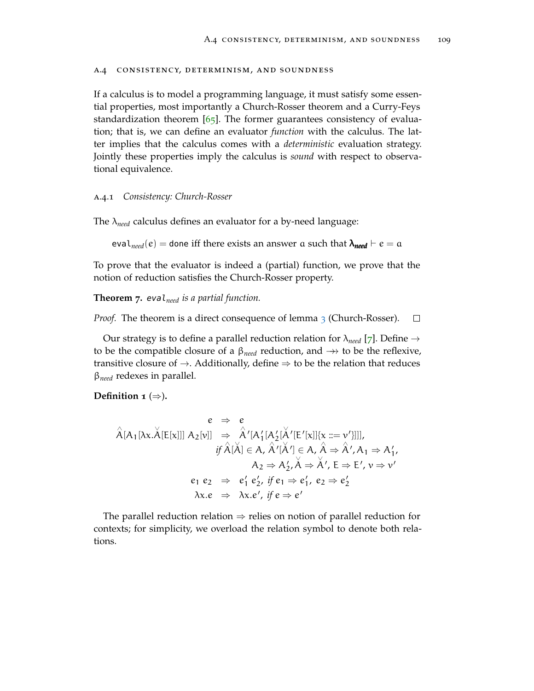#### <span id="page-126-0"></span>a.4 consistency, determinism, and soundness

If a calculus is to model a programming language, it must satisfy some essential properties, most importantly a Church-Rosser theorem and a Curry-Feys standardization theorem [[65](#page-147-0)]. The former guarantees consistency of evaluation; that is, we can define an evaluator *function* with the calculus. The latter implies that the calculus comes with a *deterministic* evaluation strategy. Jointly these properties imply the calculus is *sound* with respect to observational equivalence.

#### a.4.1 *Consistency: Church-Rosser*

The λ*need* calculus defines an evaluator for a by-need language:

eval<sub>need</sub>(e) = done iff there exists an answer a such that  $\lambda_{\text{need}} \vdash e = a$ 

To prove that the evaluator is indeed a (partial) function, we prove that the notion of reduction satisfies the Church-Rosser property.

**Theorem 7.** eval*need is a partial function.*

*Proof.* The theorem is a direct consequence of lemma [3](#page-127-0) (Church-Rosser).  $\Box$ 

Our strategy is to define a parallel reduction relation for  $\lambda_{need}$  [[7](#page-142-3)]. Define  $\rightarrow$ to be the compatible closure of a  $\beta_{need}$  reduction, and  $\rightarrow$  to be the reflexive, transitive closure of  $\rightarrow$ . Additionally, define  $\Rightarrow$  to be the relation that reduces β*need* redexes in parallel.

**Definition**  $\mathbf{1}$  ( $\Rightarrow$ ).

$$
e \Rightarrow e
$$
  
\n
$$
\hat{A}[A_1[\lambda x. \hat{A}[E[x]]] \quad A_2[v]] \Rightarrow \hat{A}'[A_1'[A_2'[\hat{A}'[E'[x]]\{x ::= v']\}]],
$$
  
\nif  $\hat{A}[\hat{A}] \in A$ ,  $\hat{A}'[\hat{A}'] \in A$ ,  $\hat{A} \Rightarrow \hat{A}', A_1 \Rightarrow A'_1$ ,  
\n
$$
A_2 \Rightarrow A'_2, \hat{A} \Rightarrow \hat{A}', E \Rightarrow E', v \Rightarrow v'
$$
  
\n
$$
e_1 e_2 \Rightarrow e'_1 e'_2, \text{ if } e_1 \Rightarrow e'_1, e_2 \Rightarrow e'_2
$$
  
\n
$$
\lambda x.e \Rightarrow \lambda x.e', \text{ if } e \Rightarrow e'
$$

The parallel reduction relation  $\Rightarrow$  relies on notion of parallel reduction for contexts; for simplicity, we overload the relation symbol to denote both relations.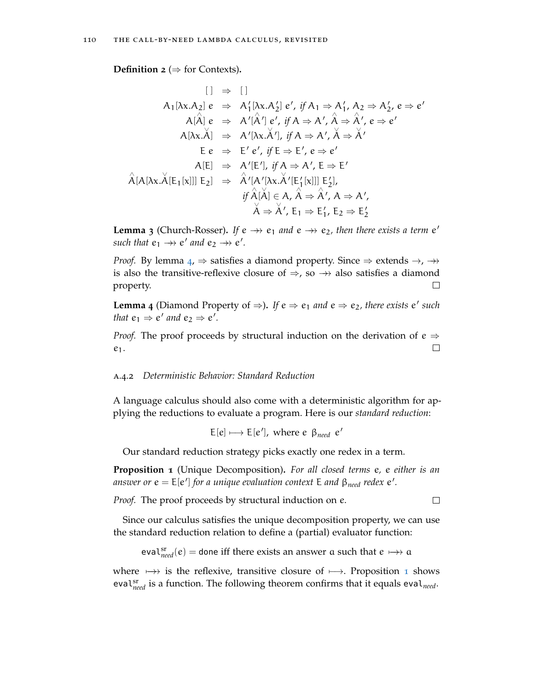**Definition**  $2 \Leftrightarrow$  for Contexts).

$$
[ ] \Rightarrow [ ]
$$
  
\n
$$
A_1[\lambda x.A_2] e \Rightarrow A'_1[\lambda x.A'_2] e', if A_1 \Rightarrow A'_1, A_2 \Rightarrow A'_2, e \Rightarrow e'
$$
  
\n
$$
A[\hat{A}] e \Rightarrow A'[\hat{A}'] e', if A \Rightarrow A', \hat{A} \Rightarrow \hat{A}', e \Rightarrow e'
$$
  
\n
$$
A[\lambda x.\hat{A}] \Rightarrow A'[\lambda x.\hat{A}'], if A \Rightarrow A', \hat{A} \Rightarrow \hat{A}'
$$
  
\n
$$
E e \Rightarrow E' e', if E \Rightarrow E', e \Rightarrow e'
$$
  
\n
$$
A[E] \Rightarrow A'[E'], if A \Rightarrow A', E \Rightarrow E'
$$
  
\n
$$
\hat{A}[A[\lambda x.\hat{A}[E_1[x]]] E_2] \Rightarrow \hat{A}'[A'[\lambda x.\hat{A}'[E'_1[x]]] E'_2],
$$
  
\n
$$
if \hat{A}[\hat{A}] \in A, \hat{A} \Rightarrow \hat{A}', A \Rightarrow A',
$$
  
\n
$$
\hat{A} \Rightarrow \hat{A}', E_1 \Rightarrow E'_1, E_2 \Rightarrow E'_2
$$

<span id="page-127-0"></span>**Lemma 3** (Church-Rosser). If  $e \rightarrow e_1$  and  $e \rightarrow e_2$ , then there exists a term  $e'$ such that  $e_1 \rightarrow e'$  and  $e_2 \rightarrow e'$ .

*Proof.* By lemma  $4$ ,  $\Rightarrow$  satisfies a diamond property. Since  $\Rightarrow$  extends  $\rightarrow$ ,  $\rightarrow$ is also the transitive-reflexive closure of  $\Rightarrow$ , so  $\rightarrow \rightarrow$  also satisfies a diamond property.  $\Box$ 

<span id="page-127-1"></span>**Lemma** 4 (Diamond Property of  $\Rightarrow$ ). If  $e \Rightarrow e_1$  and  $e \Rightarrow e_2$ , there exists  $e'$  such *that*  $e_1 \Rightarrow e'$  *and*  $e_2 \Rightarrow e'$ *.* 

*Proof.* The proof proceeds by structural induction on the derivation of  $e \Rightarrow$  $\Box$  $e_1$ .

#### a.4.2 *Deterministic Behavior: Standard Reduction*

A language calculus should also come with a deterministic algorithm for applying the reductions to evaluate a program. Here is our *standard reduction*:

$$
E[e] \longmapsto E[e'], \text{ where } e \beta_{\text{need}} e'
$$

Our standard reduction strategy picks exactly one redex in a term.

<span id="page-127-2"></span>**Proposition 1** (Unique Decomposition)**.** *For all closed terms* e*,* e *either is an answer or*  $e = E[e']$  for a unique evaluation context E and  $\beta_{need}$  redex  $e'.$ 

*Proof.* The proof proceeds by structural induction on e.

 $\Box$ 

Since our calculus satisfies the unique decomposition property, we can use the standard reduction relation to define a (partial) evaluator function:

eval $S_{need}^{sr}(e) =$  done iff there exists an answer  $a$  such that  $e \mapsto a$ 

where  $\mapsto$  is the reflexive, transitive closure of  $\mapsto$ . Proposition [1](#page-127-2) shows eval<sup>sr</sup><sub>need</sub> is a function. The following theorem confirms that it equals eval<sub>need</sub>.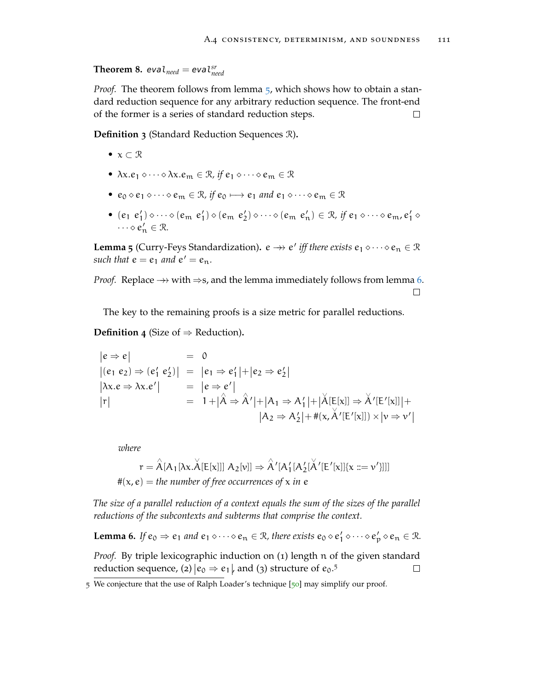# **Theorem 8.**  $eval_{need} = eval_{need}^{sr}$

*Proof.* The theorem follows from lemma  $\frac{1}{2}$ , which shows how to obtain a standard reduction sequence for any arbitrary reduction sequence. The front-end of the former is a series of standard reduction steps.  $\Box$ 

**Definition 3** (Standard Reduction Sequences R)**.**

- *•* x ⊂ R
- $\lambda x.e_1 \diamond \cdots \diamond \lambda x.e_m \in \mathcal{R}$ , if  $e_1 \diamond \cdots \diamond e_m \in \mathcal{R}$
- $e_0 \diamond e_1 \diamond \cdots \diamond e_m \in \mathcal{R}$ , if  $e_0 \longmapsto e_1$  and  $e_1 \diamond \cdots \diamond e_m \in \mathcal{R}$
- $(e_1 \ e'_1) \diamond \cdots \diamond (e_m \ e'_1) \diamond (e_m \ e'_2) \diamond \cdots \diamond (e_m \ e'_n) \in \mathcal{R}, \text{ if } e_1 \diamond \cdots \diamond e_m, e'_1 \diamond$  $\cdots \diamond e_n' \in \mathcal{R}$ .

<span id="page-128-0"></span>**Lemma 5** (Curry-Feys Standardization).  $e \rightarrow e'$  *iff there exists*  $e_1 \diamond \cdots \diamond e_n \in \mathbb{R}$ such that  $e = e_1$  and  $e' = e_n$ .

*Proof.* Replace  $\rightarrow$  with  $\Rightarrow$ s, and the lemma immediately follows from lemma [6](#page-128-1).  $\Box$ 

The key to the remaining proofs is a size metric for parallel reductions.

**Definition 4** (Size of  $\Rightarrow$  Reduction).

$$
\begin{array}{rcl}\n|e \Rightarrow e| & = & 0 \\
|(e_1 \ e_2) \Rightarrow (e_1' \ e_2')| & = & |e_1 \Rightarrow e_1'| + |e_2 \Rightarrow e_2'| \\
|\lambda x.e \Rightarrow \lambda x.e'| & = & |e \Rightarrow e'| \\
|r| & = & 1 + |\hat{A} \Rightarrow \hat{A}'| + |A_1 \Rightarrow A_1'| + |\check{A}[E[x]] \Rightarrow \check{A}'[E'[x]]| + \\
& |A_2 \Rightarrow A_2'| + \#(x, \check{A}'[E'[x]]) \times |v \Rightarrow v'|)\n\end{array}
$$

*where*

$$
r = \hat{A}[A_1[\lambda x. \check{A}[E[x]]] \ A_2[v]] \Rightarrow \hat{A}'[A'_1[A'_2[\check{A}'[E'[x]]\{x ::= v'\}]]]
$$

$$
\#(x, e) = the number of free occurrences of x in e
$$

*The size of a parallel reduction of a context equals the sum of the sizes of the parallel reductions of the subcontexts and subterms that comprise the context.*

<span id="page-128-1"></span>**Lemma 6.** If  $e_0 \Rightarrow e_1$  and  $e_1 \diamond \cdots \diamond e_n \in \mathcal{R}$ , there exists  $e_0 \diamond e'_1 \diamond \cdots \diamond e'_p \diamond e_n \in \mathcal{R}$ .

*Proof.* By triple lexicographic induction on (1) length n of the given standard reduction sequence, (2)  $|e_0 \Rightarrow e_1|$ , and (3) structure of  $e_0$ .<sup>5</sup>  $\Box$ 

<sup>5</sup> We conjecture that the use of Ralph Loader's technique [[50](#page-145-3)] may simplify our proof.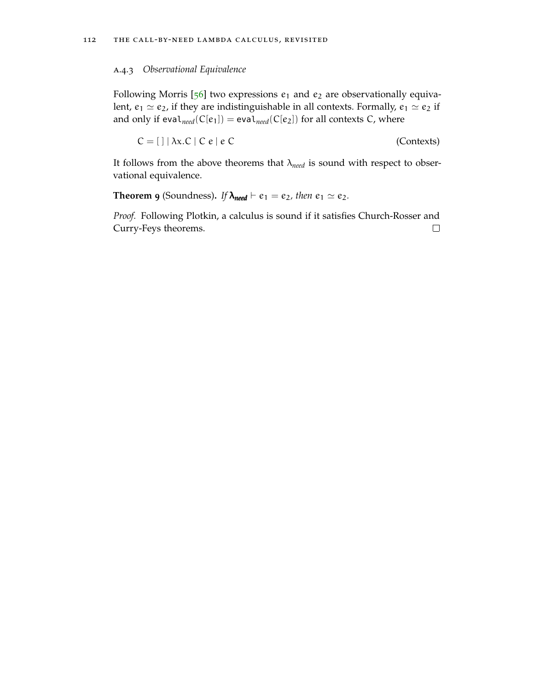#### a.4.3 *Observational Equivalence*

Following Morris  $[56]$  $[56]$  $[56]$  two expressions  $e_1$  and  $e_2$  are observationally equivalent,  $e_1 \simeq e_2$ , if they are indistinguishable in all contexts. Formally,  $e_1 \simeq e_2$  if and only if  $eval<sub>need</sub>(C[e<sub>1</sub>]) = eval<sub>need</sub>(C[e<sub>2</sub>])$  for all contexts C, where

$$
C = [ ] | \lambda x.C | C e | e C
$$
 (Contexts)

It follows from the above theorems that  $\lambda_{need}$  is sound with respect to observational equivalence.

**Theorem 9** (Soundness). *If*  $\lambda_{\text{need}} \vdash e_1 = e_2$ , then  $e_1 \simeq e_2$ .

*Proof.* Following Plotkin, a calculus is sound if it satisfies Church-Rosser and Curry-Feys theorems. $\Box$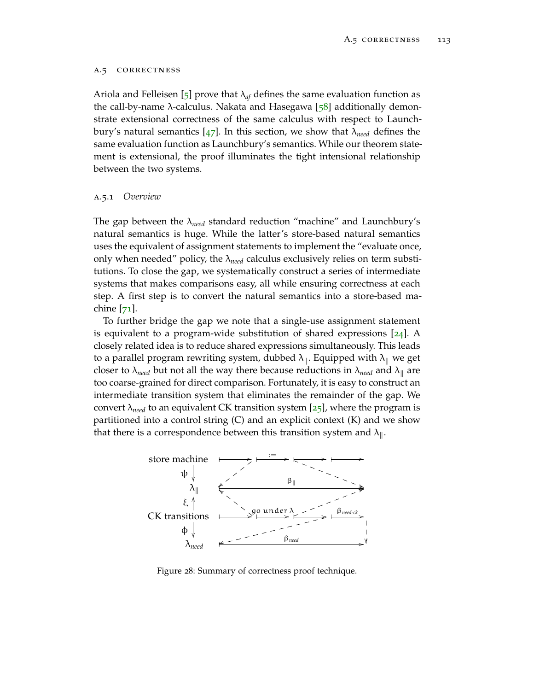#### <span id="page-130-0"></span>a.5 correctness

Ariola and Felleisen [[5](#page-142-1)] prove that  $\lambda_{af}$  defines the same evaluation function as the call-by-name  $\lambda$ -calculus. Nakata and Hasegawa [[58](#page-146-1)] additionally demonstrate extensional correctness of the same calculus with respect to Launchbury's natural semantics [[47](#page-145-2)]. In this section, we show that λ*need* defines the same evaluation function as Launchbury's semantics. While our theorem statement is extensional, the proof illuminates the tight intensional relationship between the two systems.

#### a.5.1 *Overview*

The gap between the λ*need* standard reduction "machine" and Launchbury's natural semantics is huge. While the latter's store-based natural semantics uses the equivalent of assignment statements to implement the "evaluate once, only when needed" policy, the  $\lambda_{need}$  calculus exclusively relies on term substitutions. To close the gap, we systematically construct a series of intermediate systems that makes comparisons easy, all while ensuring correctness at each step. A first step is to convert the natural semantics into a store-based machine [[71](#page-147-2)].

To further bridge the gap we note that a single-use assignment statement is equivalent to a program-wide substitution of shared expressions  $[24]$  $[24]$  $[24]$ . A closely related idea is to reduce shared expressions simultaneously. This leads to a parallel program rewriting system, dubbed  $\lambda_{\parallel}$ . Equipped with  $\lambda_{\parallel}$  we get closer to  $\lambda_{need}$  but not all the way there because reductions in  $\lambda_{need}$  and  $\lambda_{\parallel}$  are too coarse-grained for direct comparison. Fortunately, it is easy to construct an intermediate transition system that eliminates the remainder of the gap. We convert  $\lambda_{need}$  to an equivalent CK transition system [[25](#page-144-5)], where the program is partitioned into a control string (C) and an explicit context (K) and we show that there is a correspondence between this transition system and  $\lambda_{\parallel}$ .

<span id="page-130-1"></span>

Figure 28: Summary of correctness proof technique.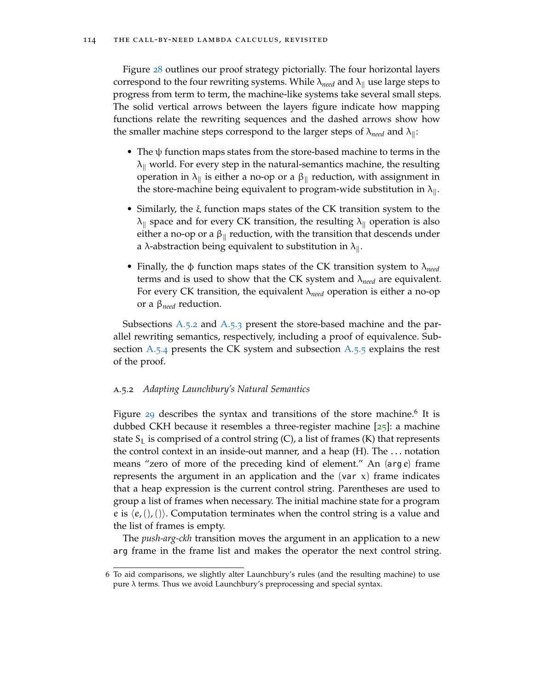Figure [28](#page-130-1) outlines our proof strategy pictorially. The four horizontal layers correspond to the four rewriting systems. While  $\lambda_{need}$  and  $\lambda_{\parallel}$  use large steps to progress from term to term, the machine-like systems take several small steps. The solid vertical arrows between the layers figure indicate how mapping functions relate the rewriting sequences and the dashed arrows show how the smaller machine steps correspond to the larger steps of  $\lambda_{need}$  and  $\lambda_{\parallel}$ :

- The ψ function maps states from the store-based machine to terms in the  $\lambda_{\parallel}$  world. For every step in the natural-semantics machine, the resulting operation in  $λ_{\parallel}$  is either a no-op or a  $β_{\parallel}$  reduction, with assignment in the store-machine being equivalent to program-wide substitution in  $\lambda_{\parallel}$ .
- Similarly, the ξ function maps states of the CK transition system to the  $\lambda_{\parallel}$  space and for every CK transition, the resulting  $\lambda_{\parallel}$  operation is also either a no-op or a  $\beta_{\parallel}$  reduction, with the transition that descends under a  $\lambda$ -abstraction being equivalent to substitution in  $\lambda_{\parallel}$ .
- Finally, the φ function maps states of the CK transition system to λ*need* terms and is used to show that the CK system and λ*need* are equivalent. For every CK transition, the equivalent λ*need* operation is either a no-op or a β*need* reduction.

Subsections [A.](#page-131-0)5.2 and [A.](#page-133-0)5.3 present the store-based machine and the parallel rewriting semantics, respectively, including a proof of equivalence. Subsection  $A_{.5.4}$  presents the CK system and subsection  $A_{.5.5}$  explains the rest of the proof.

#### <span id="page-131-0"></span>a.5.2 *Adapting Launchbury's Natural Semantics*

Figure [29](#page-132-0) describes the syntax and transitions of the store machine.<sup>6</sup> It is dubbed CKH because it resembles a three-register machine [[25](#page-144-5)]: a machine state  $S_L$  is comprised of a control string (C), a list of frames (K) that represents the control context in an inside-out manner, and a heap (H). The . . . notation means "zero of more of the preceding kind of element." An (arg e) frame represents the argument in an application and the (var  $x$ ) frame indicates that a heap expression is the current control string. Parentheses are used to group a list of frames when necessary. The initial machine state for a program e is  $\langle e,(h),(h)\rangle$ . Computation terminates when the control string is a value and the list of frames is empty.

The *push-arg-ckh* transition moves the argument in an application to a new arg frame in the frame list and makes the operator the next control string.

<sup>6</sup> To aid comparisons, we slightly alter Launchbury's rules (and the resulting machine) to use pure  $\lambda$  terms. Thus we avoid Launchbury's preprocessing and special syntax.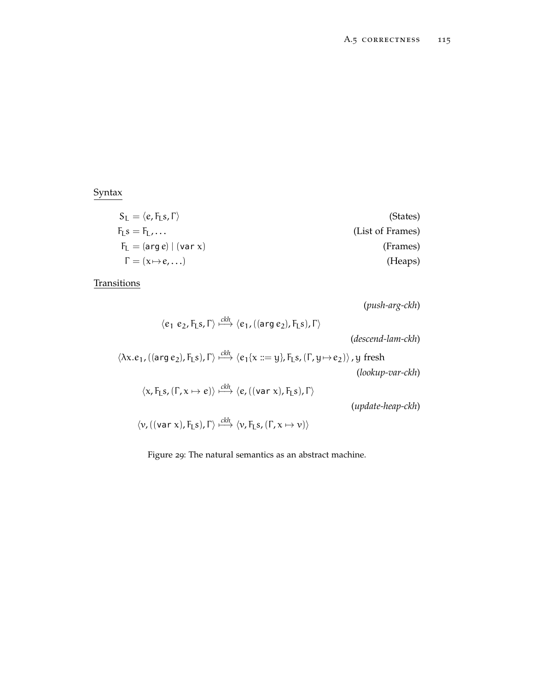# <span id="page-132-0"></span>Syntax

$$
S_{L} = \langle e, F_{L}s, \Gamma \rangle
$$
\n
$$
F_{L}s = F_{L} \dots
$$
\n
$$
F_{L} = \left(\arg e\right) \mid (\text{var } x)
$$
\n
$$
\Gamma = \left(x \mapsto e, \dots\right)
$$
\n(Int *Gr* (Grames) (Frames) (Frames) (Frames)

**Transitions** 

(*push-arg-ckh*)

$$
\langle e_1 \ e_2, F_L s, \Gamma \rangle \stackrel{ckh}{\longrightarrow} \langle e_1, ((\text{arg } e_2), F_L s), \Gamma \rangle
$$
\n(*descend-lam-ckh*)

$$
\langle \lambda x. e_1, ((\text{arg } e_2), F_L s), \Gamma \rangle \xrightarrow{c \lambda h} \langle e_1 \{x ::= y\}, F_L s, (\Gamma, y \mapsto e_2) \rangle, y \text{ fresh}
$$
\n(*lookup-var-ckh*)\n
$$
\langle x, F_L s, (\Gamma, x \mapsto e) \rangle \xrightarrow{c \lambda h} \langle e, ((\text{var } x), F_L s), \Gamma \rangle
$$
\n(*update-heap-ckh*)

 $\langle v, ((\texttt{var } x), F_\texttt{LS}) , \Gamma \rangle \stackrel{ckh}{\longmapsto} \langle v, F_\texttt{LS} , (\Gamma, x \mapsto v) \rangle$ 

Figure 29: The natural semantics as an abstract machine.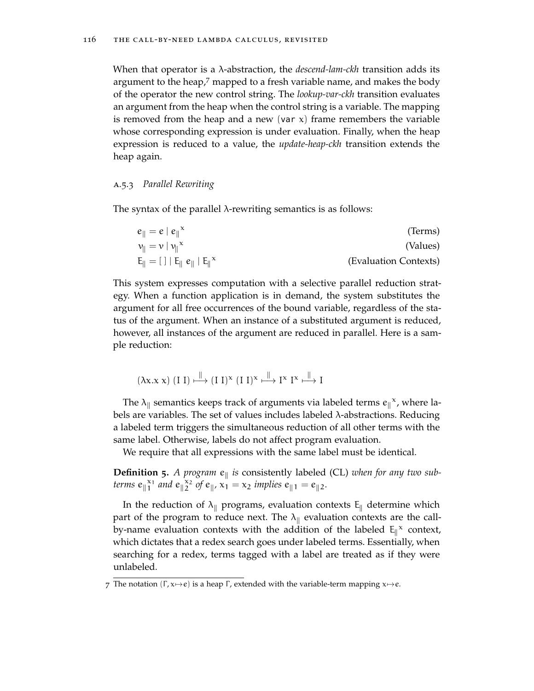When that operator is a λ-abstraction, the *descend-lam-ckh* transition adds its argument to the heap, $7$  mapped to a fresh variable name, and makes the body of the operator the new control string. The *lookup-var-ckh* transition evaluates an argument from the heap when the control string is a variable. The mapping is removed from the heap and a new (var  $x$ ) frame remembers the variable whose corresponding expression is under evaluation. Finally, when the heap expression is reduced to a value, the *update-heap-ckh* transition extends the heap again.

#### <span id="page-133-0"></span>a.5.3 *Parallel Rewriting*

The syntax of the parallel  $\lambda$ -rewriting semantics is as follows:

| $e_{\parallel} = e  e_{\parallel}^{\alpha}$                                   | (Terms)               |
|-------------------------------------------------------------------------------|-----------------------|
| $v_{\parallel} = v \left  v_{\parallel}^{\mathrm{x}} \right $                 | (Values)              |
| $E_{\parallel} = [\ ]   E_{\parallel} e_{\parallel}   E_{\parallel}^{\alpha}$ | (Evaluation Contexts) |

This system expresses computation with a selective parallel reduction strategy. When a function application is in demand, the system substitutes the argument for all free occurrences of the bound variable, regardless of the status of the argument. When an instance of a substituted argument is reduced, however, all instances of the argument are reduced in parallel. Here is a sample reduction:

$$
(\lambda x. x x) (I I) \xrightarrow{\parallel} (I I)^{x} (I I)^{x} \xrightarrow{\parallel} I^{x} I^{x} \xrightarrow{\parallel} I
$$

The  $\lambda_{\parallel}$  semantics keeps track of arguments via labeled terms  $e_{\parallel}^{\alpha}$ , where labels are variables. The set of values includes labeled λ-abstractions. Reducing a labeled term triggers the simultaneous reduction of all other terms with the same label. Otherwise, labels do not affect program evaluation.

We require that all expressions with the same label must be identical.

**Definition** 5. A program  $e_{\parallel}$  is consistently labeled (CL) when for any two sub*terms*  $e_{\|_1}^{\mathbf{x}_1}$  *and*  $e_{\|_2}^{\mathbf{x}_2}$  *of*  $e_{\|_1} \times \mathbf{x}_1 = \mathbf{x}_2$  *implies*  $e_{\|_1} = e_{\|_2}$ *.* 

In the reduction of  $\lambda_{\parallel}$  programs, evaluation contexts E<sub>||</sub> determine which part of the program to reduce next. The  $\lambda_{\parallel}$  evaluation contexts are the callby-name evaluation contexts with the addition of the labeled  $E_{\parallel}$ <sup>x</sup> context, which dictates that a redex search goes under labeled terms. Essentially, when searching for a redex, terms tagged with a label are treated as if they were unlabeled.

<sup>7</sup> The notation (Γ,  $x \mapsto e$ ) is a heap Γ, extended with the variable-term mapping  $x \mapsto e$ .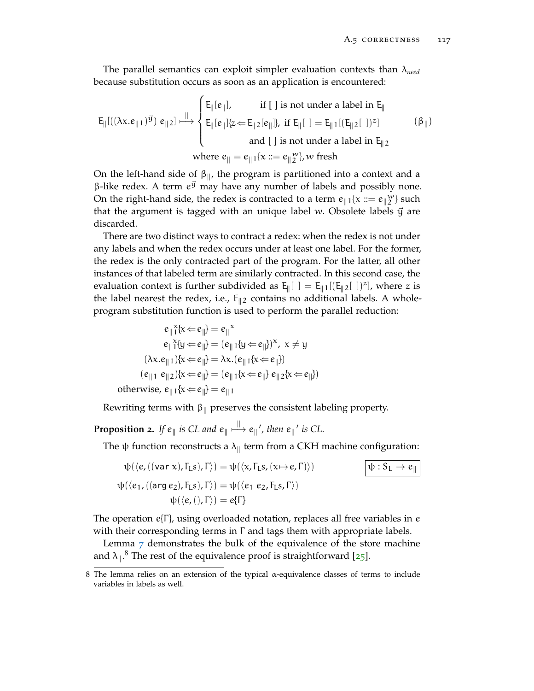The parallel semantics can exploit simpler evaluation contexts than λ*need* because substitution occurs as soon as an application is encountered:

$$
E_{\parallel} [((\lambda x.e_{\parallel 1})^{\vec{y}}) e_{\parallel 2}] \stackrel{\parallel}{\longmapsto} \begin{cases} E_{\parallel}[e_{\parallel}], & \text{if } [\ ] \text{ is not under a label in } E_{\parallel} \\ E_{\parallel}[e_{\parallel}]\{z \Leftarrow E_{\parallel 2}[e_{\parallel}]\}, & \text{if } E_{\parallel}[ \ ] = E_{\parallel 1} [ (E_{\parallel 2}[ \ ])^{z} ] \\ & \text{and } [\ ] \text{ is not under a label in } E_{\parallel 2} \\ \text{where } e_{\parallel} = e_{\parallel 1}\{x ::= e_{\parallel 2}^{\mathcal{W}}\}, & \text{if } \text{resh} \end{cases} \qquad (\beta_{\parallel})
$$

On the left-hand side of  $\beta_{\parallel}$ , the program is partitioned into a context and a β-like redex. A term  $e^{i\vec{j}}$  may have any number of labels and possibly none. On the right-hand side, the redex is contracted to a term  $e_{\parallel 1} \{x := e_{\parallel 2}^w\}$  such that the argument is tagged with an unique label  $w$ . Obsolete labels  $\vec{y}$  are discarded.

There are two distinct ways to contract a redex: when the redex is not under any labels and when the redex occurs under at least one label. For the former, the redex is the only contracted part of the program. For the latter, all other instances of that labeled term are similarly contracted. In this second case, the evaluation context is further subdivided as  $E_{\parallel}[\ ] = E_{\parallel 1}[(E_{\parallel 2}[ ])^{z}]$ , where z is the label nearest the redex, i.e.,  $E_{\parallel 2}$  contains no additional labels. A wholeprogram substitution function is used to perform the parallel reduction:

$$
e_{\parallel}^x\{x \Leftarrow e_{\parallel}\} = e_{\parallel}^x
$$
  
\n
$$
e_{\parallel}^x\{y \Leftarrow e_{\parallel}\} = (e_{\parallel 1}\{y \Leftarrow e_{\parallel}\})^x, \ x \neq y
$$
  
\n
$$
(\lambda x. e_{\parallel 1})\{x \Leftarrow e_{\parallel}\} = \lambda x.(e_{\parallel 1}\{x \Leftarrow e_{\parallel}\})
$$
  
\n
$$
(e_{\parallel 1} e_{\parallel 2})\{x \Leftarrow e_{\parallel}\} = (e_{\parallel 1}\{x \Leftarrow e_{\parallel}\} e_{\parallel 2}\{x \Leftarrow e_{\parallel}\})
$$
  
\notherwise,  $e_{\parallel 1}\{x \Leftarrow e_{\parallel}\} = e_{\parallel 1}$ 

Rewriting terms with  $\beta_{\parallel}$  preserves the consistent labeling property.

**Proposition 2.** If  $e_{\parallel}$  is CL and  $e_{\parallel} \stackrel{\parallel}{\longmapsto} e_{\parallel}'$ , then  $e_{\parallel}'$  is CL.

The  $\psi$  function reconstructs a  $\lambda_{\parallel}$  term from a CKH machine configuration:

$$
\psi(\langle e, ((var x), F_{LS}), \Gamma \rangle) = \psi(\langle x, F_{LS}, (x \mapsto e, \Gamma) \rangle)
$$
  

$$
\psi(\langle e_1, ((arg e_2), F_{LS}), \Gamma \rangle) = \psi(\langle e_1 e_2, F_{LS}, \Gamma \rangle)
$$
  

$$
\psi(\langle e, (), \Gamma \rangle) = e\{\Gamma\}
$$

The operation  $e\{\Gamma\}$ , using overloaded notation, replaces all free variables in e with their corresponding terms in Γ and tags them with appropriate labels.

Lemma  $\bar{z}$  demonstrates the bulk of the equivalence of the store machine and  $\lambda_{\parallel}$ .<sup>8</sup> The rest of the equivalence proof is straightforward [[25](#page-144-5)].

<span id="page-134-0"></span><sup>8</sup> The lemma relies on an extension of the typical α-equivalence classes of terms to include variables in labels as well.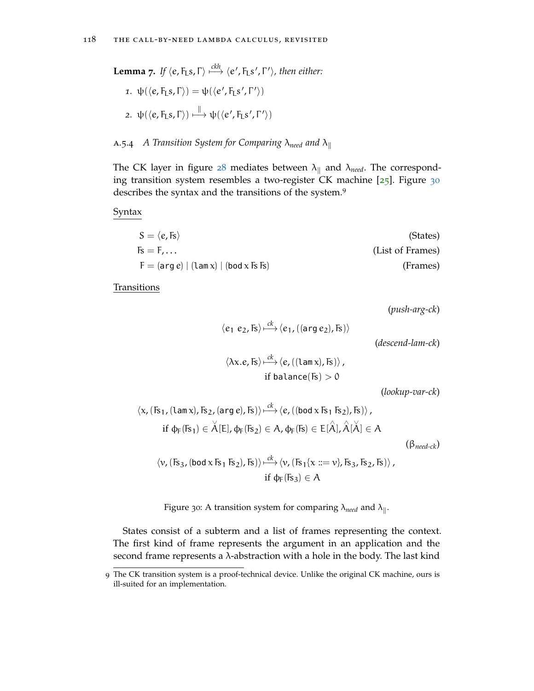**Lemma 7.** If 
$$
\langle e, F_L s, \Gamma \rangle \xrightarrow{ckh} \langle e', F_L s', \Gamma' \rangle
$$
, then either:  
\n1.  $\psi(\langle e, F_L s, \Gamma \rangle) = \psi(\langle e', F_L s', \Gamma' \rangle)$   
\n2.  $\psi(\langle e, F_L s, \Gamma \rangle) \xrightarrow{\parallel} \psi(\langle e', F_L s', \Gamma' \rangle)$ 

<span id="page-135-0"></span>**A.5.4** *A Transition System for Comparing*  $\lambda_{\text{need}}$  *and*  $\lambda_{\parallel}$ 

The CK layer in figure  $28$  mediates between  $\lambda_{\parallel}$  and  $\lambda_{\text{need}}$ . The correspond-ing transition system resembles a two-register CK machine [[25](#page-144-5)]. Figure [30](#page-135-1) describes the syntax and the transitions of the system.<sup>9</sup>

#### <span id="page-135-1"></span>Syntax

$$
S = \langle e, F_s \rangle
$$
 (States)  
\n
$$
F = F, ...
$$
 (List of Frames)  
\n
$$
F = (arg e) | (lamx) | (bodxFsFs)
$$
 (Frames)

**Transitions** 

(*push-arg-ck*)

$$
\langle e_1 \ e_2, F_5 \rangle \stackrel{ck}{\longmapsto} \langle e_1, ((\arg e_2), F_5) \rangle
$$

(*descend-lam-ck*)

$$
\langle \lambda x.e, F_s \rangle \stackrel{ck}{\longmapsto} \langle e, ((\text{lam } x), F_s) \rangle,
$$
  
if balance(Fs) > 0

(*lookup-var-ck*)

$$
\langle x, (F_{1}, (\text{lam } x), F_{2}, (\text{arg } e), F_{3}) \rangle \xrightarrow{ck} \langle e, ((\text{bad } x F_{1} F_{2}), F_{3}) \rangle,
$$
  
if  $\varphi_{F}(F_{31}) \in \mathring{A}[E], \varphi_{F}(F_{32}) \in A, \varphi_{F}(F_{3}) \in E[\hat{A}], \hat{A}[\hat{A}] \in A$   

$$
\langle v, (F_{3}, (\text{bad } x F_{31} F_{32}), F_{3}) \rangle \xrightarrow{ck} \langle v, (F_{31} \{x ::= v\}, F_{33}, F_{32}, F_{3}) \rangle,
$$
  
if  $\varphi_{F}(F_{33}) \in A$  (9)

Figure 30: A transition system for comparing  $\lambda_{\text{need}}$  and  $\lambda_{\parallel}$ .

States consist of a subterm and a list of frames representing the context. The first kind of frame represents the argument in an application and the second frame represents a λ-abstraction with a hole in the body. The last kind

<sup>9</sup> The CK transition system is a proof-technical device. Unlike the original CK machine, ours is ill-suited for an implementation.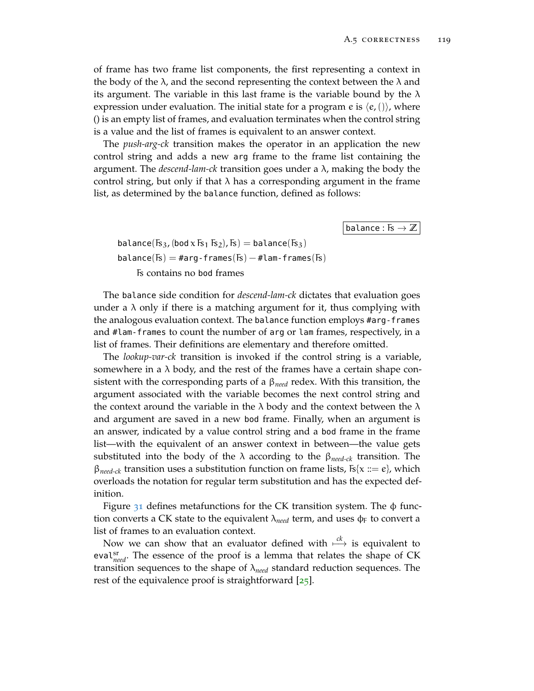of frame has two frame list components, the first representing a context in the body of the  $\lambda$ , and the second representing the context between the  $\lambda$  and its argument. The variable in this last frame is the variable bound by the  $\lambda$ expression under evaluation. The initial state for a program e is  $\langle e, ( \rangle \rangle$ , where () is an empty list of frames, and evaluation terminates when the control string is a value and the list of frames is equivalent to an answer context.

The *push-arg-ck* transition makes the operator in an application the new control string and adds a new arg frame to the frame list containing the argument. The *descend-lam-ck* transition goes under a λ, making the body the control string, but only if that  $\lambda$  has a corresponding argument in the frame list, as determined by the balance function, defined as follows:

balance :  $Fs \rightarrow \mathbb{Z}$ 

balance( $F_{3}$ , (bod x  $F_{51}$   $F_{52}$ ),  $F_{5}$ ) = balance( $F_{53}$ )  $balance(E) = #arg-frame(E) - #lam-frame(E)$ Fs contains no bod frames

The balance side condition for *descend-lam-ck* dictates that evaluation goes under a  $\lambda$  only if there is a matching argument for it, thus complying with the analogous evaluation context. The balance function employs #arg-frames and #lam-frames to count the number of arg or lam frames, respectively, in a list of frames. Their definitions are elementary and therefore omitted.

The *lookup-var-ck* transition is invoked if the control string is a variable, somewhere in a  $\lambda$  body, and the rest of the frames have a certain shape consistent with the corresponding parts of a β*need* redex. With this transition, the argument associated with the variable becomes the next control string and the context around the variable in the  $\lambda$  body and the context between the  $\lambda$ and argument are saved in a new bod frame. Finally, when an argument is an answer, indicated by a value control string and a bod frame in the frame list—with the equivalent of an answer context in between—the value gets substituted into the body of the λ according to the β*need-ck* transition. The  $β_{need-ck}$  transition uses a substitution function on frame lists,  $F_s(x := e)$ , which overloads the notation for regular term substitution and has the expected definition.

Figure [31](#page-137-0) defines metafunctions for the CK transition system. The  $\phi$  function converts a CK state to the equivalent  $\lambda_{need}$  term, and uses  $\phi_F$  to convert a list of frames to an evaluation context.

Now we can show that an evaluator defined with  $\stackrel{ck}{\longmapsto}$  is equivalent to eval<sup>sr</sup><sub>need</sub>. The essence of the proof is a lemma that relates the shape of CK transition sequences to the shape of λ*need* standard reduction sequences. The rest of the equivalence proof is straightforward  $[25]$  $[25]$  $[25]$ .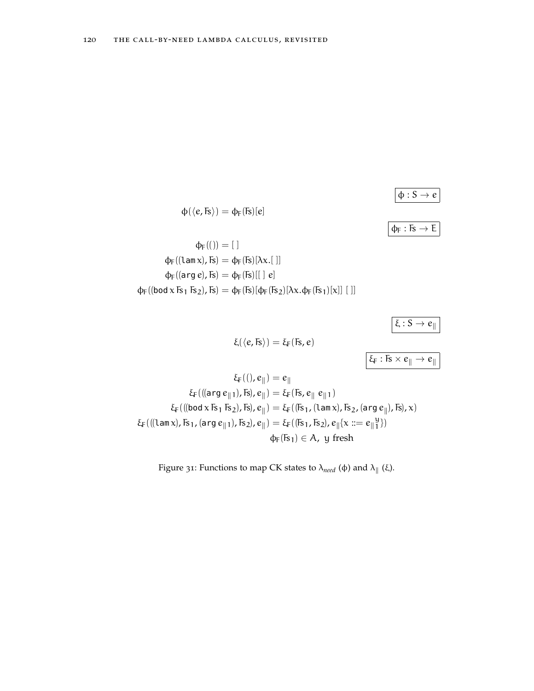$$
\varphi : S \to e
$$

<span id="page-137-0"></span>
$$
\varphi(\langle e, F_s \rangle) = \varphi_F(F_s)[e]
$$

$$
\varphi_F : F_s \to E
$$

$$
\varphi_F(()) = [ ]
$$
  
\n
$$
\varphi_F((lamx), Fs) = \varphi_F(Fs)[\lambda x.[ ] ]
$$
  
\n
$$
\varphi_F((\text{arg } e), Fs) = \varphi_F(Fs)[[ ] e ]
$$
  
\n
$$
\varphi_F((\text{body } x \text{ F}_3 \text{ F}_2), Fs) = \varphi_F(Fs)[\varphi_F(Fs_2)[\lambda x.\varphi_F(Fs_1)[x]] [ ] ]
$$

$$
\xi:S\to e_\parallel
$$

 $\xi(\langle e, \operatorname{Fs}\rangle) = \xi_{\operatorname{F}}(\operatorname{Fs}, e)$ 

 $\overline{\xi_{\textrm{F}}:\textrm{fs}\times e_{\parallel}\rightarrow e_{\parallel}}$ 

$$
\xi_F((), e_{\parallel}) = e_{\parallel}
$$
\n
$$
\xi_F((\arg e_{\parallel 1}), F_S), e_{\parallel}) = \xi_F(F_S, e_{\parallel} e_{\parallel 1})
$$
\n
$$
\xi_F(((\text{load} \times F_{S1} F_{S2}), F_S), e_{\parallel}) = \xi_F((F_{S1}, (\text{lam} \times), F_{S2}, (\text{arg } e_{\parallel}), F_S), x)
$$
\n
$$
\xi_F(((\text{lam} \times), F_{S1}, (\text{arg } e_{\parallel 1}), F_{S2}), e_{\parallel}) = \xi_F((F_{S1}, F_{S2}), e_{\parallel} \{x ::= e_{\parallel}^{\Psi}\})
$$
\n
$$
\varphi_F(F_{S1}) \in A, y \text{ fresh}
$$

## Figure 31: Functions to map CK states to  $\lambda_{need}$  (φ) and  $\lambda_{\parallel}$  (ξ).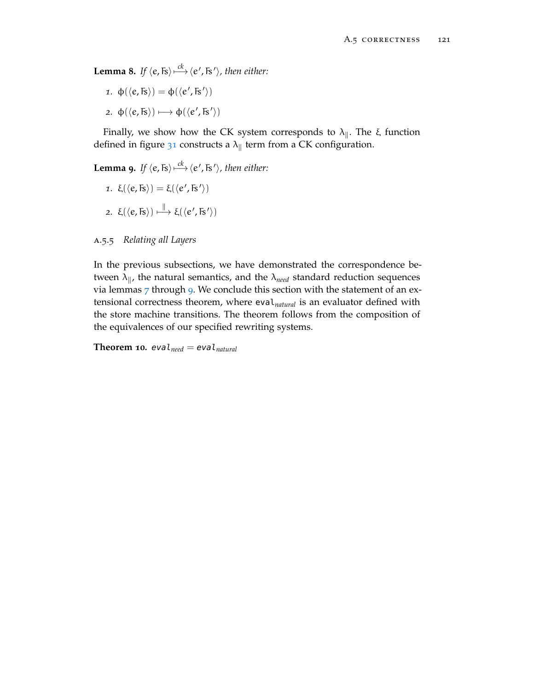**Lemma 8.** If  $\langle e, F_s \rangle \stackrel{ck}{\longmapsto} \langle e', F_s' \rangle$ , then either:

- *1*.  $\phi(\langle e, \text{Fs} \rangle) = \phi(\langle e', \text{Fs}' \rangle)$
- *2.*  $\varphi$ ( $\langle e, \overline{\sf s} \rangle$ )  $\longmapsto$   $\varphi$ ( $\langle e', \overline{\sf s'} \rangle$ )

Finally, we show how the CK system corresponds to  $\lambda_{\parallel}$ . The ξ function defined in figure [31](#page-137-0) constructs a  $\lambda_{\parallel}$  term from a CK configuration.

<span id="page-138-1"></span>**Lemma 9.** If  $\langle e, F_s \rangle \stackrel{ck}{\longmapsto} \langle e', F_s' \rangle$ , then either:

*1*.  $\xi(\langle e, \text{Fs} \rangle) = \xi(\langle e', \text{Fs}' \rangle)$ 2. ξ $(\langle e, \text{Fs}\rangle) \overset{\parallel}{\longmapsto}$  ξ $(\langle e', \text{Fs}'\rangle)$ 

<span id="page-138-0"></span>a.5.5 *Relating all Layers*

In the previous subsections, we have demonstrated the correspondence between  $\lambda_{\parallel}$ , the natural semantics, and the  $\lambda_{need}$  standard reduction sequences via lemmas [7](#page-134-0) through [9](#page-138-1). We conclude this section with the statement of an extensional correctness theorem, where eval*natural* is an evaluator defined with the store machine transitions. The theorem follows from the composition of the equivalences of our specified rewriting systems.

**Theorem 10.** eval<sub>need</sub> = eval<sub>natural</sub>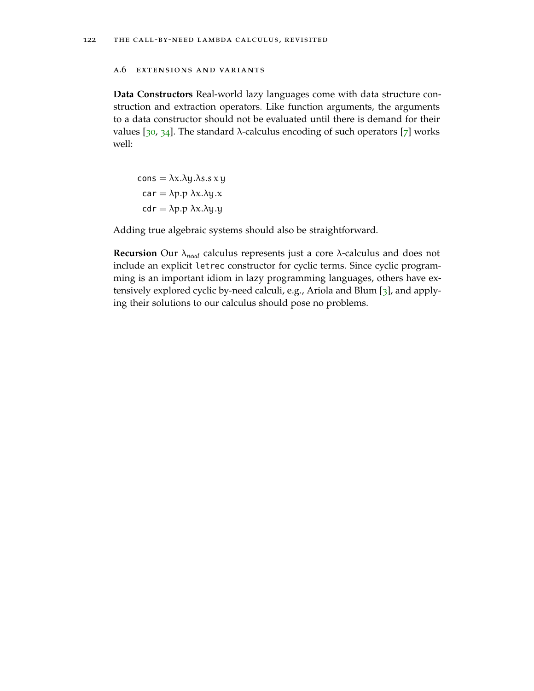#### a.6 extensions and variants

**Data Constructors** Real-world lazy languages come with data structure construction and extraction operators. Like function arguments, the arguments to a data constructor should not be evaluated until there is demand for their values [[30](#page-144-0), [34](#page-144-1)]. The standard λ-calculus encoding of such operators [[7](#page-142-3)] works well:

cons =  $\lambda x.\lambda y.\lambda s.s x y$ car =  $\lambda p.p \lambda x.\lambda y.x$ cdr =  $\lambda p.p \lambda x.\lambda y.y$ 

Adding true algebraic systems should also be straightforward.

**Recursion** Our λ*need* calculus represents just a core λ-calculus and does not include an explicit letrec constructor for cyclic terms. Since cyclic programming is an important idiom in lazy programming languages, others have extensively explored cyclic by-need calculi, e.g., Ariola and Blum [[3](#page-142-5)], and applying their solutions to our calculus should pose no problems.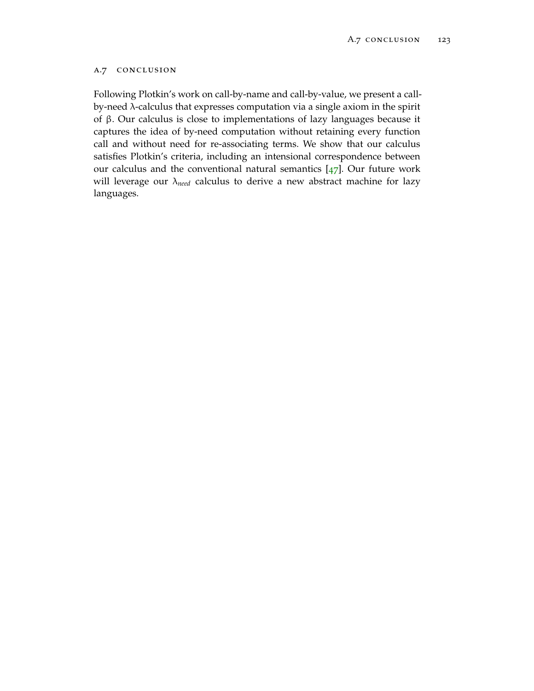#### a.7 conclusion

Following Plotkin's work on call-by-name and call-by-value, we present a callby-need λ-calculus that expresses computation via a single axiom in the spirit of β. Our calculus is close to implementations of lazy languages because it captures the idea of by-need computation without retaining every function call and without need for re-associating terms. We show that our calculus satisfies Plotkin's criteria, including an intensional correspondence between our calculus and the conventional natural semantics  $[47]$  $[47]$  $[47]$ . Our future work will leverage our λ*need* calculus to derive a new abstract machine for lazy languages.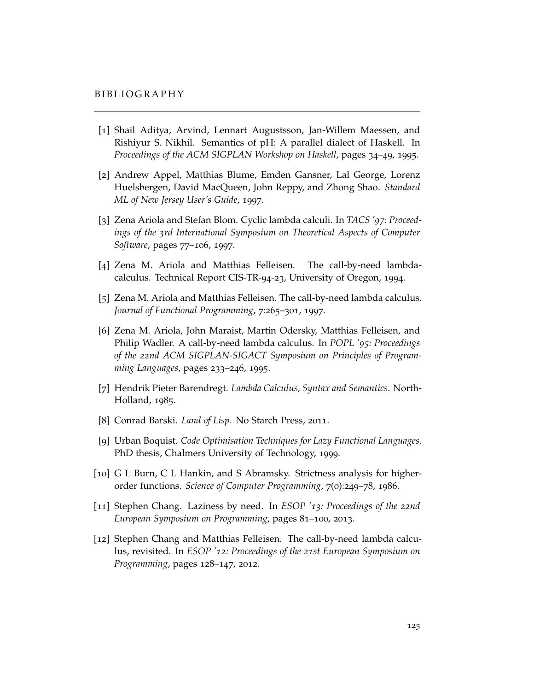- [1] Shail Aditya, Arvind, Lennart Augustsson, Jan-Willem Maessen, and Rishiyur S. Nikhil. Semantics of pH: A parallel dialect of Haskell. In *Proceedings of the ACM SIGPLAN Workshop on Haskell*, pages 34–49, 1995.
- [2] Andrew Appel, Matthias Blume, Emden Gansner, Lal George, Lorenz Huelsbergen, David MacQueen, John Reppy, and Zhong Shao. *Standard ML of New Jersey User's Guide*, 1997.
- <span id="page-142-5"></span>[3] Zena Ariola and Stefan Blom. Cyclic lambda calculi. In *TACS '97: Proceedings of the 3rd International Symposium on Theoretical Aspects of Computer Software*, pages 77–106, 1997.
- <span id="page-142-0"></span>[4] Zena M. Ariola and Matthias Felleisen. The call-by-need lambdacalculus. Technical Report CIS-TR-94-23, University of Oregon, 1994.
- <span id="page-142-1"></span>[5] Zena M. Ariola and Matthias Felleisen. The call-by-need lambda calculus. *Journal of Functional Programming*, 7:265–301, 1997.
- <span id="page-142-2"></span>[6] Zena M. Ariola, John Maraist, Martin Odersky, Matthias Felleisen, and Philip Wadler. A call-by-need lambda calculus. In *POPL '95: Proceedings of the 22nd ACM SIGPLAN-SIGACT Symposium on Principles of Programming Languages*, pages 233–246, 1995.
- <span id="page-142-3"></span>[7] Hendrik Pieter Barendregt. *Lambda Calculus, Syntax and Semantics*. North-Holland, 1985.
- [8] Conrad Barski. *Land of Lisp*. No Starch Press, 2011.
- [9] Urban Boquist. *Code Optimisation Techniques for Lazy Functional Languages*. PhD thesis, Chalmers University of Technology, 1999.
- [10] G L Burn, C L Hankin, and S Abramsky. Strictness analysis for higherorder functions. *Science of Computer Programming*, 7(0):249–78, 1986.
- [11] Stephen Chang. Laziness by need. In *ESOP '13: Proceedings of the 22nd European Symposium on Programming*, pages 81–100, 2013.
- <span id="page-142-4"></span>[12] Stephen Chang and Matthias Felleisen. The call-by-need lambda calculus, revisited. In *ESOP '12: Proceedings of the 21st European Symposium on Programming*, pages 128–147, 2012.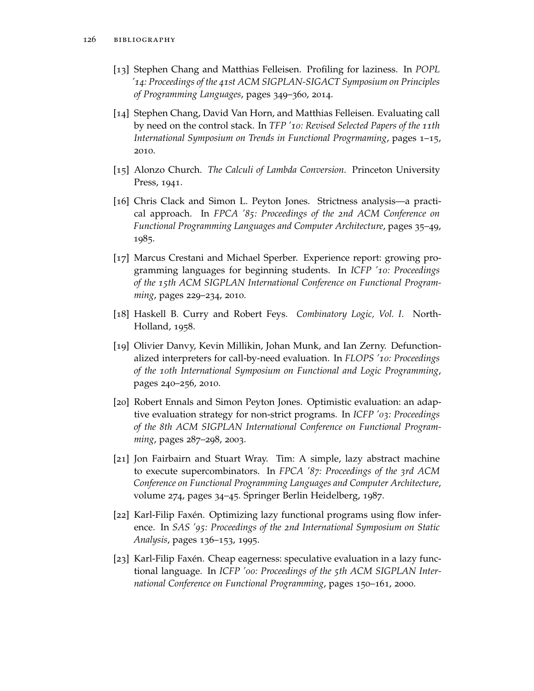- [13] Stephen Chang and Matthias Felleisen. Profiling for laziness. In *POPL '14: Proceedings of the 41st ACM SIGPLAN-SIGACT Symposium on Principles of Programming Languages*, pages 349–360, 2014.
- [14] Stephen Chang, David Van Horn, and Matthias Felleisen. Evaluating call by need on the control stack. In *TFP '10: Revised Selected Papers of the 11th International Symposium on Trends in Functional Progrmaming*, pages 1–15, 2010.
- <span id="page-143-0"></span>[15] Alonzo Church. *The Calculi of Lambda Conversion*. Princeton University Press, 1941.
- [16] Chris Clack and Simon L. Peyton Jones. Strictness analysis—a practical approach. In *FPCA '85: Proceedings of the 2nd ACM Conference on Functional Programming Languages and Computer Architecture*, pages 35–49, 1985.
- [17] Marcus Crestani and Michael Sperber. Experience report: growing programming languages for beginning students. In *ICFP '10: Proceedings of the 15th ACM SIGPLAN International Conference on Functional Programming*, pages 229–234, 2010.
- <span id="page-143-2"></span>[18] Haskell B. Curry and Robert Feys. *Combinatory Logic, Vol. I*. North-Holland, 1958.
- <span id="page-143-1"></span>[19] Olivier Danvy, Kevin Millikin, Johan Munk, and Ian Zerny. Defunctionalized interpreters for call-by-need evaluation. In *FLOPS '10: Proceedings of the 10th International Symposium on Functional and Logic Programming*, pages 240–256, 2010.
- [20] Robert Ennals and Simon Peyton Jones. Optimistic evaluation: an adaptive evaluation strategy for non-strict programs. In *ICFP '03: Proceedings of the 8th ACM SIGPLAN International Conference on Functional Programming*, pages 287–298, 2003.
- [21] Jon Fairbairn and Stuart Wray. Tim: A simple, lazy abstract machine to execute supercombinators. In *FPCA '87: Proceedings of the 3rd ACM Conference on Functional Programming Languages and Computer Architecture*, volume 274, pages 34–45. Springer Berlin Heidelberg, 1987.
- [22] Karl-Filip Faxén. Optimizing lazy functional programs using flow inference. In *SAS '95: Proceedings of the 2nd International Symposium on Static Analysis*, pages 136–153, 1995.
- [23] Karl-Filip Faxén. Cheap eagerness: speculative evaluation in a lazy functional language. In *ICFP '00: Proceedings of the 5th ACM SIGPLAN International Conference on Functional Programming*, pages 150–161, 2000.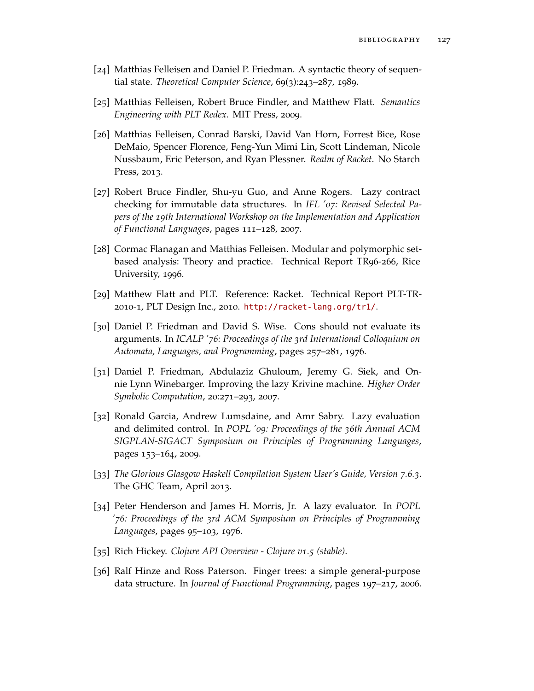- [24] Matthias Felleisen and Daniel P. Friedman. A syntactic theory of sequential state. *Theoretical Computer Science*, 69(3):243–287, 1989.
- [25] Matthias Felleisen, Robert Bruce Findler, and Matthew Flatt. *Semantics Engineering with PLT Redex*. MIT Press, 2009.
- [26] Matthias Felleisen, Conrad Barski, David Van Horn, Forrest Bice, Rose DeMaio, Spencer Florence, Feng-Yun Mimi Lin, Scott Lindeman, Nicole Nussbaum, Eric Peterson, and Ryan Plessner. *Realm of Racket*. No Starch Press, 2013.
- [27] Robert Bruce Findler, Shu-yu Guo, and Anne Rogers. Lazy contract checking for immutable data structures. In *IFL '07: Revised Selected Papers of the 19th International Workshop on the Implementation and Application of Functional Languages*, pages 111–128, 2007.
- [28] Cormac Flanagan and Matthias Felleisen. Modular and polymorphic setbased analysis: Theory and practice. Technical Report TR96-266, Rice University, 1996.
- [29] Matthew Flatt and PLT. Reference: Racket. Technical Report PLT-TR-2010-1, PLT Design Inc., 2010. <http://racket-lang.org/tr1/>.
- [30] Daniel P. Friedman and David S. Wise. Cons should not evaluate its arguments. In *ICALP '76: Proceedings of the 3rd International Colloquium on Automata, Languages, and Programming*, pages 257–281, 1976.
- [31] Daniel P. Friedman, Abdulaziz Ghuloum, Jeremy G. Siek, and Onnie Lynn Winebarger. Improving the lazy Krivine machine. *Higher Order Symbolic Computation*, 20:271–293, 2007.
- [32] Ronald Garcia, Andrew Lumsdaine, and Amr Sabry. Lazy evaluation and delimited control. In *POPL '09: Proceedings of the 36th Annual ACM SIGPLAN-SIGACT Symposium on Principles of Programming Languages*, pages 153–164, 2009.
- [33] *The Glorious Glasgow Haskell Compilation System User's Guide, Version 7.6.3*. The GHC Team, April 2013.
- [34] Peter Henderson and James H. Morris, Jr. A lazy evaluator. In *POPL '76: Proceedings of the 3rd ACM Symposium on Principles of Programming Languages*, pages 95–103, 1976.
- [35] Rich Hickey. *Clojure API Overview Clojure v1.5 (stable)*.
- [36] Ralf Hinze and Ross Paterson. Finger trees: a simple general-purpose data structure. In *Journal of Functional Programming*, pages 197–217, 2006.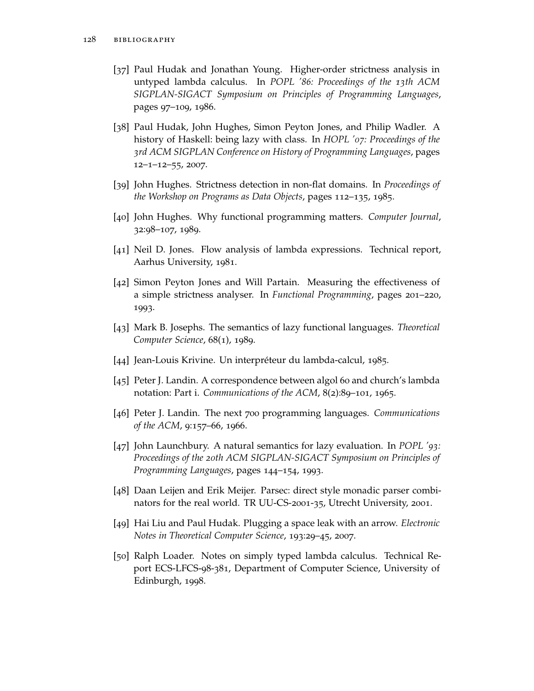- [37] Paul Hudak and Jonathan Young. Higher-order strictness analysis in untyped lambda calculus. In *POPL '86: Proceedings of the 13th ACM SIGPLAN-SIGACT Symposium on Principles of Programming Languages*, pages 97–109, 1986.
- [38] Paul Hudak, John Hughes, Simon Peyton Jones, and Philip Wadler. A history of Haskell: being lazy with class. In *HOPL '07: Proceedings of the 3rd ACM SIGPLAN Conference on History of Programming Languages*, pages 12–1–12–55, 2007.
- [39] John Hughes. Strictness detection in non-flat domains. In *Proceedings of the Workshop on Programs as Data Objects*, pages 112–135, 1985.
- [40] John Hughes. Why functional programming matters. *Computer Journal*, 32:98–107, 1989.
- [41] Neil D. Jones. Flow analysis of lambda expressions. Technical report, Aarhus University, 1981.
- [42] Simon Peyton Jones and Will Partain. Measuring the effectiveness of a simple strictness analyser. In *Functional Programming*, pages 201–220, 1993.
- [43] Mark B. Josephs. The semantics of lazy functional languages. *Theoretical Computer Science*, 68(1), 1989.
- [44] Jean-Louis Krivine. Un interpréteur du lambda-calcul, 1985.
- [45] Peter J. Landin. A correspondence between algol 60 and church's lambda notation: Part i. *Communications of the ACM*, 8(2):89–101, 1965.
- [46] Peter J. Landin. The next 700 programming languages. *Communications of the ACM*, 9:157–66, 1966.
- [47] John Launchbury. A natural semantics for lazy evaluation. In *POPL '93: Proceedings of the 20th ACM SIGPLAN-SIGACT Symposium on Principles of Programming Languages*, pages 144–154, 1993.
- [48] Daan Leijen and Erik Meijer. Parsec: direct style monadic parser combinators for the real world. TR UU-CS-2001-35, Utrecht University, 2001.
- [49] Hai Liu and Paul Hudak. Plugging a space leak with an arrow. *Electronic Notes in Theoretical Computer Science*, 193:29–45, 2007.
- [50] Ralph Loader. Notes on simply typed lambda calculus. Technical Report ECS-LFCS-98-381, Department of Computer Science, University of Edinburgh, 1998.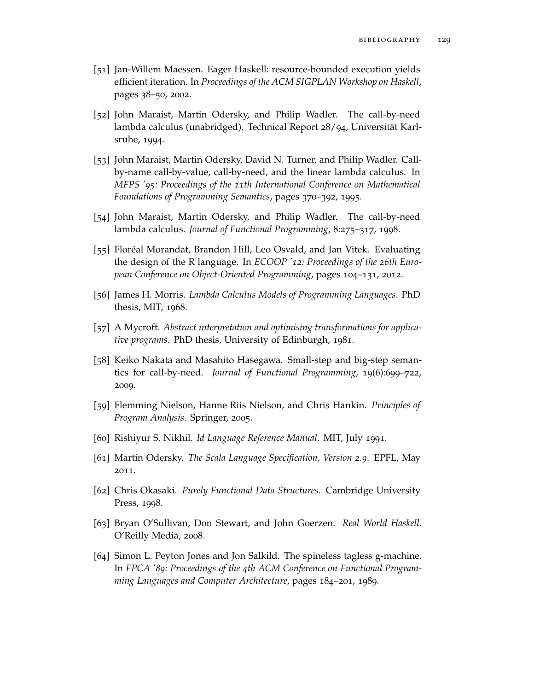- [51] Jan-Willem Maessen. Eager Haskell: resource-bounded execution yields efficient iteration. In *Proceedings of the ACM SIGPLAN Workshop on Haskell*, pages 38–50, 2002.
- [52] John Maraist, Martin Odersky, and Philip Wadler. The call-by-need lambda calculus (unabridged). Technical Report 28/94, Universität Karlsruhe, 1994.
- [53] John Maraist, Martin Odersky, David N. Turner, and Philip Wadler. Callby-name call-by-value, call-by-need, and the linear lambda calculus. In *MFPS '95: Proceedings of the 11th International Conference on Mathematical Foundations of Programming Semantics*, pages 370–392, 1995.
- [54] John Maraist, Martin Odersky, and Philip Wadler. The call-by-need lambda calculus. *Journal of Functional Programming*, 8:275–317, 1998.
- [55] Floréal Morandat, Brandon Hill, Leo Osvald, and Jan Vitek. Evaluating the design of the R language. In *ECOOP '12: Proceedings of the 26th European Conference on Object-Oriented Programming*, pages 104–131, 2012.
- [56] James H. Morris. *Lambda Calculus Models of Programming Languages*. PhD thesis, MIT, 1968.
- [57] A Mycroft. *Abstract interpretation and optimising transformations for applicative programs*. PhD thesis, University of Edinburgh, 1981.
- [58] Keiko Nakata and Masahito Hasegawa. Small-step and big-step semantics for call-by-need. *Journal of Functional Programming*, 19(6):699–722, 2009.
- [59] Flemming Nielson, Hanne Riis Nielson, and Chris Hankin. *Principles of Program Analysis*. Springer, 2005.
- [60] Rishiyur S. Nikhil. *Id Language Reference Manual*. MIT, July 1991.
- [61] Martin Odersky. *The Scala Language Specification, Version 2.9*. EPFL, May 2011.
- [62] Chris Okasaki. *Purely Functional Data Structures*. Cambridge University Press, 1998.
- [63] Bryan O'Sullivan, Don Stewart, and John Goerzen. *Real World Haskell*. O'Reilly Media, 2008.
- [64] Simon L. Peyton Jones and Jon Salkild. The spineless tagless g-machine. In *FPCA '89: Proceedings of the 4th ACM Conference on Functional Programming Languages and Computer Architecture*, pages 184–201, 1989.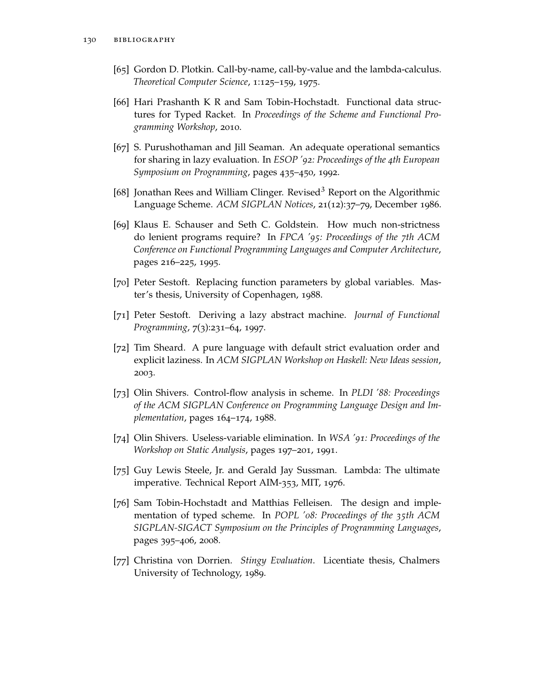- [65] Gordon D. Plotkin. Call-by-name, call-by-value and the lambda-calculus. *Theoretical Computer Science*, 1:125–159, 1975.
- [66] Hari Prashanth K R and Sam Tobin-Hochstadt. Functional data structures for Typed Racket. In *Proceedings of the Scheme and Functional Programming Workshop*, 2010.
- [67] S. Purushothaman and Jill Seaman. An adequate operational semantics for sharing in lazy evaluation. In *ESOP '92: Proceedings of the 4th European Symposium on Programming*, pages 435–450, 1992.
- [68] Jonathan Rees and William Clinger. Revised<sup>3</sup> Report on the Algorithmic Language Scheme. *ACM SIGPLAN Notices*, 21(12):37–79, December 1986.
- [69] Klaus E. Schauser and Seth C. Goldstein. How much non-strictness do lenient programs require? In *FPCA '95: Proceedings of the 7th ACM Conference on Functional Programming Languages and Computer Architecture*, pages 216–225, 1995.
- [70] Peter Sestoft. Replacing function parameters by global variables. Master's thesis, University of Copenhagen, 1988.
- [71] Peter Sestoft. Deriving a lazy abstract machine. *Journal of Functional Programming*, 7(3):231–64, 1997.
- [72] Tim Sheard. A pure language with default strict evaluation order and explicit laziness. In *ACM SIGPLAN Workshop on Haskell: New Ideas session*, 2003.
- [73] Olin Shivers. Control-flow analysis in scheme. In *PLDI '88: Proceedings of the ACM SIGPLAN Conference on Programming Language Design and Implementation*, pages 164–174, 1988.
- [74] Olin Shivers. Useless-variable elimination. In *WSA '91: Proceedings of the Workshop on Static Analysis*, pages 197–201, 1991.
- [75] Guy Lewis Steele, Jr. and Gerald Jay Sussman. Lambda: The ultimate imperative. Technical Report AIM-353, MIT, 1976.
- [76] Sam Tobin-Hochstadt and Matthias Felleisen. The design and implementation of typed scheme. In *POPL '08: Proceedings of the 35th ACM SIGPLAN-SIGACT Symposium on the Principles of Programming Languages*, pages 395–406, 2008.
- [77] Christina von Dorrien. *Stingy Evaluation*. Licentiate thesis, Chalmers University of Technology, 1989.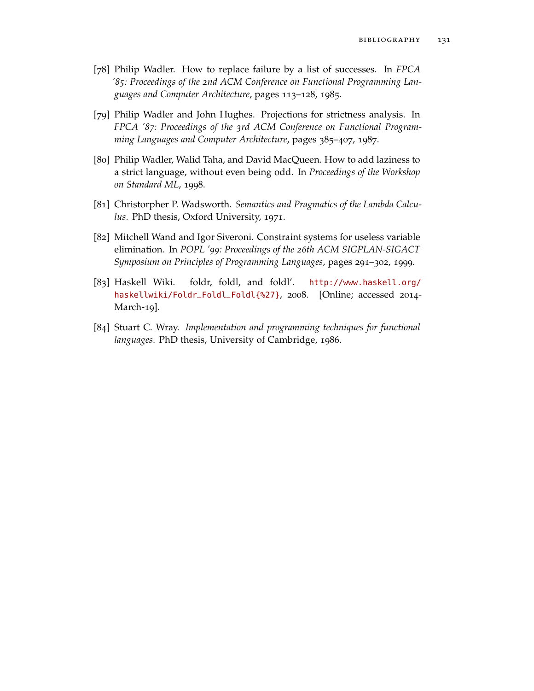- [78] Philip Wadler. How to replace failure by a list of successes. In *FPCA '85: Proceedings of the 2nd ACM Conference on Functional Programming Languages and Computer Architecture*, pages 113–128, 1985.
- [79] Philip Wadler and John Hughes. Projections for strictness analysis. In *FPCA '87: Proceedings of the 3rd ACM Conference on Functional Programming Languages and Computer Architecture*, pages 385–407, 1987.
- [80] Philip Wadler, Walid Taha, and David MacQueen. How to add laziness to a strict language, without even being odd. In *Proceedings of the Workshop on Standard ML*, 1998.
- [81] Christorpher P. Wadsworth. *Semantics and Pragmatics of the Lambda Calculus*. PhD thesis, Oxford University, 1971.
- [82] Mitchell Wand and Igor Siveroni. Constraint systems for useless variable elimination. In *POPL '99: Proceedings of the 26th ACM SIGPLAN-SIGACT Symposium on Principles of Programming Languages*, pages 291–302, 1999.
- [83] Haskell Wiki. foldr, foldl, and foldl'. [http://www.haskell.org/](http://www.haskell.org/haskellwiki/Foldr_Foldl_Foldl{%27}) [haskellwiki/Foldr\\_Foldl\\_Foldl{%27}](http://www.haskell.org/haskellwiki/Foldr_Foldl_Foldl{%27}), 2008. [Online; accessed 2014- March-19].
- [84] Stuart C. Wray. *Implementation and programming techniques for functional languages*. PhD thesis, University of Cambridge, 1986.